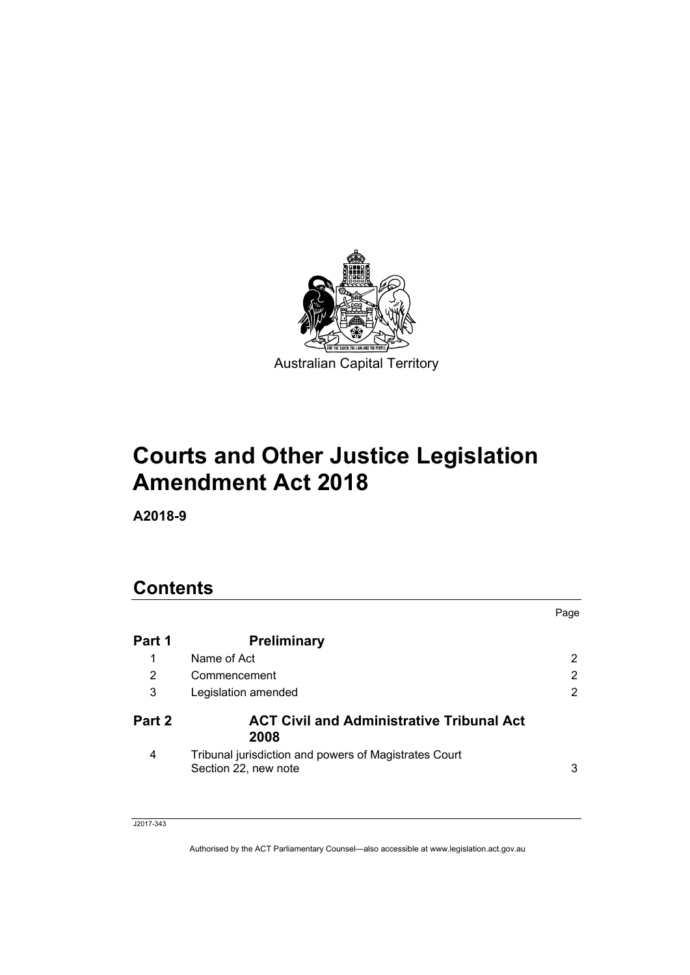

# **Courts and Other Justice Legislation Amendment Act 2018**

**A2018-9** 

# **Contents**

|        |                                                                               | Page                  |
|--------|-------------------------------------------------------------------------------|-----------------------|
| Part 1 | <b>Preliminary</b>                                                            |                       |
| 1      | Name of Act                                                                   | $\mathbf{2}^{\prime}$ |
| 2      | Commencement                                                                  | 2                     |
| 3      | Legislation amended                                                           | 2                     |
| Part 2 | <b>ACT Civil and Administrative Tribunal Act</b><br>2008                      |                       |
| 4      | Tribunal jurisdiction and powers of Magistrates Court<br>Section 22, new note | 3                     |

#### J2017-343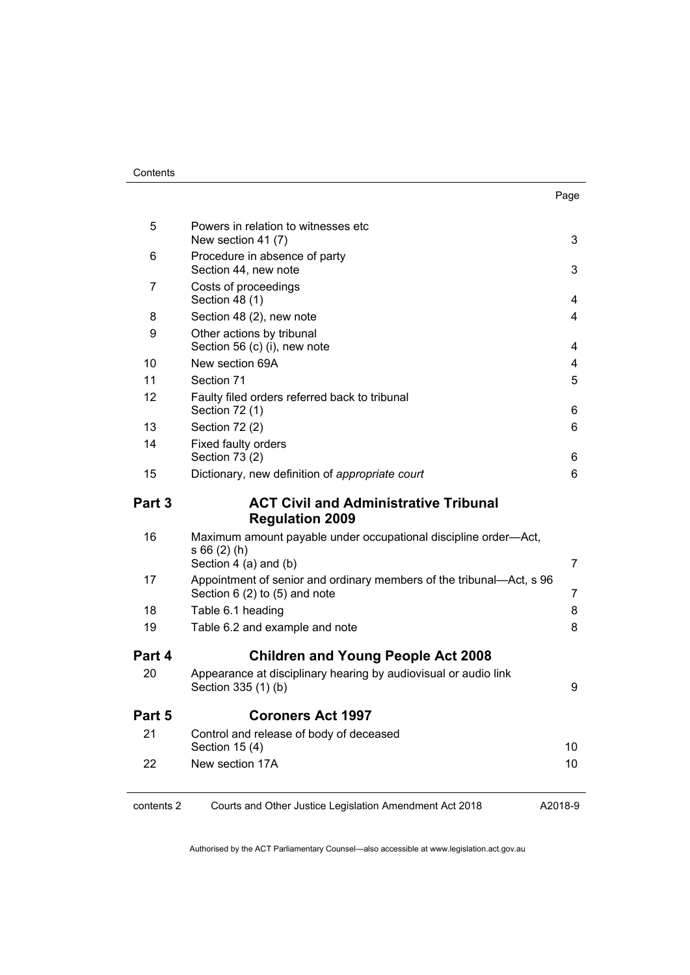| . .<br>×<br>۰.<br>× |
|---------------------|
|---------------------|

| 5          | Powers in relation to witnesses etc<br>New section 41 (7)                                                  | 3       |
|------------|------------------------------------------------------------------------------------------------------------|---------|
| 6          | Procedure in absence of party<br>Section 44, new note                                                      | 3       |
| 7          | Costs of proceedings<br>Section 48 (1)                                                                     | 4       |
| 8          | Section 48 (2), new note                                                                                   | 4       |
| 9          | Other actions by tribunal<br>Section 56 (c) (i), new note                                                  | 4       |
| 10         | New section 69A                                                                                            | 4       |
| 11         | Section 71                                                                                                 | 5       |
| 12         | Faulty filed orders referred back to tribunal<br>Section 72 (1)                                            | 6       |
| 13         | Section 72 (2)                                                                                             | 6       |
| 14         | Fixed faulty orders<br>Section 73 (2)                                                                      | 6       |
| 15         | Dictionary, new definition of appropriate court                                                            | 6       |
| Part 3     | <b>ACT Civil and Administrative Tribunal</b><br><b>Regulation 2009</b>                                     |         |
| 16         | Maximum amount payable under occupational discipline order-Act,<br>$s66(2)$ (h)<br>Section $4$ (a) and (b) | 7       |
| 17         | Appointment of senior and ordinary members of the tribunal-Act, s 96<br>Section $6(2)$ to $(5)$ and note   | 7       |
| 18         | Table 6.1 heading                                                                                          | 8       |
| 19         | Table 6.2 and example and note                                                                             | 8       |
| Part 4     | <b>Children and Young People Act 2008</b>                                                                  |         |
| 20         | Appearance at disciplinary hearing by audiovisual or audio link<br>Section 335 (1) (b)                     | 9       |
| Part 5     | <b>Coroners Act 1997</b>                                                                                   |         |
| 21         | Control and release of body of deceased<br>Section 15 (4)                                                  | 10      |
| 22         | New section 17A                                                                                            | 10      |
| contents 2 | Courts and Other Justice Legislation Amendment Act 2018                                                    | A2018-9 |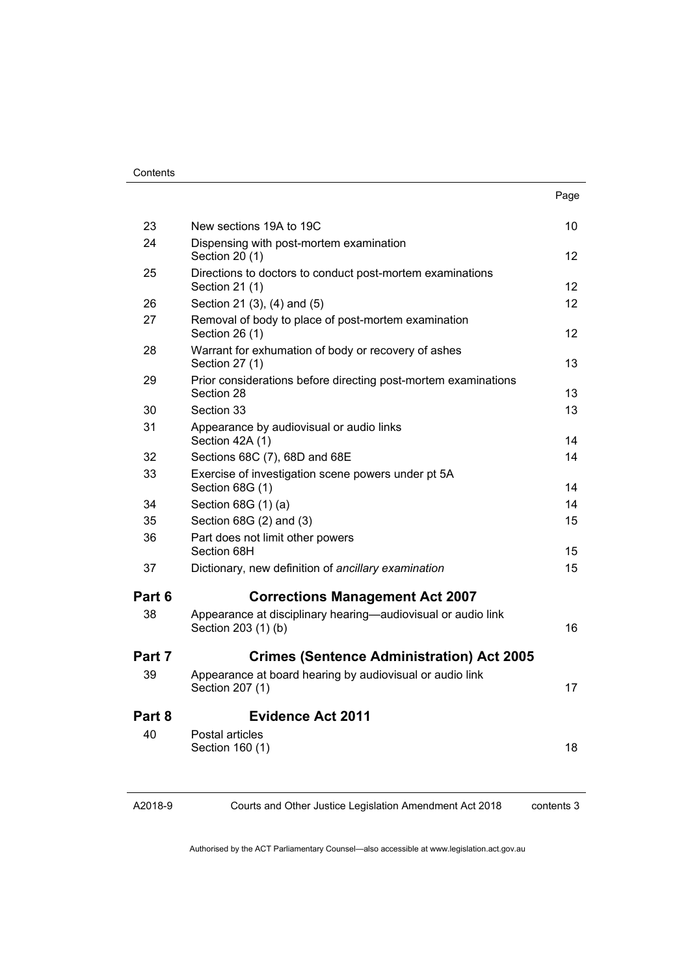|        |                                                                                     | Page              |
|--------|-------------------------------------------------------------------------------------|-------------------|
| 23     | New sections 19A to 19C                                                             | 10                |
| 24     | Dispensing with post-mortem examination<br>Section 20 (1)                           | $12 \overline{ }$ |
| 25     | Directions to doctors to conduct post-mortem examinations<br>Section 21 (1)         | $12 \overline{ }$ |
| 26     | Section 21 (3), (4) and (5)                                                         | $12 \overline{ }$ |
| 27     | Removal of body to place of post-mortem examination<br>Section 26 (1)               | $12 \overline{ }$ |
| 28     | Warrant for exhumation of body or recovery of ashes<br>Section 27 (1)               | 13                |
| 29     | Prior considerations before directing post-mortem examinations<br>Section 28        | 13                |
| 30     | Section 33                                                                          | 13                |
| 31     | Appearance by audiovisual or audio links<br>Section 42A (1)                         | 14                |
| 32     | Sections 68C (7), 68D and 68E                                                       | 14                |
| 33     | Exercise of investigation scene powers under pt 5A<br>Section 68G (1)               | 14                |
| 34     | Section 68G (1) (a)                                                                 | 14                |
| 35     | Section 68G (2) and (3)                                                             | 15                |
| 36     | Part does not limit other powers<br>Section 68H                                     | 15                |
| 37     | Dictionary, new definition of ancillary examination                                 | 15                |
| Part 6 | <b>Corrections Management Act 2007</b>                                              |                   |
| 38     | Appearance at disciplinary hearing—audiovisual or audio link<br>Section 203 (1) (b) | 16                |
| Part 7 | <b>Crimes (Sentence Administration) Act 2005</b>                                    |                   |
| 39     | Appearance at board hearing by audiovisual or audio link<br>Section 207 (1)         | 17                |
| Part 8 | <b>Evidence Act 2011</b>                                                            |                   |
| 40     | Postal articles<br>Section 160 (1)                                                  | 18                |

A2018-9

Courts and Other Justice Legislation Amendment Act 2018

contents 3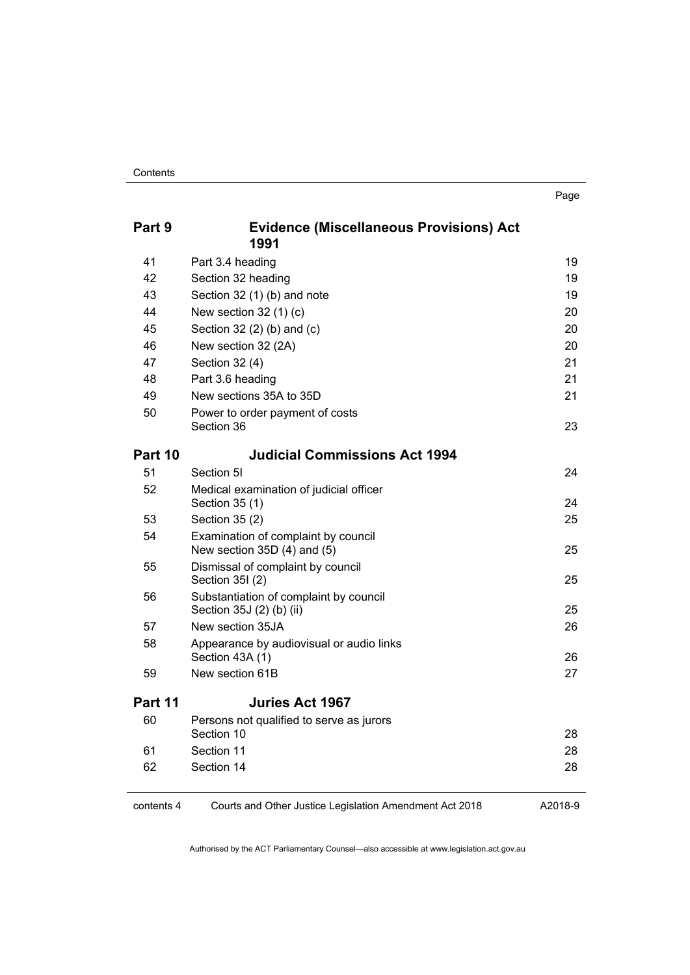| Part 9  | <b>Evidence (Miscellaneous Provisions) Act</b><br>1991             |    |
|---------|--------------------------------------------------------------------|----|
| 41      | Part 3.4 heading                                                   | 19 |
| 42      | Section 32 heading                                                 | 19 |
| 43      | Section 32 (1) (b) and note                                        | 19 |
| 44      | New section $32(1)(c)$                                             | 20 |
| 45      | Section 32 (2) (b) and (c)                                         | 20 |
| 46      | New section 32 (2A)                                                | 20 |
| 47      | Section 32 (4)                                                     | 21 |
| 48      | Part 3.6 heading                                                   | 21 |
| 49      | New sections 35A to 35D                                            | 21 |
| 50      | Power to order payment of costs<br>Section 36                      | 23 |
| Part 10 | <b>Judicial Commissions Act 1994</b>                               |    |
| 51      | Section 5I                                                         | 24 |
| 52      | Medical examination of judicial officer<br>Section 35 (1)          | 24 |
| 53      | Section 35 (2)                                                     | 25 |
| 54      | Examination of complaint by council<br>New section 35D (4) and (5) | 25 |
| 55      | Dismissal of complaint by council<br>Section 35I (2)               | 25 |
| 56      | Substantiation of complaint by council<br>Section 35J (2) (b) (ii) | 25 |
| 57      | New section 35JA                                                   | 26 |
| 58      | Appearance by audiovisual or audio links<br>Section 43A (1)        | 26 |
| 59      | New section 61B                                                    | 27 |
| Part 11 | <b>Juries Act 1967</b>                                             |    |
| 60      | Persons not qualified to serve as jurors<br>Section 10             | 28 |
| 61      | Section 11                                                         | 28 |
| 62      | Section 14                                                         | 28 |
|         |                                                                    |    |

contents 4 Courts and Other Justice Legislation Amendment Act 2018

A2018-9

Authorised by the ACT Parliamentary Counsel—also accessible at www.legislation.act.gov.au

Page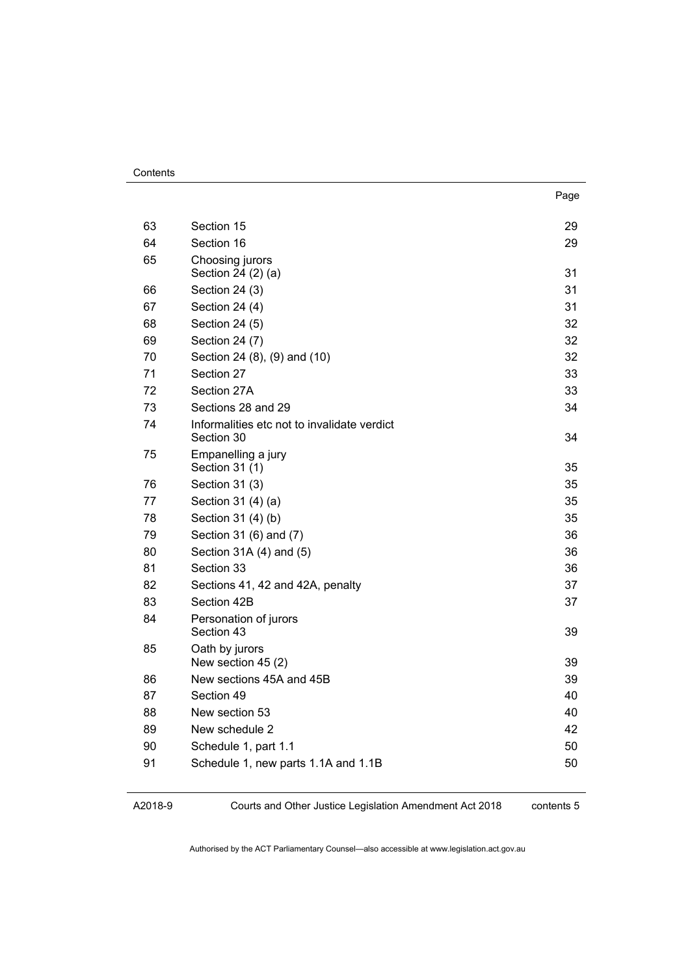|    |                                                           | Page |
|----|-----------------------------------------------------------|------|
| 63 | Section 15                                                | 29   |
| 64 | Section 16                                                | 29   |
| 65 | Choosing jurors<br>Section 24 (2) (a)                     | 31   |
| 66 | Section 24 (3)                                            | 31   |
| 67 | Section 24 (4)                                            | 31   |
| 68 | Section 24 (5)                                            | 32   |
| 69 | Section 24 (7)                                            | 32   |
| 70 | Section 24 (8), (9) and (10)                              | 32   |
| 71 | Section 27                                                | 33   |
| 72 | Section 27A                                               | 33   |
| 73 | Sections 28 and 29                                        | 34   |
| 74 | Informalities etc not to invalidate verdict<br>Section 30 | 34   |
| 75 | Empanelling a jury<br>Section 31 (1)                      | 35   |
| 76 | Section 31 (3)                                            | 35   |
| 77 | Section 31 (4) (a)                                        | 35   |
| 78 | Section 31 (4) (b)                                        | 35   |
| 79 | Section 31 (6) and (7)                                    | 36   |
| 80 | Section 31A (4) and (5)                                   | 36   |
| 81 | Section 33                                                | 36   |
| 82 | Sections 41, 42 and 42A, penalty                          | 37   |
| 83 | Section 42B                                               | 37   |
| 84 | Personation of jurors<br>Section 43                       | 39   |
| 85 | Oath by jurors<br>New section 45 (2)                      | 39   |
| 86 | New sections 45A and 45B                                  | 39   |
| 87 | Section 49                                                | 40   |
| 88 | New section 53                                            | 40   |
| 89 | New schedule 2                                            | 42   |
| 90 | Schedule 1, part 1.1                                      | 50   |
| 91 | Schedule 1, new parts 1.1A and 1.1B                       | 50   |

A2018-9

Courts and Other Justice Legislation Amendment Act 2018

contents 5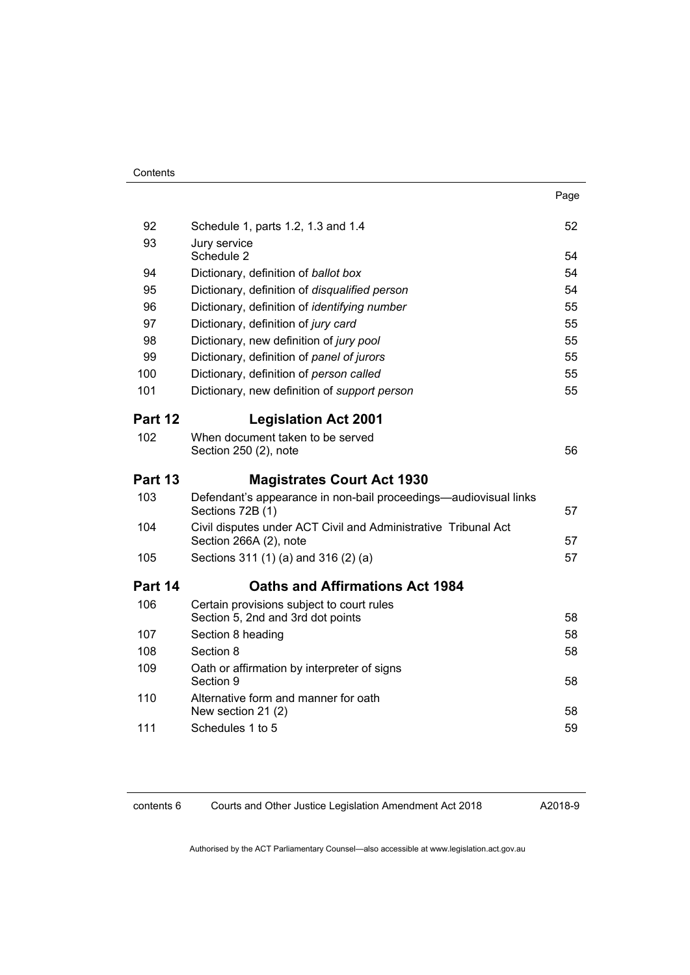|                |                                                                                      | Page     |
|----------------|--------------------------------------------------------------------------------------|----------|
| 92             | Schedule 1, parts 1.2, 1.3 and 1.4                                                   | 52       |
| 93             | Jury service<br>Schedule 2                                                           | 54       |
| 94             | Dictionary, definition of ballot box                                                 | 54       |
| 95             | Dictionary, definition of disqualified person                                        | 54       |
| 96             | Dictionary, definition of identifying number                                         | 55       |
| 97             | Dictionary, definition of jury card                                                  | 55       |
| 98             | Dictionary, new definition of jury pool                                              | 55       |
| 99             | Dictionary, definition of panel of jurors                                            | 55       |
| 100            | Dictionary, definition of person called                                              | 55       |
| 101            | Dictionary, new definition of support person                                         | 55       |
| Part 12        | <b>Legislation Act 2001</b>                                                          |          |
| 102            | When document taken to be served<br>Section 250 (2), note                            | 56       |
|                |                                                                                      |          |
|                |                                                                                      |          |
| <b>Part 13</b> | <b>Magistrates Court Act 1930</b>                                                    |          |
| 103            | Defendant's appearance in non-bail proceedings—audiovisual links<br>Sections 72B (1) | 57       |
| 104            | Civil disputes under ACT Civil and Administrative Tribunal Act                       | 57       |
| 105            | Section 266A (2), note<br>Sections 311 (1) (a) and 316 (2) (a)                       | 57       |
| Part 14        | <b>Oaths and Affirmations Act 1984</b>                                               |          |
| 106            | Certain provisions subject to court rules                                            |          |
| 107            | Section 5, 2nd and 3rd dot points                                                    | 58       |
| 108            | Section 8 heading<br>Section 8                                                       | 58<br>58 |
| 109            | Oath or affirmation by interpreter of signs<br>Section 9                             | 58       |
| 110            | Alternative form and manner for oath<br>New section 21 (2)                           | 58       |
| 111            | Schedules 1 to 5                                                                     | 59       |

contents 6 Courts and Other Justice Legislation Amendment Act 2018

A2018-9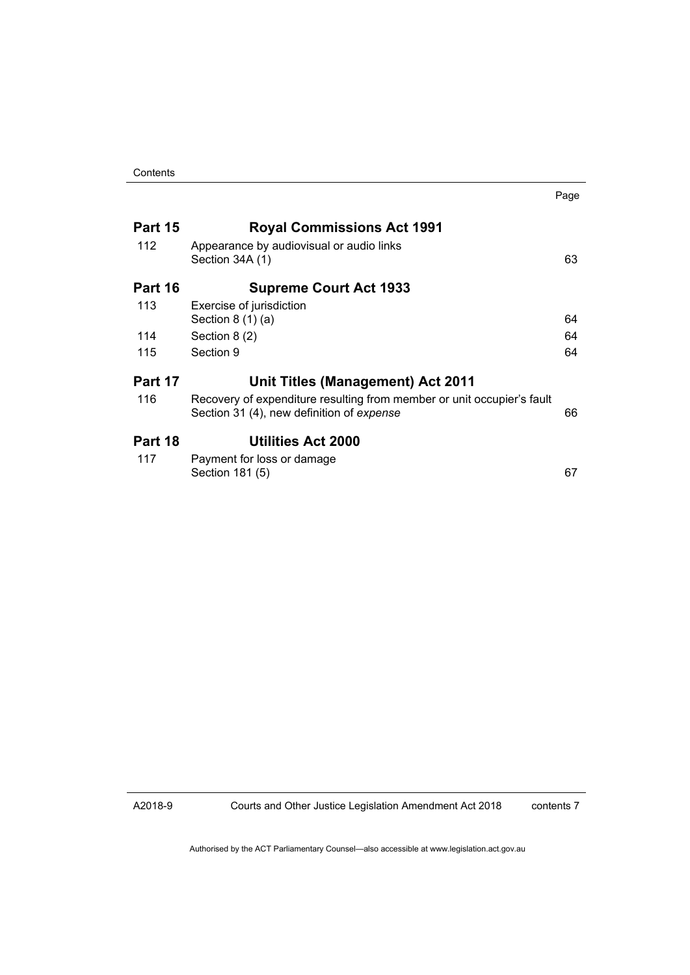|                |                                                                                                                     | Page |
|----------------|---------------------------------------------------------------------------------------------------------------------|------|
| Part 15        | <b>Royal Commissions Act 1991</b>                                                                                   |      |
| 112            | Appearance by audiovisual or audio links<br>Section 34A (1)                                                         | 63   |
| <b>Part 16</b> | <b>Supreme Court Act 1933</b>                                                                                       |      |
| 113            | Exercise of jurisdiction<br>Section $8(1)(a)$                                                                       | 64   |
| 114            | Section 8 (2)                                                                                                       | 64   |
| 115            | Section 9                                                                                                           | 64   |
| Part 17        | Unit Titles (Management) Act 2011                                                                                   |      |
| 116            | Recovery of expenditure resulting from member or unit occupier's fault<br>Section 31 (4), new definition of expense | 66   |
| Part 18        | <b>Utilities Act 2000</b>                                                                                           |      |
| 117            | Payment for loss or damage<br>Section 181 (5)                                                                       | 67   |

A2018-9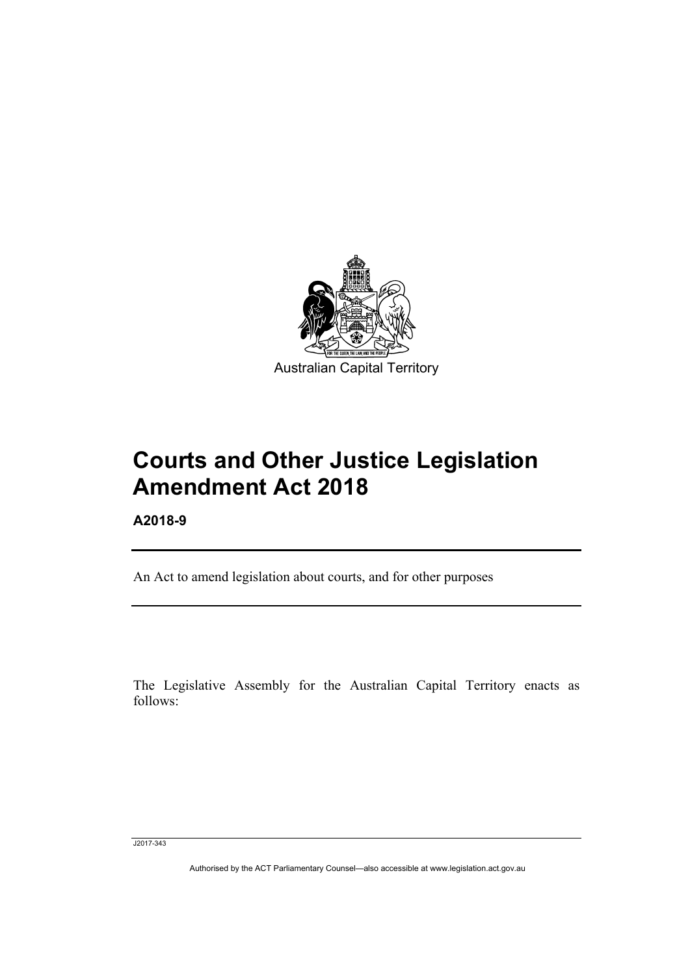

# **Courts and Other Justice Legislation Amendment Act 2018**

**A2018-9** 

Ī

An Act to amend legislation about courts, and for other purposes

The Legislative Assembly for the Australian Capital Territory enacts as follows:

J2017-343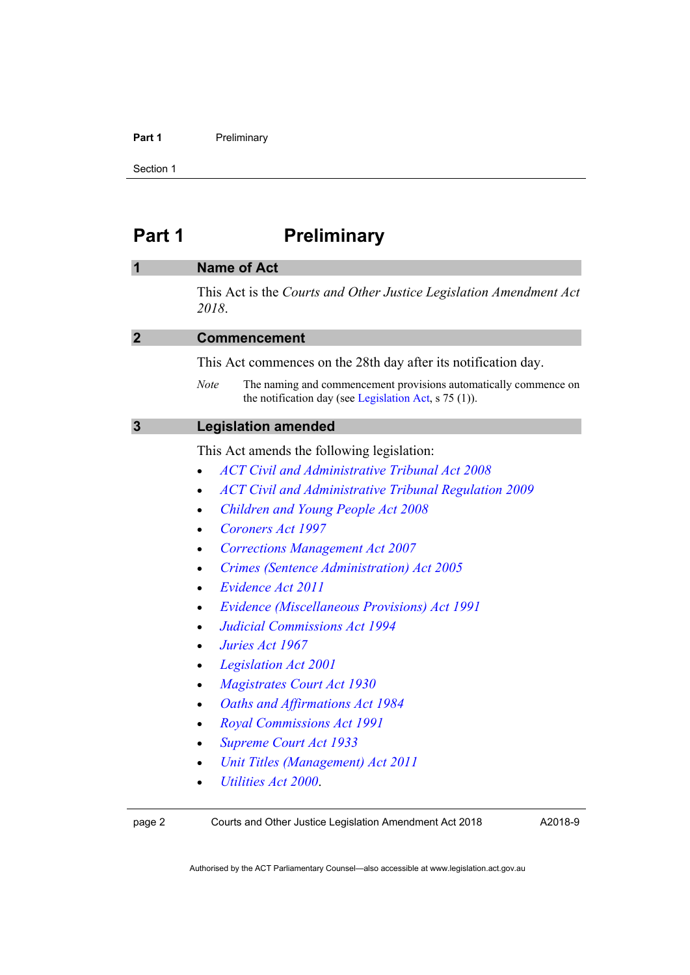#### Part 1 **Preliminary**

Section 1

# <span id="page-9-0"></span>Part 1 **Preliminary**

<span id="page-9-3"></span><span id="page-9-2"></span><span id="page-9-1"></span>

| 1              | <b>Name of Act</b>                                                                                                                         |
|----------------|--------------------------------------------------------------------------------------------------------------------------------------------|
|                | This Act is the Courts and Other Justice Legislation Amendment Act<br>2018.                                                                |
| $\overline{2}$ | <b>Commencement</b>                                                                                                                        |
|                | This Act commences on the 28th day after its notification day.                                                                             |
|                | The naming and commencement provisions automatically commence on<br><b>Note</b><br>the notification day (see Legislation Act, $s$ 75 (1)). |
| 3              | <b>Legislation amended</b>                                                                                                                 |
|                | This Act amends the following legislation:                                                                                                 |
|                | <b>ACT Civil and Administrative Tribunal Act 2008</b>                                                                                      |
|                | <b>ACT Civil and Administrative Tribunal Regulation 2009</b>                                                                               |
|                | <b>Children and Young People Act 2008</b>                                                                                                  |
|                | Coroners Act 1997                                                                                                                          |
|                | <b>Corrections Management Act 2007</b>                                                                                                     |
|                | Crimes (Sentence Administration) Act 2005<br>$\bullet$                                                                                     |
|                | Evidence Act 2011                                                                                                                          |
|                | Evidence (Miscellaneous Provisions) Act 1991                                                                                               |
|                | <b>Judicial Commissions Act 1994</b><br>$\bullet$                                                                                          |
|                | Juries Act 1967<br>$\bullet$                                                                                                               |
|                | <b>Legislation Act 2001</b><br>$\bullet$                                                                                                   |
|                | <b>Magistrates Court Act 1930</b>                                                                                                          |
|                | Oaths and Affirmations Act 1984                                                                                                            |
|                | <b>Royal Commissions Act 1991</b><br>$\bullet$                                                                                             |
|                | <b>Supreme Court Act 1933</b>                                                                                                              |
|                | Unit Titles (Management) Act 2011                                                                                                          |
|                | Utilities Act 2000                                                                                                                         |

page 2 Courts and Other Justice Legislation Amendment Act 2018

A2018-9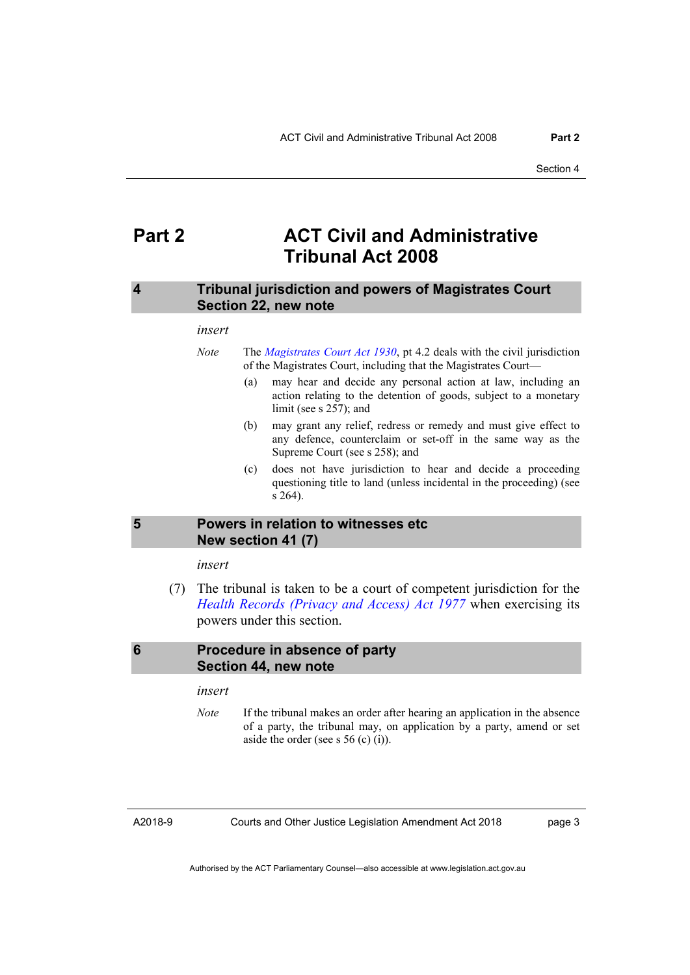### <span id="page-10-0"></span>**Part 2 ACT Civil and Administrative Tribunal Act 2008**

#### <span id="page-10-1"></span>**4 Tribunal jurisdiction and powers of Magistrates Court Section 22, new note**

#### *insert*

- *Note* The *[Magistrates Court Act 1930](http://www.legislation.act.gov.au/a/1930-21)*, pt 4.2 deals with the civil jurisdiction of the Magistrates Court, including that the Magistrates Court—
	- (a) may hear and decide any personal action at law, including an action relating to the detention of goods, subject to a monetary limit (see s 257); and
	- (b) may grant any relief, redress or remedy and must give effect to any defence, counterclaim or set-off in the same way as the Supreme Court (see s 258); and
	- (c) does not have jurisdiction to hear and decide a proceeding questioning title to land (unless incidental in the proceeding) (see s 264).

#### <span id="page-10-2"></span>**5 Powers in relation to witnesses etc New section 41 (7)**

*insert* 

 (7) The tribunal is taken to be a court of competent jurisdiction for the *[Health Records \(Privacy and Access\) Act 1977](http://www.legislation.act.gov.au/a/1997-125/default.asp)* when exercising its powers under this section.

#### <span id="page-10-3"></span>**6 Procedure in absence of party Section 44, new note**

*insert* 

*Note* If the tribunal makes an order after hearing an application in the absence of a party, the tribunal may, on application by a party, amend or set aside the order (see s  $56$  (c) (i)).

A2018-9

Courts and Other Justice Legislation Amendment Act 2018

page 3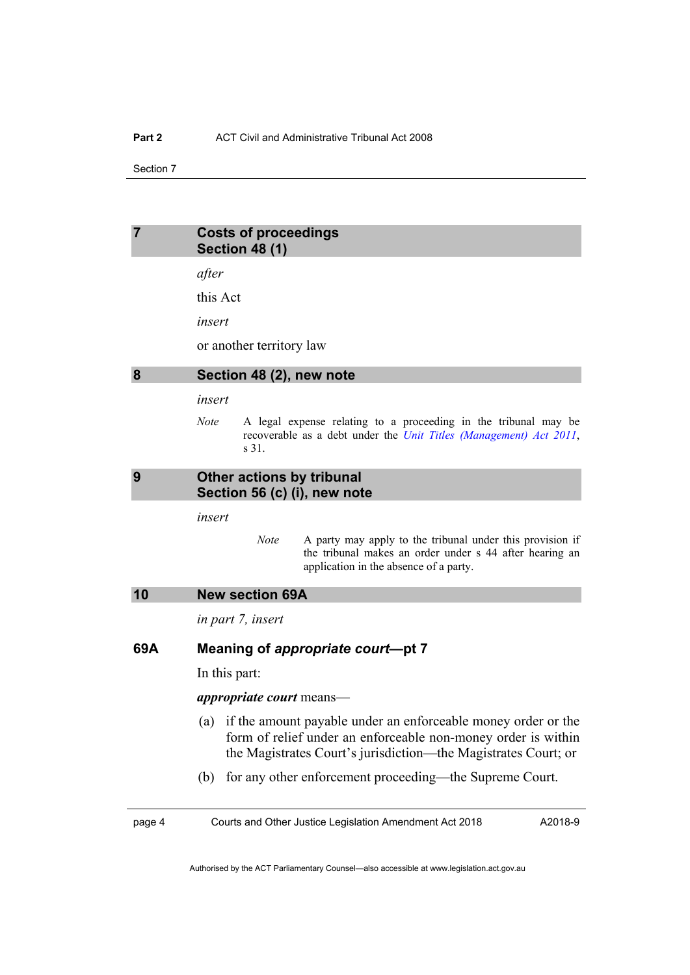#### <span id="page-11-0"></span>**7 Costs of proceedings Section 48 (1)**

*after* 

this Act

*insert* 

or another territory law

#### <span id="page-11-1"></span>**8 Section 48 (2), new note**

*insert* 

*Note* A legal expense relating to a proceeding in the tribunal may be recoverable as a debt under the *[Unit Titles \(Management\) Act 2011](http://www.legislation.act.gov.au/a/2011-41)*, s 31.

#### <span id="page-11-2"></span>**9 Other actions by tribunal Section 56 (c) (i), new note**

*insert* 

- *Note* A party may apply to the tribunal under this provision if the tribunal makes an order under s 44 after hearing an application in the absence of a party.
- <span id="page-11-3"></span>**10 New section 69A**

*in part 7, insert* 

#### **69A Meaning of** *appropriate court***—pt 7**

In this part:

*appropriate court* means—

- (a) if the amount payable under an enforceable money order or the form of relief under an enforceable non-money order is within the Magistrates Court's jurisdiction—the Magistrates Court; or
- (b) for any other enforcement proceeding—the Supreme Court.

page 4 Courts and Other Justice Legislation Amendment Act 2018

A2018-9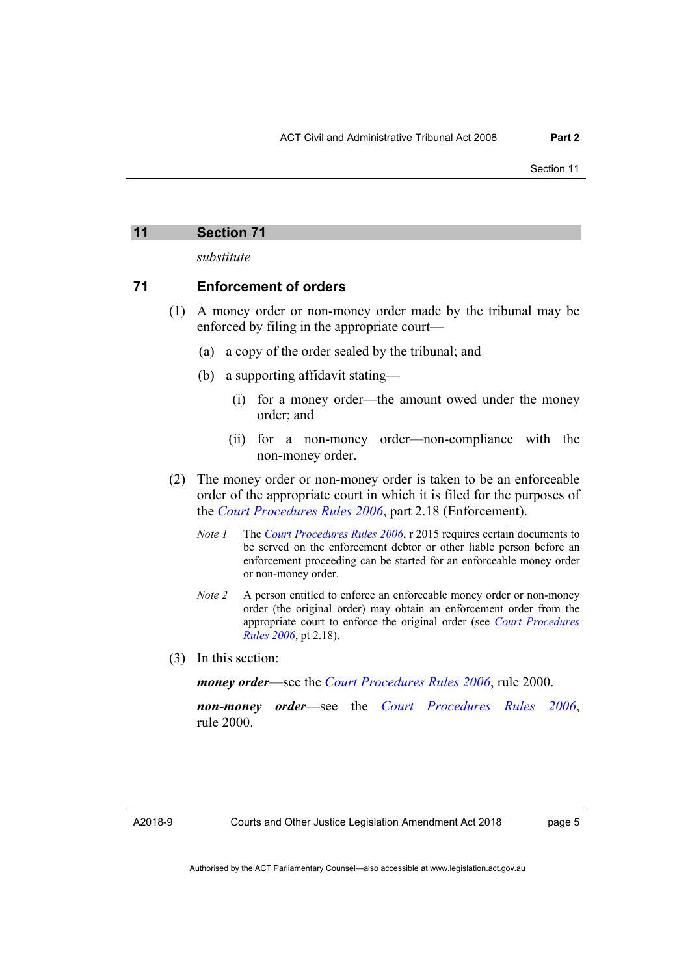*substitute* 

#### <span id="page-12-0"></span>**71 Enforcement of orders**

- (1) A money order or non-money order made by the tribunal may be enforced by filing in the appropriate court—
	- (a) a copy of the order sealed by the tribunal; and
	- (b) a supporting affidavit stating—
		- (i) for a money order—the amount owed under the money order; and
		- (ii) for a non-money order—non-compliance with the non-money order.
- (2) The money order or non-money order is taken to be an enforceable order of the appropriate court in which it is filed for the purposes of the *[Court Procedures Rules 2006](http://www.legislation.act.gov.au/sl/2006-29)*, part 2.18 (Enforcement).
	- *Note 1* The *[Court Procedures Rules 2006](http://www.legislation.act.gov.au/sl/2006-29)*, r 2015 requires certain documents to be served on the enforcement debtor or other liable person before an enforcement proceeding can be started for an enforceable money order or non-money order.
	- *Note 2* A person entitled to enforce an enforceable money order or non-money order (the original order) may obtain an enforcement order from the appropriate court to enforce the original order (see *[Court Procedures](http://www.legislation.act.gov.au/sl/2006-29)  [Rules 2006](http://www.legislation.act.gov.au/sl/2006-29)*, pt 2.18).
- (3) In this section:

*money order*—see the *[Court Procedures Rules 2006](http://www.legislation.act.gov.au/sl/2006-29)*, rule 2000.

*non-money order*—see the *[Court Procedures Rules 2006](http://www.legislation.act.gov.au/sl/2006-29)*, rule 2000.

page 5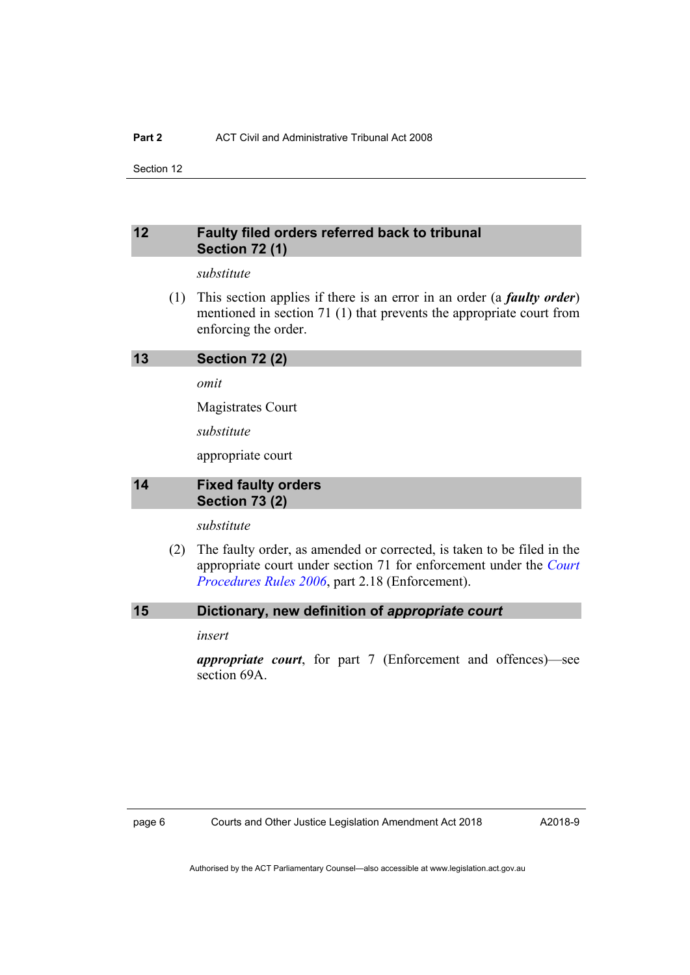#### <span id="page-13-0"></span>**12 Faulty filed orders referred back to tribunal Section 72 (1)**

#### *substitute*

 (1) This section applies if there is an error in an order (a *faulty order*) mentioned in section 71 (1) that prevents the appropriate court from enforcing the order.

#### <span id="page-13-1"></span>**13 Section 72 (2)**

*omit* 

Magistrates Court

*substitute* 

appropriate court

#### <span id="page-13-2"></span>**14 Fixed faulty orders Section 73 (2)**

*substitute* 

 (2) The faulty order, as amended or corrected, is taken to be filed in the appropriate court under section 71 for enforcement under the *[Court](http://www.legislation.act.gov.au/sl/2006-29)  [Procedures Rules 2006](http://www.legislation.act.gov.au/sl/2006-29)*, part 2.18 (Enforcement).

#### <span id="page-13-3"></span>**15 Dictionary, new definition of** *appropriate court*

*insert* 

*appropriate court*, for part 7 (Enforcement and offences)—see section 69A.

A2018-9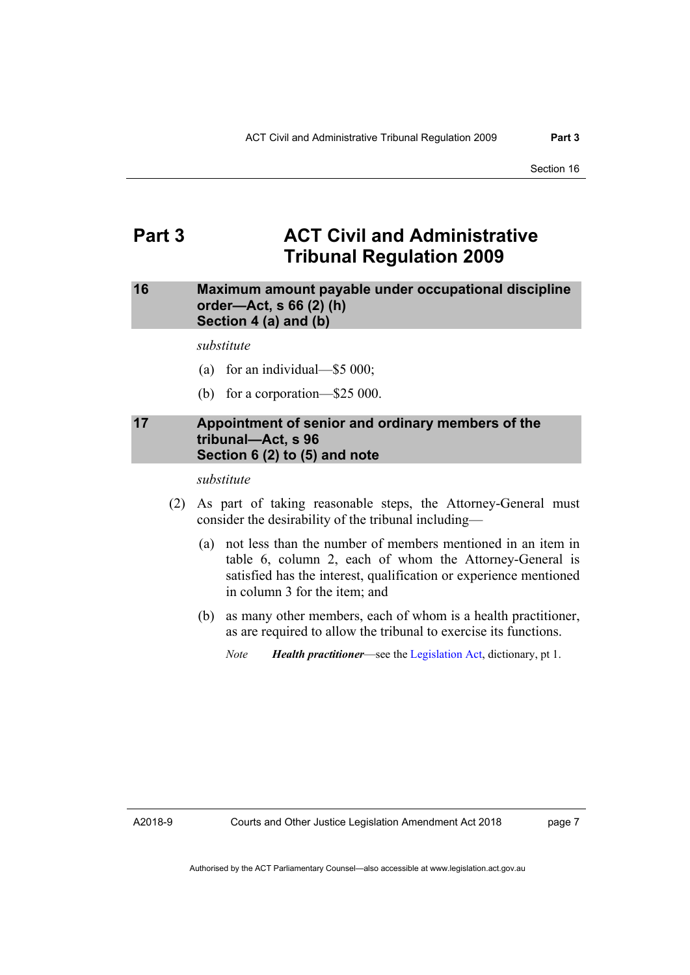### <span id="page-14-0"></span>**Part 3 ACT Civil and Administrative Tribunal Regulation 2009**

#### <span id="page-14-1"></span>**16 Maximum amount payable under occupational discipline order—Act, s 66 (2) (h) Section 4 (a) and (b)**

#### *substitute*

- (a) for an individual—\$5 000;
- (b) for a corporation—\$25 000.

#### <span id="page-14-2"></span>**17 Appointment of senior and ordinary members of the tribunal—Act, s 96 Section 6 (2) to (5) and note**

#### *substitute*

- (2) As part of taking reasonable steps, the Attorney-General must consider the desirability of the tribunal including—
	- (a) not less than the number of members mentioned in an item in table 6, column 2, each of whom the Attorney-General is satisfied has the interest, qualification or experience mentioned in column 3 for the item; and
	- (b) as many other members, each of whom is a health practitioner, as are required to allow the tribunal to exercise its functions.
		- *Note Health practitioner*—see the [Legislation Act](http://www.legislation.act.gov.au/a/2001-14), dictionary, pt 1.

A2018-9

page 7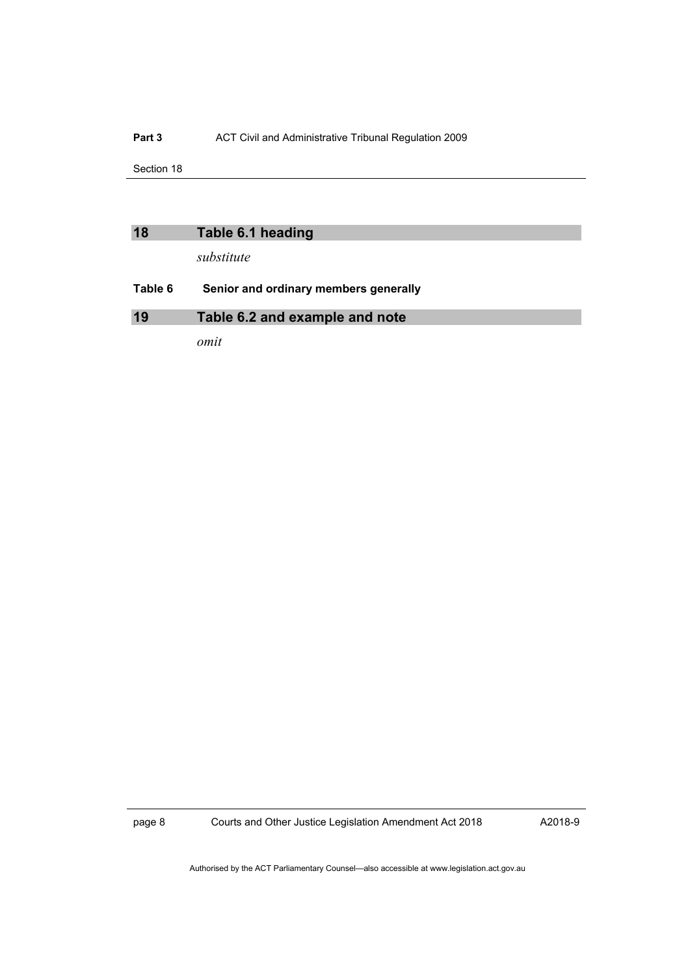#### Part 3 **ACT Civil and Administrative Tribunal Regulation 2009**

Section 18

<span id="page-15-1"></span><span id="page-15-0"></span>

| 18      | Table 6.1 heading                     |
|---------|---------------------------------------|
|         | substitute                            |
| Table 6 | Senior and ordinary members generally |
| 19      | Table 6.2 and example and note        |
|         |                                       |

*omit* 

page 8 Courts and Other Justice Legislation Amendment Act 2018

A2018-9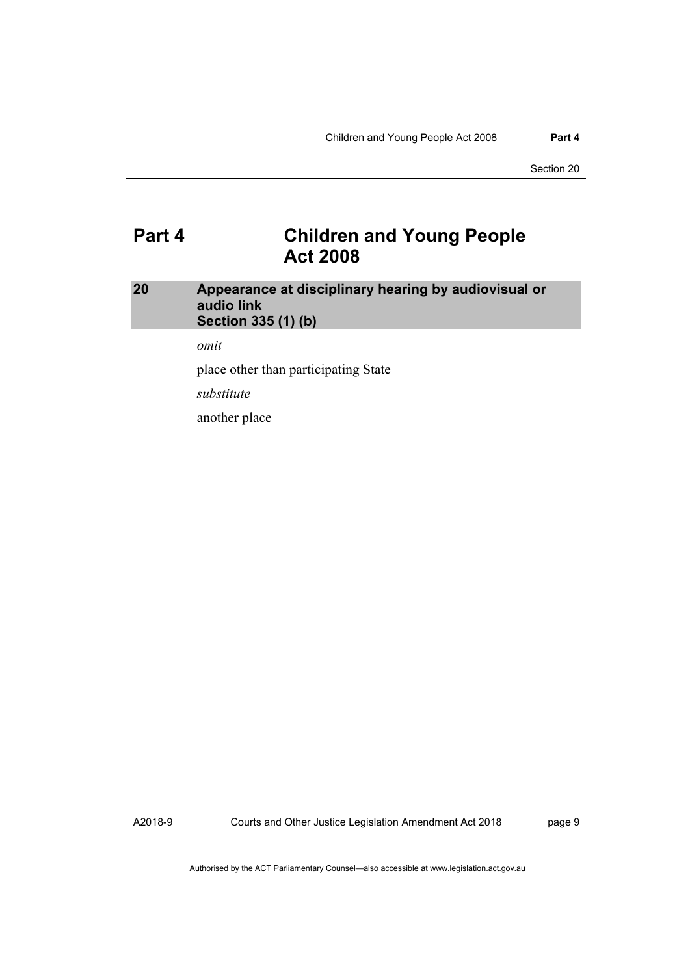### <span id="page-16-0"></span>**Part 4 Children and Young People Act 2008**

#### <span id="page-16-1"></span>**20 Appearance at disciplinary hearing by audiovisual or audio link Section 335 (1) (b)**

*omit* 

place other than participating State

*substitute* 

another place

A2018-9

Courts and Other Justice Legislation Amendment Act 2018

page 9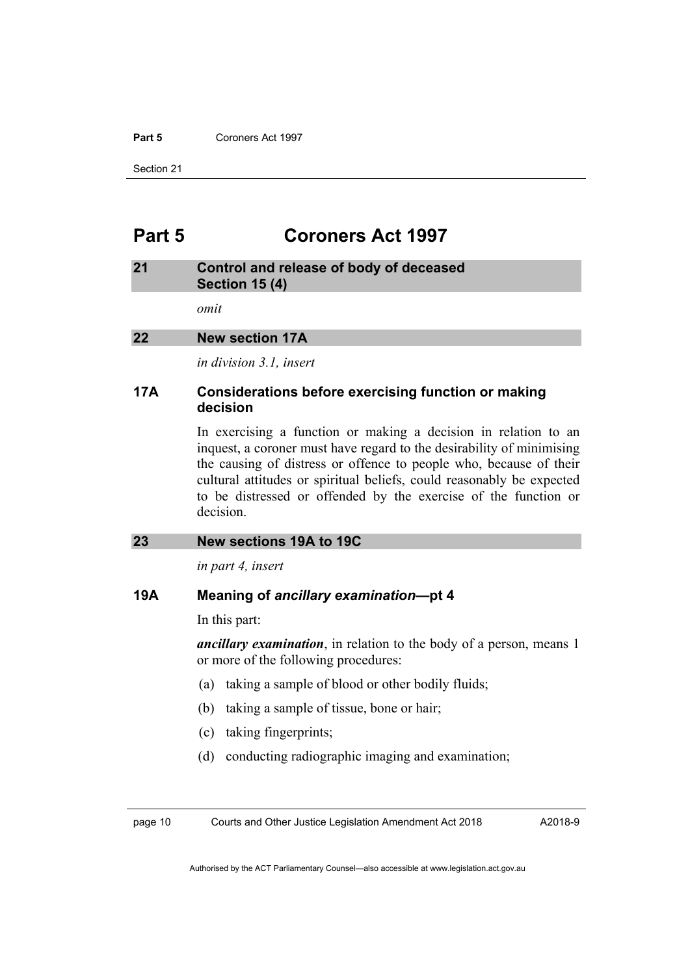#### **Part 5** Coroners Act 1997

Section 21

### <span id="page-17-0"></span>**Part 5 Coroners Act 1997**

#### <span id="page-17-1"></span>**21 Control and release of body of deceased Section 15 (4)**

*omit* 

#### <span id="page-17-2"></span>**22 New section 17A**

*in division 3.1, insert* 

#### **17A Considerations before exercising function or making decision**

In exercising a function or making a decision in relation to an inquest, a coroner must have regard to the desirability of minimising the causing of distress or offence to people who, because of their cultural attitudes or spiritual beliefs, could reasonably be expected to be distressed or offended by the exercise of the function or decision.

#### <span id="page-17-3"></span>**23 New sections 19A to 19C**

*in part 4, insert* 

#### **19A Meaning of** *ancillary examination***—pt 4**

In this part:

*ancillary examination*, in relation to the body of a person, means 1 or more of the following procedures:

- (a) taking a sample of blood or other bodily fluids;
- (b) taking a sample of tissue, bone or hair;
- (c) taking fingerprints;
- (d) conducting radiographic imaging and examination;

page 10 Courts and Other Justice Legislation Amendment Act 2018

A2018-9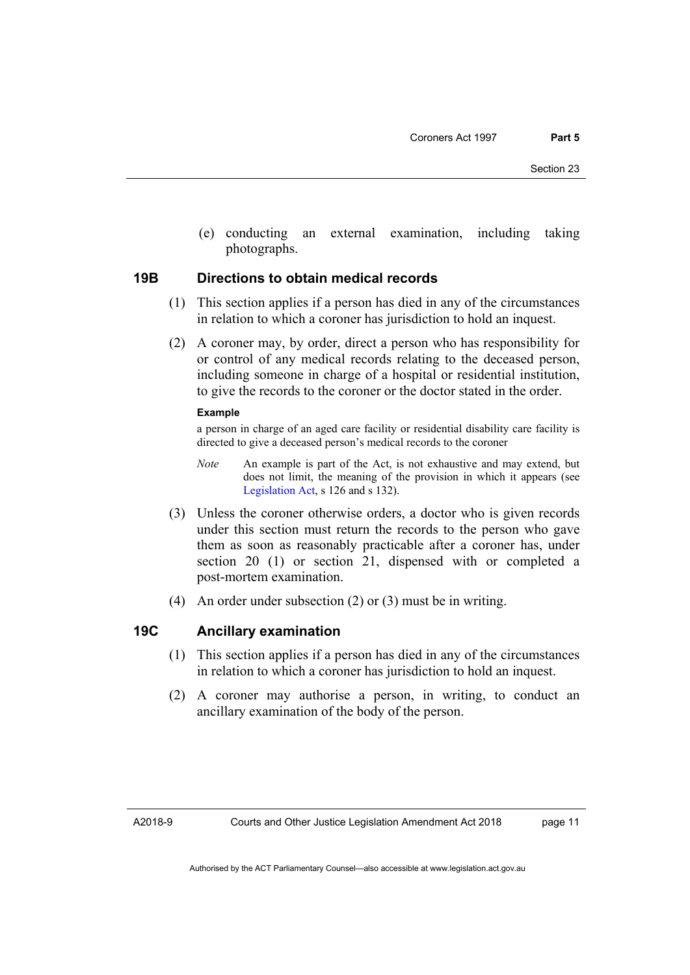(e) conducting an external examination, including taking photographs.

#### **19B Directions to obtain medical records**

- (1) This section applies if a person has died in any of the circumstances in relation to which a coroner has jurisdiction to hold an inquest.
- (2) A coroner may, by order, direct a person who has responsibility for or control of any medical records relating to the deceased person, including someone in charge of a hospital or residential institution, to give the records to the coroner or the doctor stated in the order.

#### **Example**

a person in charge of an aged care facility or residential disability care facility is directed to give a deceased person's medical records to the coroner

- *Note* An example is part of the Act, is not exhaustive and may extend, but does not limit, the meaning of the provision in which it appears (see [Legislation Act,](http://www.legislation.act.gov.au/a/2001-14) s 126 and s 132).
- (3) Unless the coroner otherwise orders, a doctor who is given records under this section must return the records to the person who gave them as soon as reasonably practicable after a coroner has, under section 20 (1) or section 21, dispensed with or completed a post-mortem examination.
- (4) An order under subsection (2) or (3) must be in writing.

#### **19C Ancillary examination**

- (1) This section applies if a person has died in any of the circumstances in relation to which a coroner has jurisdiction to hold an inquest.
- (2) A coroner may authorise a person, in writing, to conduct an ancillary examination of the body of the person.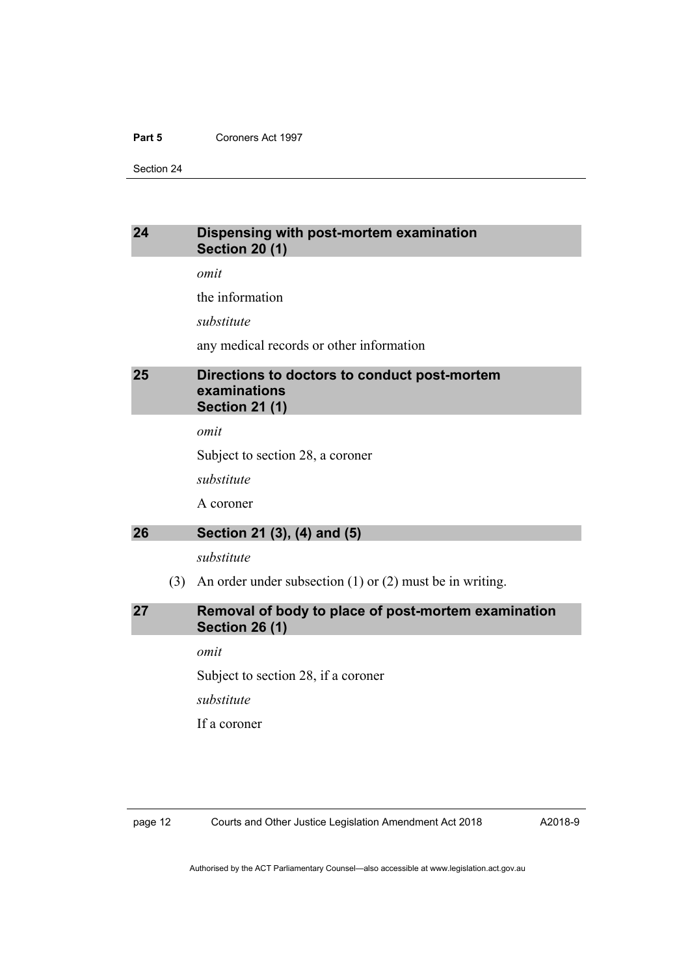#### **Part 5** Coroners Act 1997

Section 24

#### <span id="page-19-0"></span>**24 Dispensing with post-mortem examination Section 20 (1)**

*omit* 

the information

*substitute* 

any medical records or other information

#### <span id="page-19-1"></span>**25 Directions to doctors to conduct post-mortem examinations Section 21 (1)**

*omit* 

Subject to section 28, a coroner

*substitute* 

A coroner

#### <span id="page-19-2"></span>**26 Section 21 (3), (4) and (5)**

*substitute* 

(3) An order under subsection (1) or (2) must be in writing.

#### <span id="page-19-3"></span>**27 Removal of body to place of post-mortem examination Section 26 (1)**

*omit* 

Subject to section 28, if a coroner

*substitute* 

If a coroner

page 12 Courts and Other Justice Legislation Amendment Act 2018

A2018-9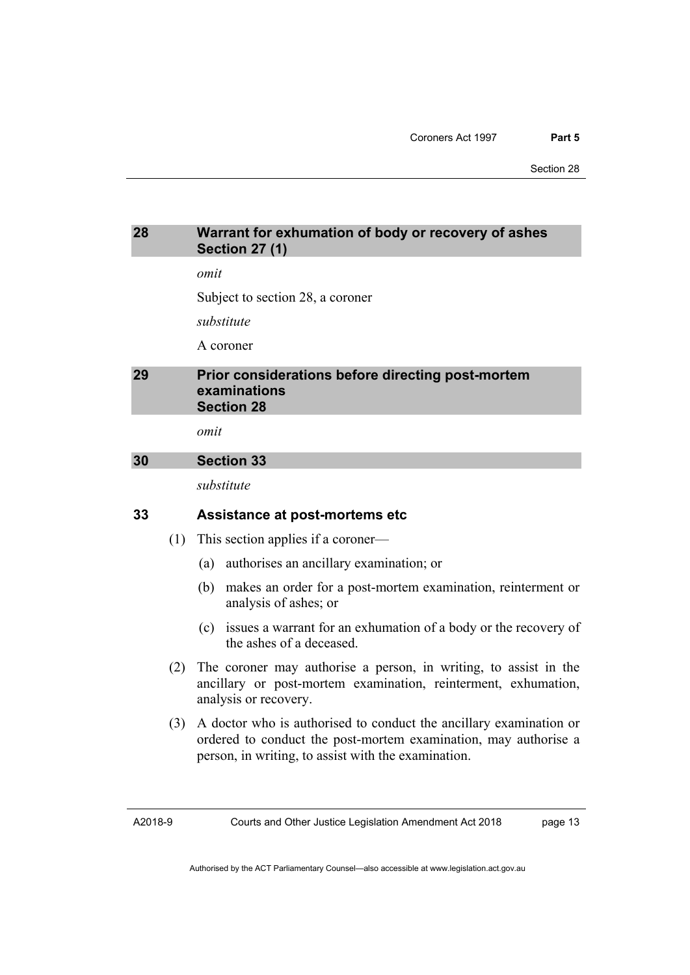#### <span id="page-20-0"></span>**28 Warrant for exhumation of body or recovery of ashes Section 27 (1)**

*omit* 

Subject to section 28, a coroner

*substitute* 

A coroner

#### <span id="page-20-1"></span>**29 Prior considerations before directing post-mortem examinations Section 28**

*omit* 

#### <span id="page-20-2"></span>**30 Section 33**

*substitute* 

#### **33 Assistance at post-mortems etc**

- (1) This section applies if a coroner—
	- (a) authorises an ancillary examination; or
	- (b) makes an order for a post-mortem examination, reinterment or analysis of ashes; or
	- (c) issues a warrant for an exhumation of a body or the recovery of the ashes of a deceased.
- (2) The coroner may authorise a person, in writing, to assist in the ancillary or post-mortem examination, reinterment, exhumation, analysis or recovery.
- (3) A doctor who is authorised to conduct the ancillary examination or ordered to conduct the post-mortem examination, may authorise a person, in writing, to assist with the examination.

A2018-9

page 13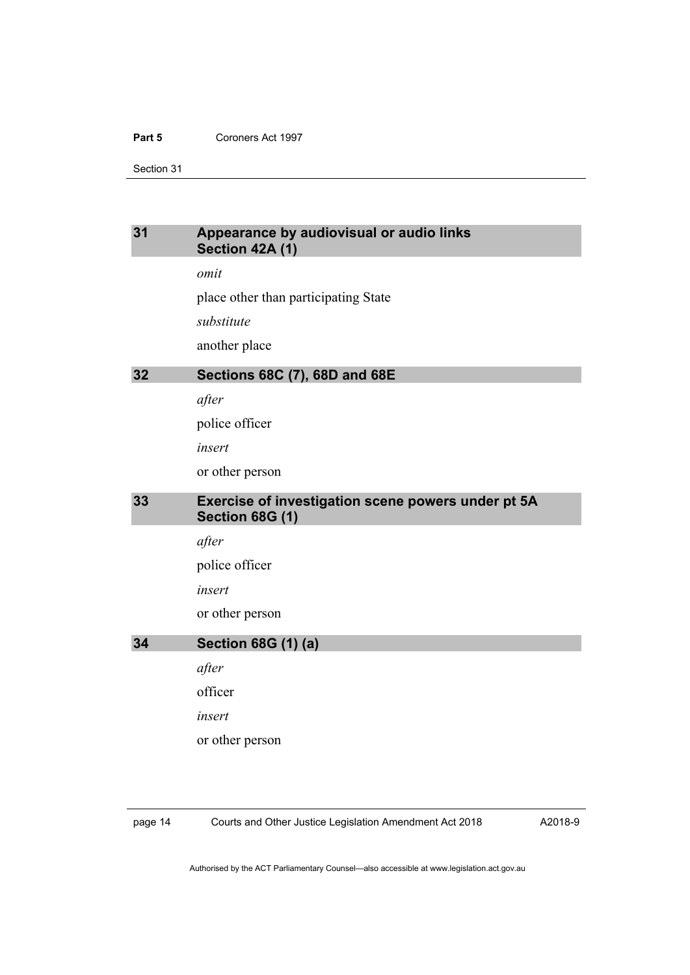#### **Part 5** Coroners Act 1997

Section 31

#### <span id="page-21-0"></span>**31 Appearance by audiovisual or audio links Section 42A (1)**

*omit* 

place other than participating State

*substitute* 

another place

#### <span id="page-21-1"></span>**32 Sections 68C (7), 68D and 68E**

*after* 

police officer

*insert* 

or other person

#### <span id="page-21-2"></span>**33 Exercise of investigation scene powers under pt 5A Section 68G (1)**

*after* 

police officer

*insert* 

or other person

### <span id="page-21-3"></span>**34 Section 68G (1) (a)**

*after* 

officer

*insert* 

or other person

page 14 Courts and Other Justice Legislation Amendment Act 2018

A2018-9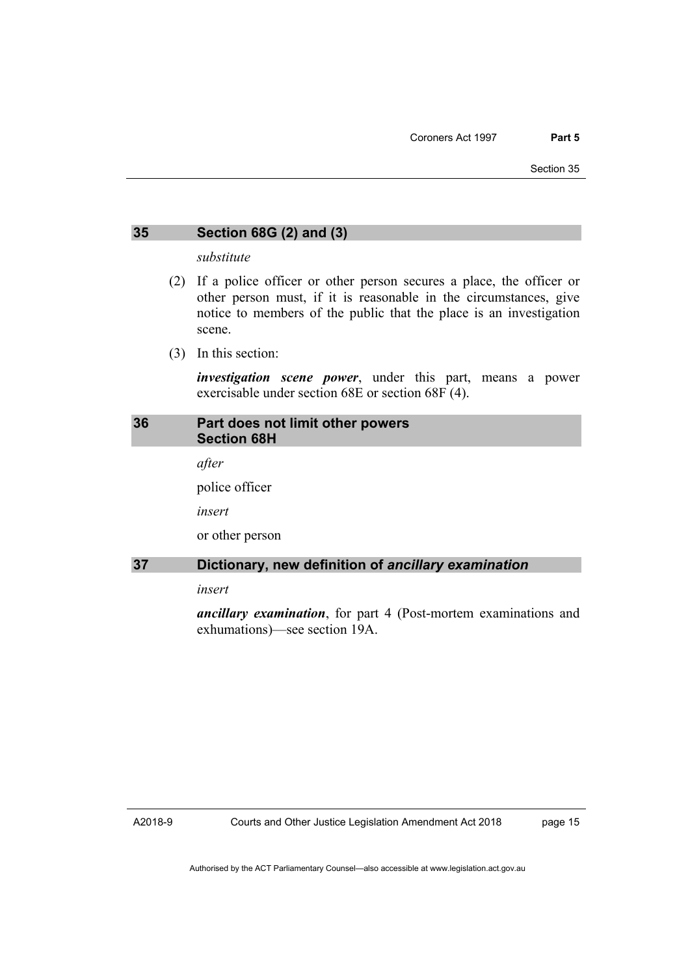#### <span id="page-22-0"></span>**35 Section 68G (2) and (3)**

*substitute* 

- (2) If a police officer or other person secures a place, the officer or other person must, if it is reasonable in the circumstances, give notice to members of the public that the place is an investigation scene.
- (3) In this section:

*investigation scene power*, under this part, means a power exercisable under section 68E or section 68F (4).

#### <span id="page-22-1"></span>**36 Part does not limit other powers Section 68H**

*after* 

police officer

*insert* 

or other person

#### <span id="page-22-2"></span>**37 Dictionary, new definition of** *ancillary examination*

*insert* 

*ancillary examination*, for part 4 (Post-mortem examinations and exhumations)—see section 19A.

A2018-9

page 15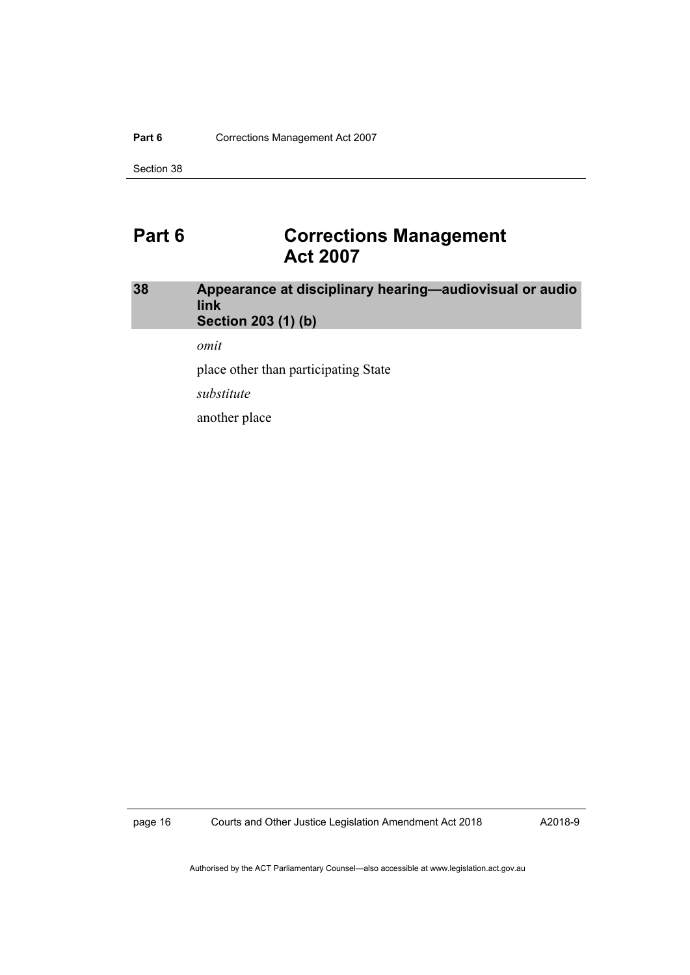#### Part 6 **Corrections Management Act 2007**

Section 38

### <span id="page-23-0"></span>**Part 6 Corrections Management Act 2007**

#### <span id="page-23-1"></span>**38 Appearance at disciplinary hearing—audiovisual or audio link Section 203 (1) (b)**

*omit* 

place other than participating State

*substitute* 

another place

page 16 Courts and Other Justice Legislation Amendment Act 2018

A2018-9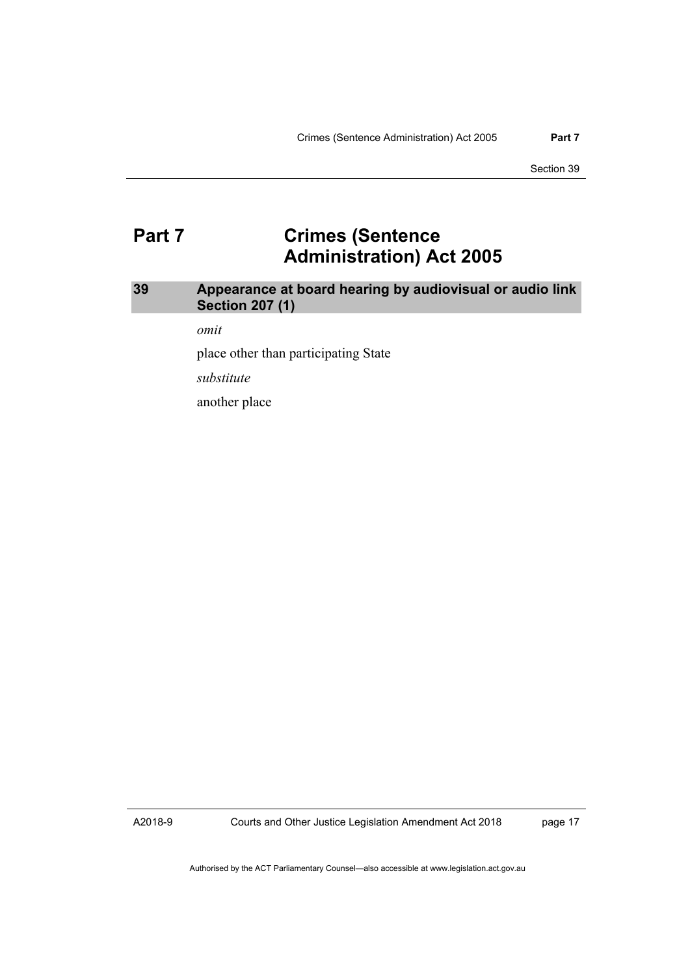### <span id="page-24-0"></span>**Part 7 Crimes (Sentence Administration) Act 2005**

### <span id="page-24-1"></span>**39 Appearance at board hearing by audiovisual or audio link Section 207 (1)**

*omit* 

place other than participating State

*substitute* 

another place

A2018-9

Courts and Other Justice Legislation Amendment Act 2018

page 17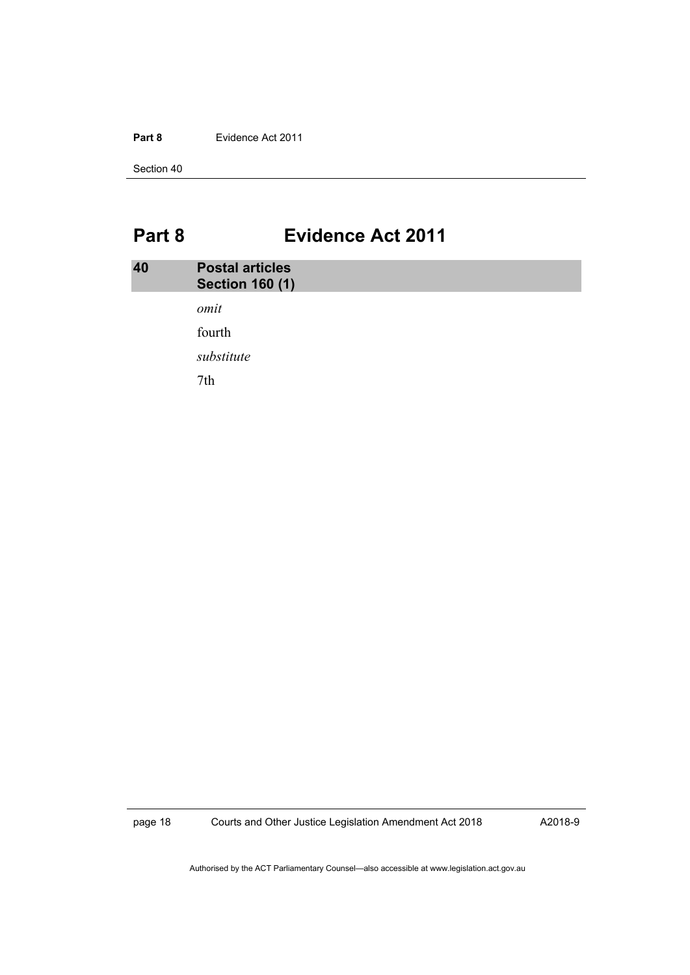#### **Part 8** Evidence Act 2011

Section 40

# <span id="page-25-0"></span>**Part 8 Evidence Act 2011**

<span id="page-25-1"></span>

| 40 | <b>Postal articles</b><br><b>Section 160 (1)</b> |  |  |
|----|--------------------------------------------------|--|--|
|    | omit                                             |  |  |
|    | fourth                                           |  |  |
|    | substitute                                       |  |  |
|    | 7th                                              |  |  |
|    |                                                  |  |  |

page 18 Courts and Other Justice Legislation Amendment Act 2018

A2018-9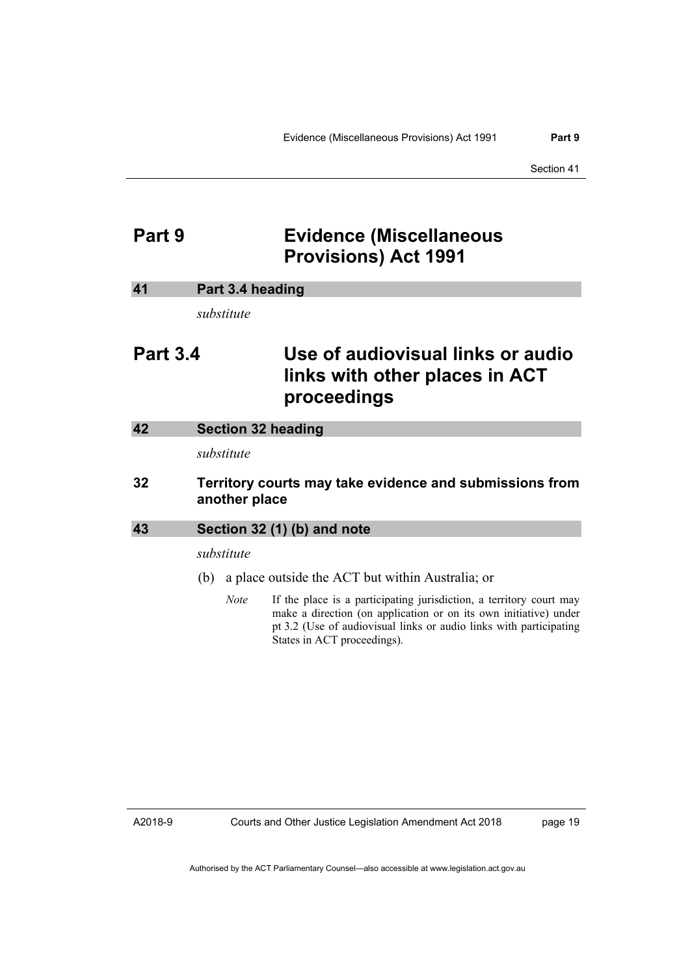### <span id="page-26-0"></span>**Part 9 Evidence (Miscellaneous Provisions) Act 1991**

#### <span id="page-26-1"></span>**41 Part 3.4 heading**

*substitute* 

## **Part 3.4 Use of audiovisual links or audio links with other places in ACT proceedings**

<span id="page-26-2"></span>

| 42 | Section 32 heading |
|----|--------------------|
|    |                    |

*substitute* 

#### **32 Territory courts may take evidence and submissions from another place**

#### <span id="page-26-3"></span>**43 Section 32 (1) (b) and note**

*substitute* 

- (b) a place outside the ACT but within Australia; or
	- *Note* If the place is a participating jurisdiction, a territory court may make a direction (on application or on its own initiative) under pt 3.2 (Use of audiovisual links or audio links with participating States in ACT proceedings).

A2018-9

Courts and Other Justice Legislation Amendment Act 2018

page 19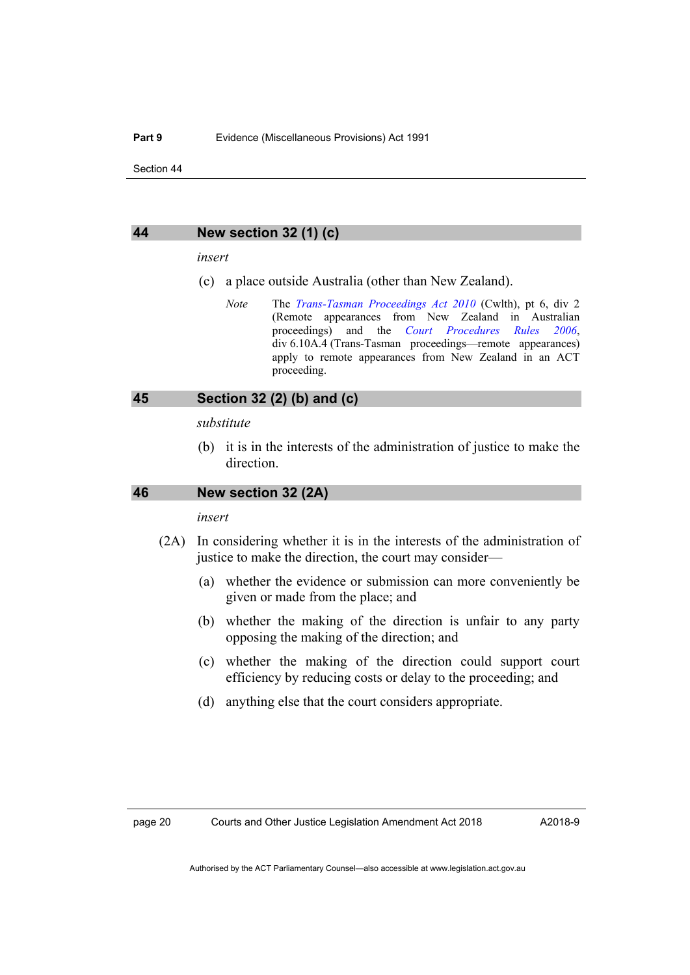#### <span id="page-27-0"></span>**44 New section 32 (1) (c)**

#### *insert*

- (c) a place outside Australia (other than New Zealand).
	- *Note* The *[Trans-Tasman Proceedings Act 2010](https://www.legislation.gov.au/Series/C2010A00035)* (Cwlth), pt 6, div 2 (Remote appearances from New Zealand in Australian proceedings) and the *[Court Procedures Rules 2006](http://www.legislation.act.gov.au/sl/2006-29)*, div 6.10A.4 (Trans-Tasman proceedings—remote appearances) apply to remote appearances from New Zealand in an ACT proceeding.

#### <span id="page-27-1"></span>**45 Section 32 (2) (b) and (c)**

#### *substitute*

 (b) it is in the interests of the administration of justice to make the direction.

#### <span id="page-27-2"></span>**46 New section 32 (2A)**

#### *insert*

- (2A) In considering whether it is in the interests of the administration of justice to make the direction, the court may consider—
	- (a) whether the evidence or submission can more conveniently be given or made from the place; and
	- (b) whether the making of the direction is unfair to any party opposing the making of the direction; and
	- (c) whether the making of the direction could support court efficiency by reducing costs or delay to the proceeding; and
	- (d) anything else that the court considers appropriate.

A2018-9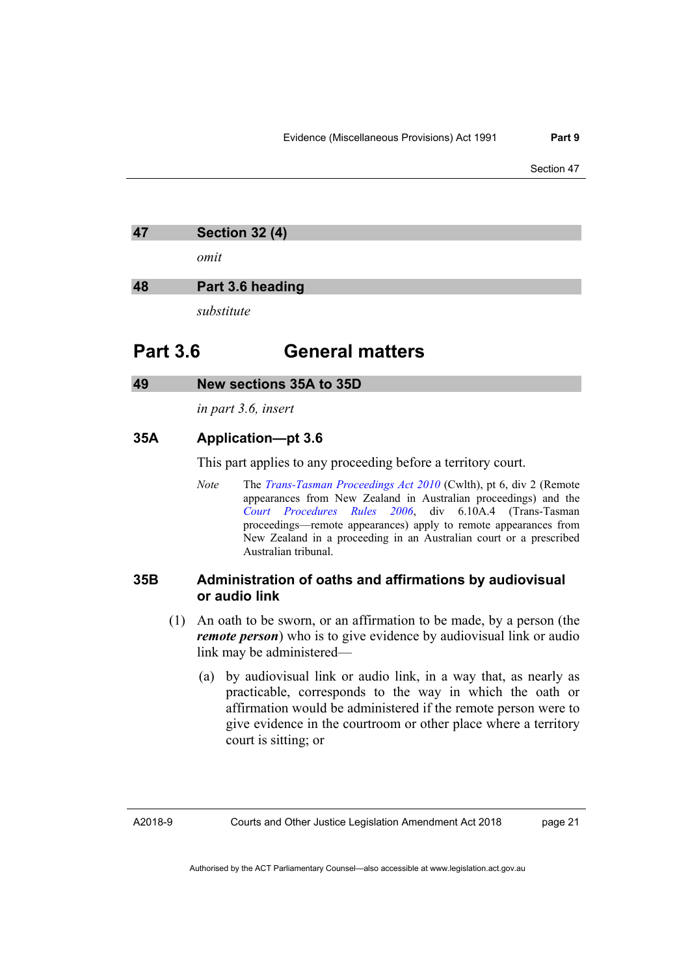<span id="page-28-0"></span>

| <b>Section 32 (4)</b><br>47 |
|-----------------------------|
|-----------------------------|

*omit* 

#### <span id="page-28-1"></span>**48 Part 3.6 heading**

*substitute* 

### **Part 3.6 General matters**

#### <span id="page-28-2"></span>**49 New sections 35A to 35D**

*in part 3.6, insert* 

#### **35A Application—pt 3.6**

This part applies to any proceeding before a territory court.

*Note* The *[Trans-Tasman Proceedings Act 2010](https://www.legislation.gov.au/Series/C2010A00035)* (Cwlth), pt 6, div 2 (Remote appearances from New Zealand in Australian proceedings) and the *[Court Procedures Rules 2006](http://www.legislation.act.gov.au/sl/2006-29)*, div 6.10A.4 (Trans-Tasman proceedings—remote appearances) apply to remote appearances from New Zealand in a proceeding in an Australian court or a prescribed Australian tribunal.

#### **35B Administration of oaths and affirmations by audiovisual or audio link**

- (1) An oath to be sworn, or an affirmation to be made, by a person (the *remote person*) who is to give evidence by audiovisual link or audio link may be administered—
	- (a) by audiovisual link or audio link, in a way that, as nearly as practicable, corresponds to the way in which the oath or affirmation would be administered if the remote person were to give evidence in the courtroom or other place where a territory court is sitting; or

page 21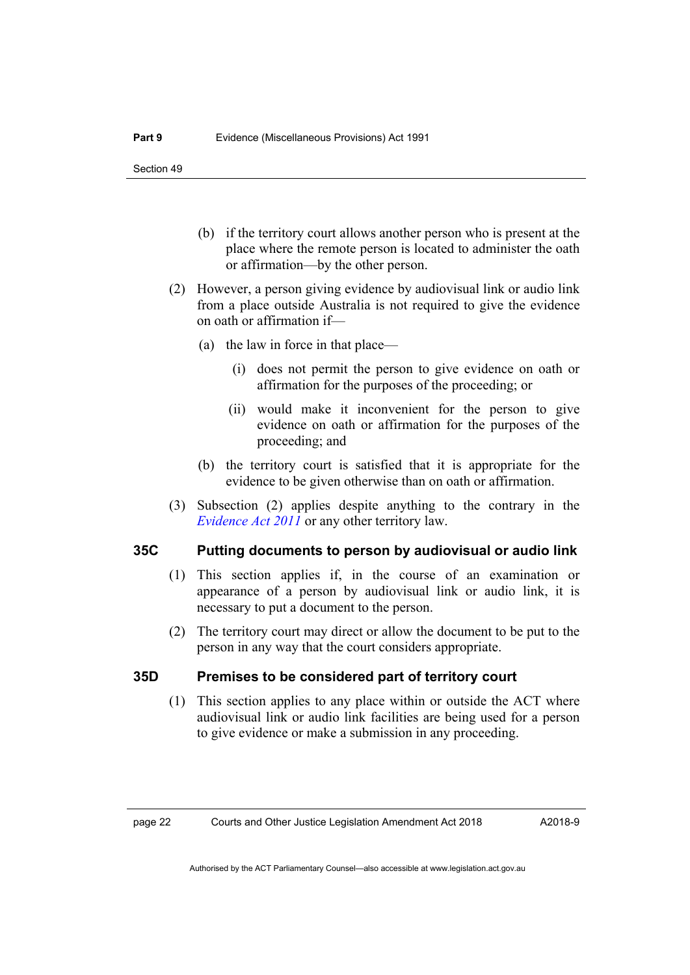- (b) if the territory court allows another person who is present at the place where the remote person is located to administer the oath or affirmation—by the other person.
- (2) However, a person giving evidence by audiovisual link or audio link from a place outside Australia is not required to give the evidence on oath or affirmation if—
	- (a) the law in force in that place—
		- (i) does not permit the person to give evidence on oath or affirmation for the purposes of the proceeding; or
		- (ii) would make it inconvenient for the person to give evidence on oath or affirmation for the purposes of the proceeding; and
	- (b) the territory court is satisfied that it is appropriate for the evidence to be given otherwise than on oath or affirmation.
- (3) Subsection (2) applies despite anything to the contrary in the *[Evidence Act 2011](http://www.legislation.act.gov.au/a/2011-12)* or any other territory law.

#### **35C Putting documents to person by audiovisual or audio link**

- (1) This section applies if, in the course of an examination or appearance of a person by audiovisual link or audio link, it is necessary to put a document to the person.
- (2) The territory court may direct or allow the document to be put to the person in any way that the court considers appropriate.

#### **35D Premises to be considered part of territory court**

 (1) This section applies to any place within or outside the ACT where audiovisual link or audio link facilities are being used for a person to give evidence or make a submission in any proceeding.

A2018-9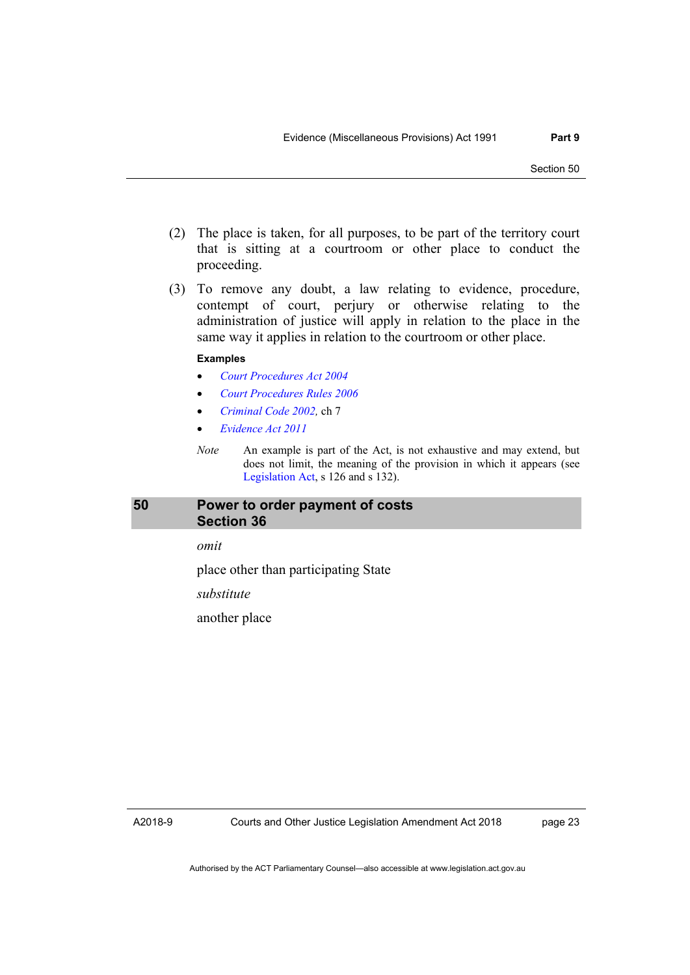- (2) The place is taken, for all purposes, to be part of the territory court that is sitting at a courtroom or other place to conduct the proceeding.
- (3) To remove any doubt, a law relating to evidence, procedure, contempt of court, perjury or otherwise relating to the administration of justice will apply in relation to the place in the same way it applies in relation to the courtroom or other place.

#### **Examples**

- *[Court Procedures Act 2004](http://www.legislation.act.gov.au/a/2004-59)*
- *[Court Procedures Rules 2006](http://www.legislation.act.gov.au/sl/2006-29)*
- *[Criminal Code 2002](http://www.legislation.act.gov.au/a/2002-51),* ch 7
- *[Evidence Act 2011](http://www.legislation.act.gov.au/a/2011-12)*
- *Note* An example is part of the Act, is not exhaustive and may extend, but does not limit, the meaning of the provision in which it appears (see [Legislation Act,](http://www.legislation.act.gov.au/a/2001-14) s 126 and s 132).

#### <span id="page-30-0"></span>**50 Power to order payment of costs Section 36**

*omit* 

place other than participating State

*substitute* 

another place

A2018-9

page 23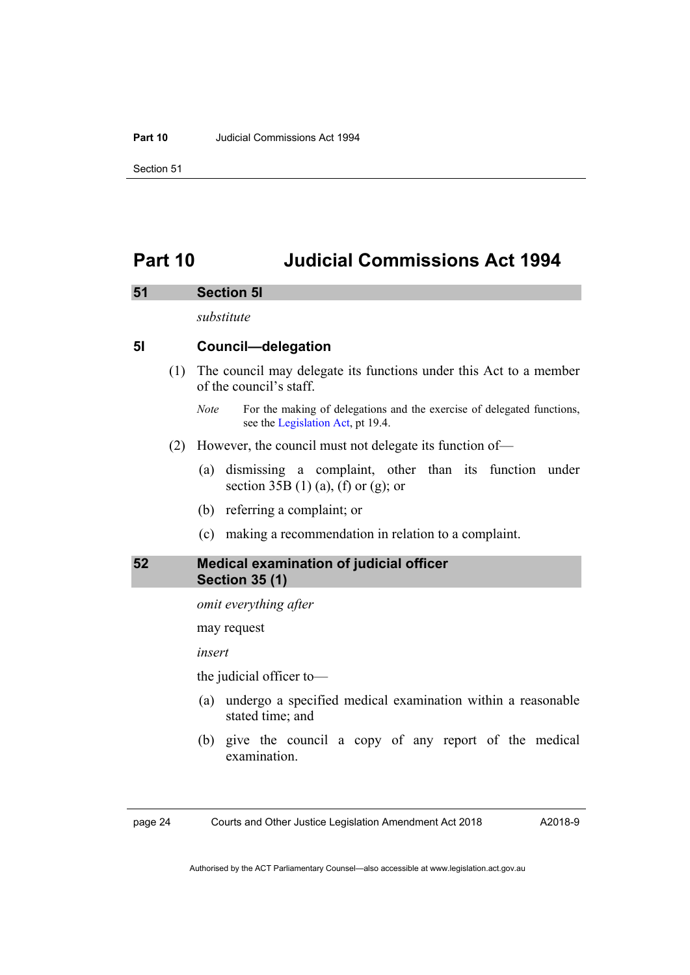#### **Part 10** Judicial Commissions Act 1994

Section 51

## <span id="page-31-0"></span>**Part 10 Judicial Commissions Act 1994**

#### <span id="page-31-1"></span>**51 Section 5I**

*substitute* 

#### **5I Council—delegation**

 (1) The council may delegate its functions under this Act to a member of the council's staff.

- (2) However, the council must not delegate its function of—
	- (a) dismissing a complaint, other than its function under section  $35B(1)(a)$ , (f) or (g); or
	- (b) referring a complaint; or
	- (c) making a recommendation in relation to a complaint.

#### <span id="page-31-2"></span>**52 Medical examination of judicial officer Section 35 (1)**

*omit everything after* 

may request

*insert* 

the judicial officer to—

- (a) undergo a specified medical examination within a reasonable stated time; and
- (b) give the council a copy of any report of the medical examination.

page 24 Courts and Other Justice Legislation Amendment Act 2018

A2018-9

*Note* For the making of delegations and the exercise of delegated functions, see the [Legislation Act,](http://www.legislation.act.gov.au/a/2001-14) pt 19.4.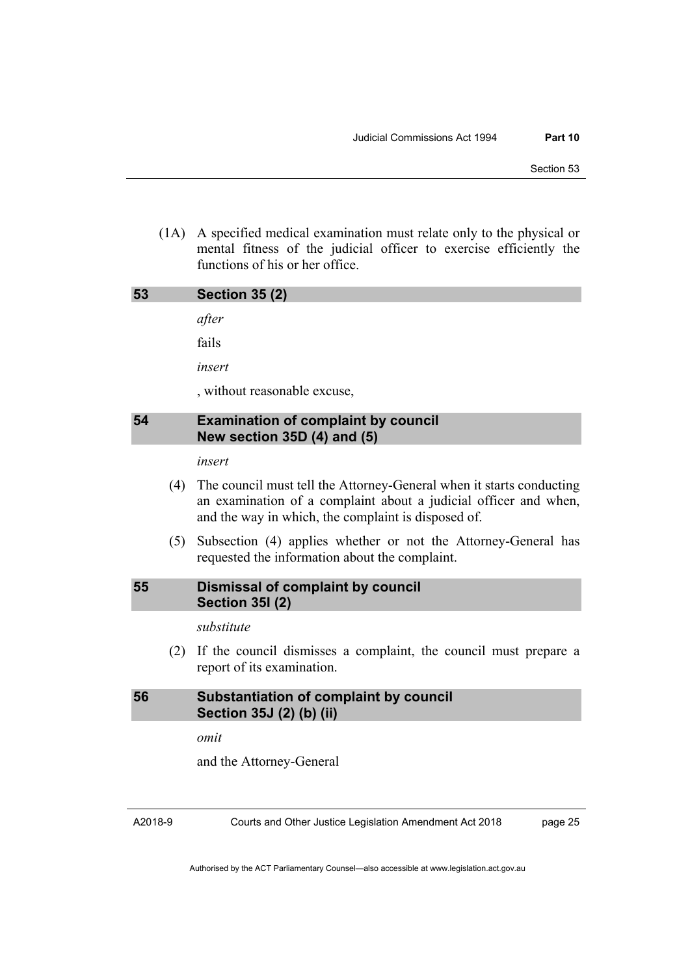(1A) A specified medical examination must relate only to the physical or mental fitness of the judicial officer to exercise efficiently the functions of his or her office.

<span id="page-32-1"></span><span id="page-32-0"></span>

| 53 | <b>Section 35 (2)</b>                                                        |
|----|------------------------------------------------------------------------------|
|    | after                                                                        |
|    | fails                                                                        |
|    | insert                                                                       |
|    | , without reasonable excuse,                                                 |
|    |                                                                              |
| 54 | <b>Examination of complaint by council</b><br>New section $35D(4)$ and $(5)$ |
|    | insert                                                                       |

 (5) Subsection (4) applies whether or not the Attorney-General has requested the information about the complaint.

#### <span id="page-32-2"></span>**55 Dismissal of complaint by council Section 35I (2)**

*substitute* 

 (2) If the council dismisses a complaint, the council must prepare a report of its examination.

### <span id="page-32-3"></span>**56 Substantiation of complaint by council Section 35J (2) (b) (ii)**

*omit* 

and the Attorney-General

A2018-9

Courts and Other Justice Legislation Amendment Act 2018

page 25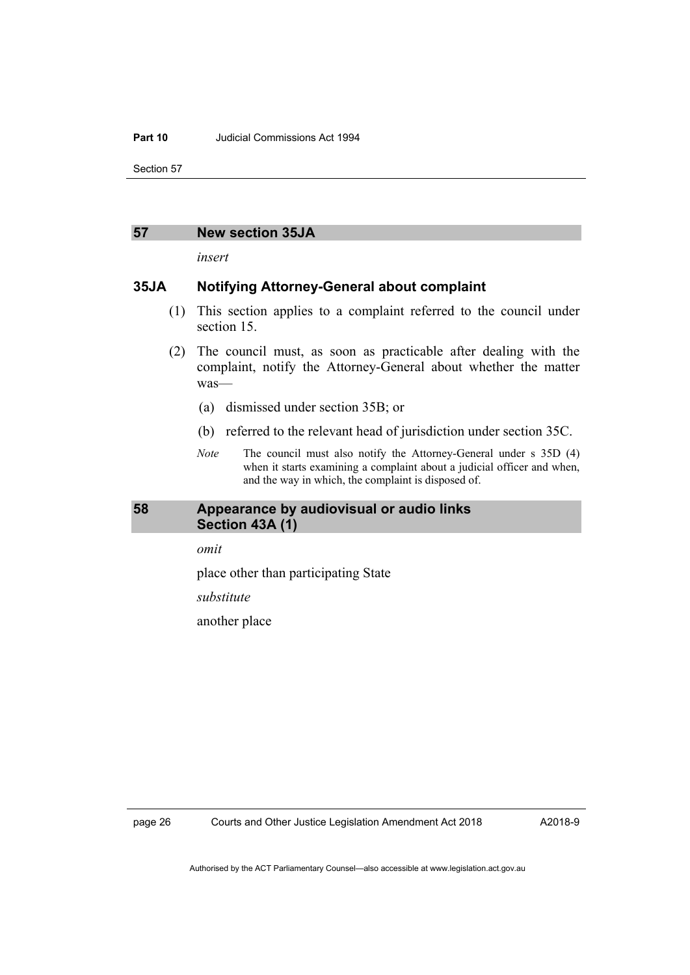#### **Part 10** Judicial Commissions Act 1994

Section 57

#### <span id="page-33-0"></span>**57 New section 35JA**

*insert* 

#### **35JA Notifying Attorney-General about complaint**

- (1) This section applies to a complaint referred to the council under section 15.
- (2) The council must, as soon as practicable after dealing with the complaint, notify the Attorney-General about whether the matter was—
	- (a) dismissed under section 35B; or
	- (b) referred to the relevant head of jurisdiction under section 35C.
	- *Note* The council must also notify the Attorney-General under s 35D (4) when it starts examining a complaint about a judicial officer and when, and the way in which, the complaint is disposed of.

#### <span id="page-33-1"></span>**58 Appearance by audiovisual or audio links Section 43A (1)**

*omit* 

place other than participating State

*substitute* 

another place

A2018-9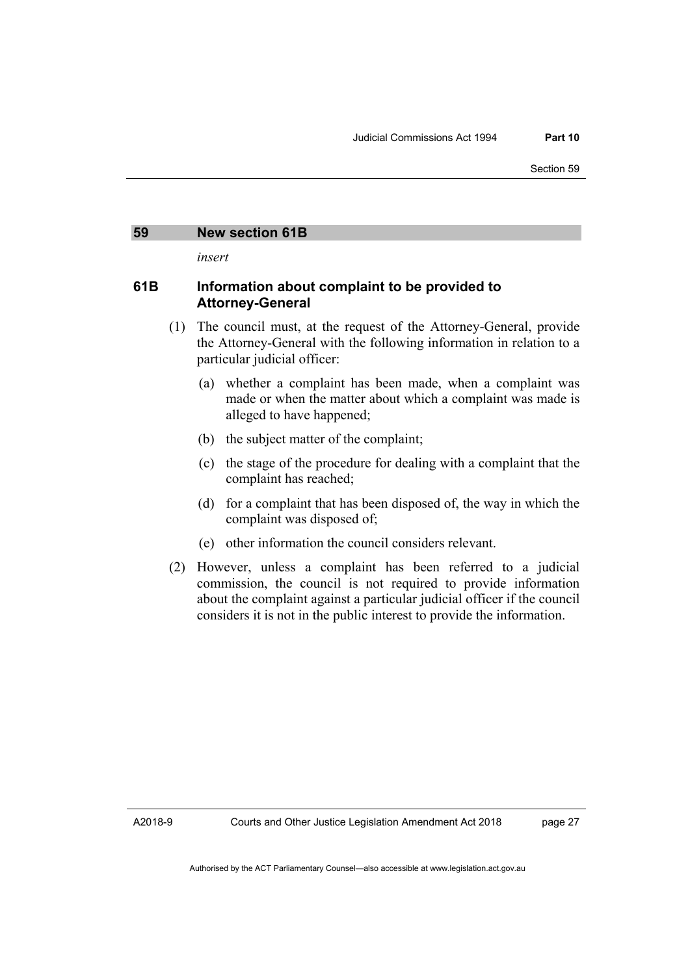#### <span id="page-34-0"></span>**59 New section 61B**

*insert* 

#### **61B Information about complaint to be provided to Attorney-General**

- (1) The council must, at the request of the Attorney-General, provide the Attorney-General with the following information in relation to a particular judicial officer:
	- (a) whether a complaint has been made, when a complaint was made or when the matter about which a complaint was made is alleged to have happened;
	- (b) the subject matter of the complaint;
	- (c) the stage of the procedure for dealing with a complaint that the complaint has reached;
	- (d) for a complaint that has been disposed of, the way in which the complaint was disposed of;
	- (e) other information the council considers relevant.
- (2) However, unless a complaint has been referred to a judicial commission, the council is not required to provide information about the complaint against a particular judicial officer if the council considers it is not in the public interest to provide the information.

page 27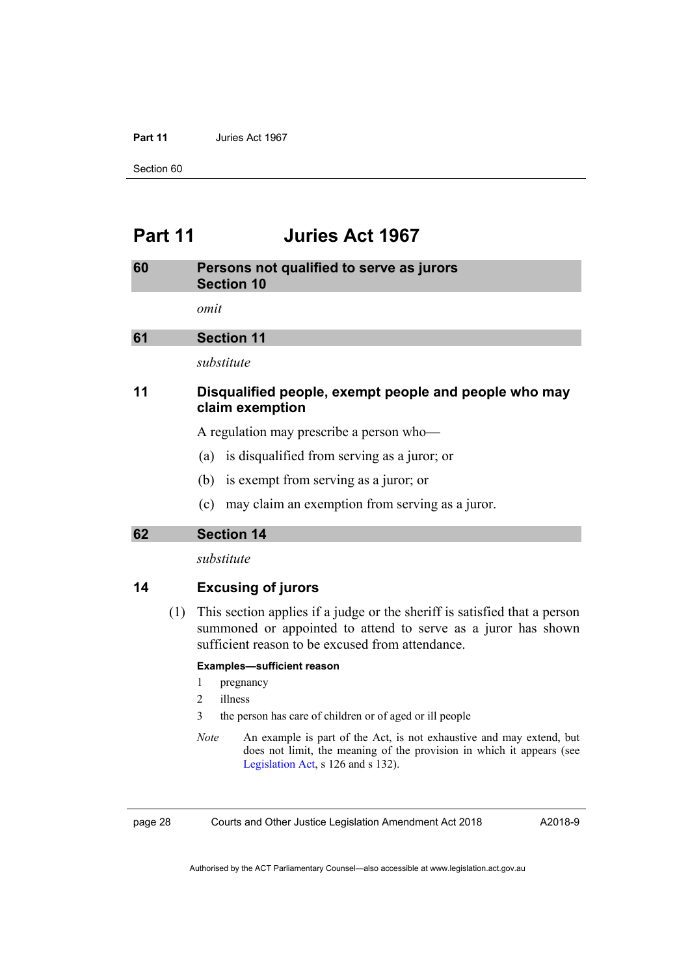#### **Part 11** Juries Act 1967

Section 60

### <span id="page-35-0"></span>**Part 11 Juries Act 1967**

<span id="page-35-2"></span><span id="page-35-1"></span>

| 60 | Persons not qualified to serve as jurors<br><b>Section 10</b>            |  |
|----|--------------------------------------------------------------------------|--|
|    | omit                                                                     |  |
| 61 | <b>Section 11</b>                                                        |  |
|    | substitute                                                               |  |
| 11 | Disqualified people, exempt people and people who may<br>claim exemption |  |
|    | A regulation may prescribe a person who-                                 |  |
|    | is disqualified from serving as a juror; or<br>(a)                       |  |
|    | is exempt from serving as a juror; or<br>(b)                             |  |

(c) may claim an exemption from serving as a juror.

<span id="page-35-3"></span>**62 Section 14** 

*substitute* 

#### **14 Excusing of jurors**

 (1) This section applies if a judge or the sheriff is satisfied that a person summoned or appointed to attend to serve as a juror has shown sufficient reason to be excused from attendance.

#### **Examples—sufficient reason**

- 1 pregnancy
- 2 illness
- 3 the person has care of children or of aged or ill people
- *Note* An example is part of the Act, is not exhaustive and may extend, but does not limit, the meaning of the provision in which it appears (see [Legislation Act,](http://www.legislation.act.gov.au/a/2001-14) s 126 and s 132).

page 28 Courts and Other Justice Legislation Amendment Act 2018

A2018-9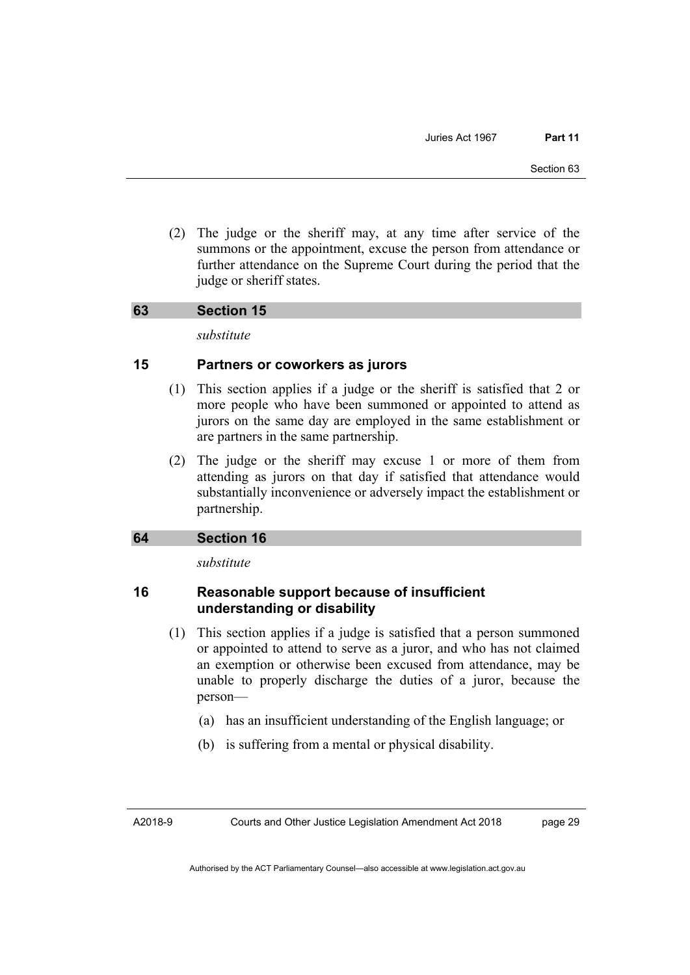(2) The judge or the sheriff may, at any time after service of the summons or the appointment, excuse the person from attendance or further attendance on the Supreme Court during the period that the judge or sheriff states.

#### **63 Section 15**

*substitute* 

#### **15 Partners or coworkers as jurors**

- (1) This section applies if a judge or the sheriff is satisfied that 2 or more people who have been summoned or appointed to attend as jurors on the same day are employed in the same establishment or are partners in the same partnership.
- (2) The judge or the sheriff may excuse 1 or more of them from attending as jurors on that day if satisfied that attendance would substantially inconvenience or adversely impact the establishment or partnership.

#### **64 Section 16**

*substitute* 

#### **16 Reasonable support because of insufficient understanding or disability**

- (1) This section applies if a judge is satisfied that a person summoned or appointed to attend to serve as a juror, and who has not claimed an exemption or otherwise been excused from attendance, may be unable to properly discharge the duties of a juror, because the person—
	- (a) has an insufficient understanding of the English language; or
	- (b) is suffering from a mental or physical disability.

Courts and Other Justice Legislation Amendment Act 2018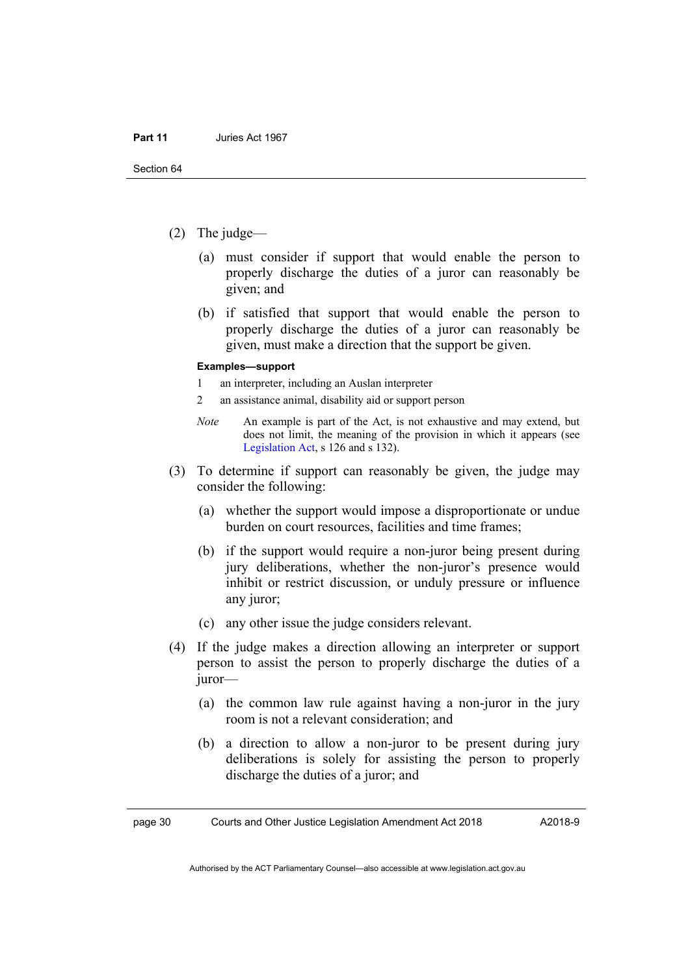- (2) The judge—
	- (a) must consider if support that would enable the person to properly discharge the duties of a juror can reasonably be given; and
	- (b) if satisfied that support that would enable the person to properly discharge the duties of a juror can reasonably be given, must make a direction that the support be given.

#### **Examples—support**

- 1 an interpreter, including an Auslan interpreter
- 2 an assistance animal, disability aid or support person
- *Note* An example is part of the Act, is not exhaustive and may extend, but does not limit, the meaning of the provision in which it appears (see [Legislation Act,](http://www.legislation.act.gov.au/a/2001-14) s 126 and s 132).
- (3) To determine if support can reasonably be given, the judge may consider the following:
	- (a) whether the support would impose a disproportionate or undue burden on court resources, facilities and time frames;
	- (b) if the support would require a non-juror being present during jury deliberations, whether the non-juror's presence would inhibit or restrict discussion, or unduly pressure or influence any juror;
	- (c) any other issue the judge considers relevant.
- (4) If the judge makes a direction allowing an interpreter or support person to assist the person to properly discharge the duties of a juror—
	- (a) the common law rule against having a non-juror in the jury room is not a relevant consideration; and
	- (b) a direction to allow a non-juror to be present during jury deliberations is solely for assisting the person to properly discharge the duties of a juror; and

page 30 Courts and Other Justice Legislation Amendment Act 2018

A2018-9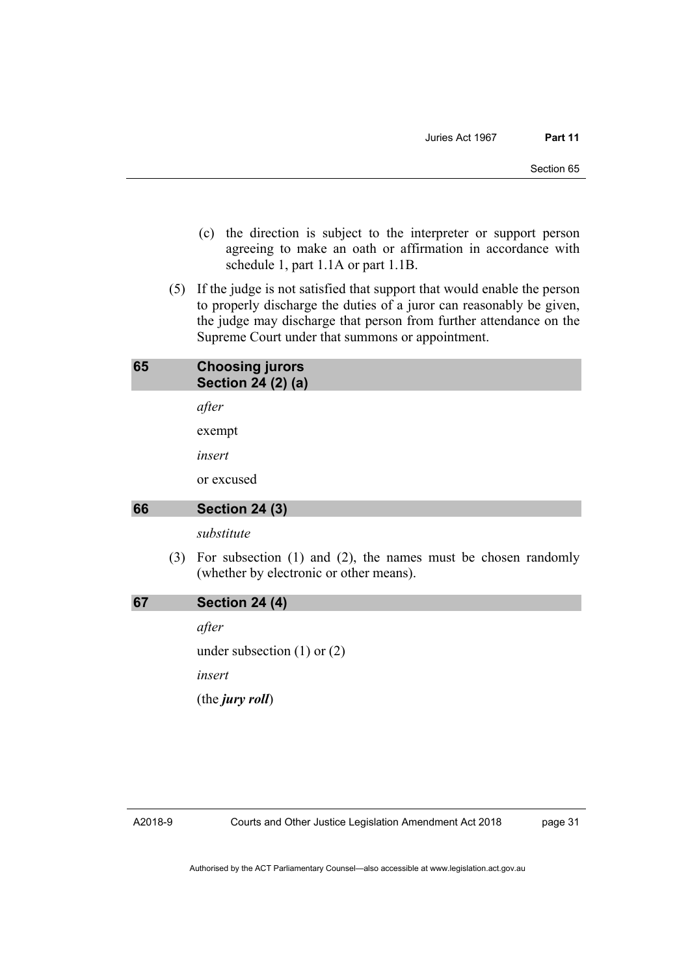- (c) the direction is subject to the interpreter or support person agreeing to make an oath or affirmation in accordance with schedule 1, part 1.1A or part 1.1B.
- (5) If the judge is not satisfied that support that would enable the person to properly discharge the duties of a juror can reasonably be given, the judge may discharge that person from further attendance on the Supreme Court under that summons or appointment.

#### **65 Choosing jurors Section 24 (2) (a)**

*after* 

exempt

*insert* 

or excused

#### **66 Section 24 (3)**

*substitute* 

 (3) For subsection (1) and (2), the names must be chosen randomly (whether by electronic or other means).

**67 Section 24 (4)** 

*after* 

under subsection (1) or (2)

*insert* 

(the *jury roll*)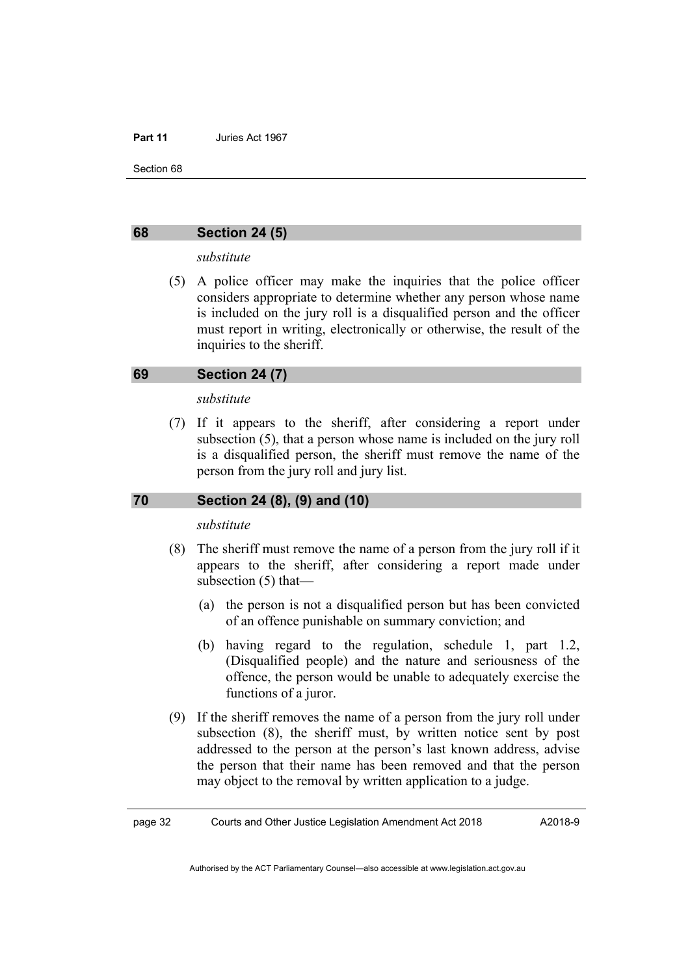Section 68

#### **68 Section 24 (5)**

#### *substitute*

 (5) A police officer may make the inquiries that the police officer considers appropriate to determine whether any person whose name is included on the jury roll is a disqualified person and the officer must report in writing, electronically or otherwise, the result of the inquiries to the sheriff.

#### **69 Section 24 (7)**

#### *substitute*

 (7) If it appears to the sheriff, after considering a report under subsection (5), that a person whose name is included on the jury roll is a disqualified person, the sheriff must remove the name of the person from the jury roll and jury list.

#### **70 Section 24 (8), (9) and (10)**

#### *substitute*

- (8) The sheriff must remove the name of a person from the jury roll if it appears to the sheriff, after considering a report made under subsection (5) that—
	- (a) the person is not a disqualified person but has been convicted of an offence punishable on summary conviction; and
	- (b) having regard to the regulation, schedule 1, part 1.2, (Disqualified people) and the nature and seriousness of the offence, the person would be unable to adequately exercise the functions of a juror.
- (9) If the sheriff removes the name of a person from the jury roll under subsection (8), the sheriff must, by written notice sent by post addressed to the person at the person's last known address, advise the person that their name has been removed and that the person may object to the removal by written application to a judge.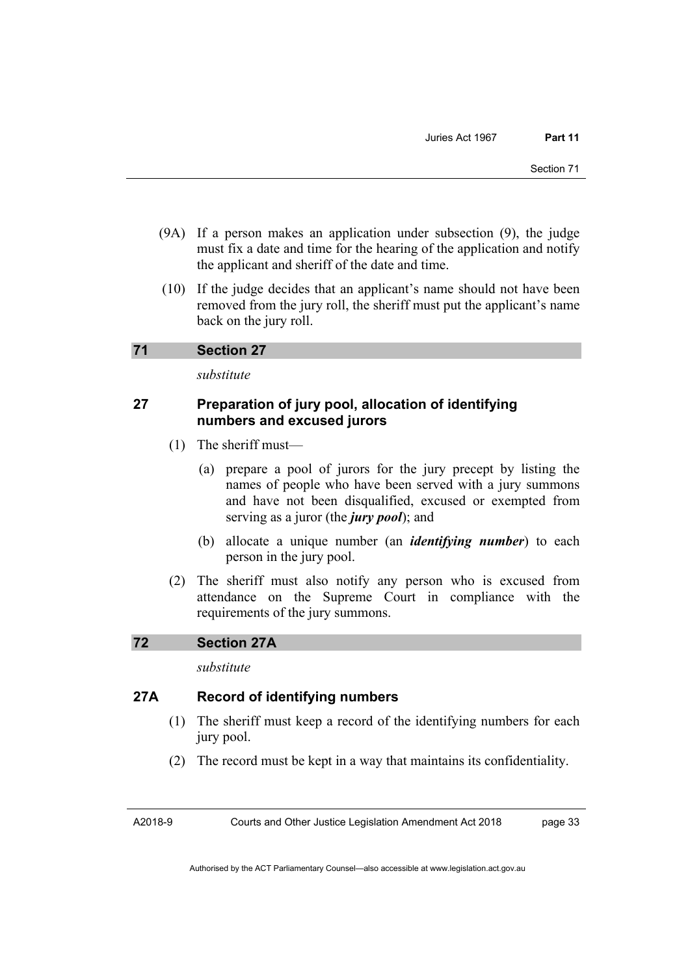- (9A) If a person makes an application under subsection (9), the judge must fix a date and time for the hearing of the application and notify the applicant and sheriff of the date and time.
- (10) If the judge decides that an applicant's name should not have been removed from the jury roll, the sheriff must put the applicant's name back on the jury roll.

#### **71 Section 27**

*substitute* 

### **27 Preparation of jury pool, allocation of identifying numbers and excused jurors**

- (1) The sheriff must—
	- (a) prepare a pool of jurors for the jury precept by listing the names of people who have been served with a jury summons and have not been disqualified, excused or exempted from serving as a juror (the *jury pool*); and
	- (b) allocate a unique number (an *identifying number*) to each person in the jury pool.
- (2) The sheriff must also notify any person who is excused from attendance on the Supreme Court in compliance with the requirements of the jury summons.

## **72 Section 27A**

*substitute* 

## **27A Record of identifying numbers**

- (1) The sheriff must keep a record of the identifying numbers for each jury pool.
- (2) The record must be kept in a way that maintains its confidentiality.

Courts and Other Justice Legislation Amendment Act 2018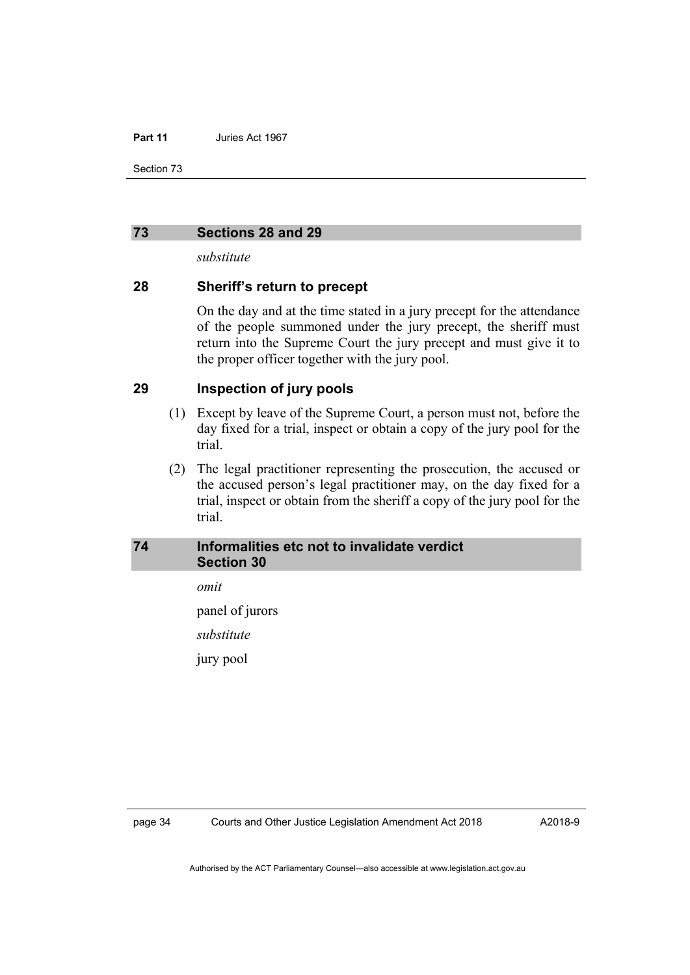Section 73

#### **73 Sections 28 and 29**

*substitute* 

#### **28 Sheriff's return to precept**

On the day and at the time stated in a jury precept for the attendance of the people summoned under the jury precept, the sheriff must return into the Supreme Court the jury precept and must give it to the proper officer together with the jury pool.

## **29 Inspection of jury pools**

- (1) Except by leave of the Supreme Court, a person must not, before the day fixed for a trial, inspect or obtain a copy of the jury pool for the trial.
- (2) The legal practitioner representing the prosecution, the accused or the accused person's legal practitioner may, on the day fixed for a trial, inspect or obtain from the sheriff a copy of the jury pool for the trial.

### **74 Informalities etc not to invalidate verdict Section 30**

*omit* 

panel of jurors

*substitute* 

jury pool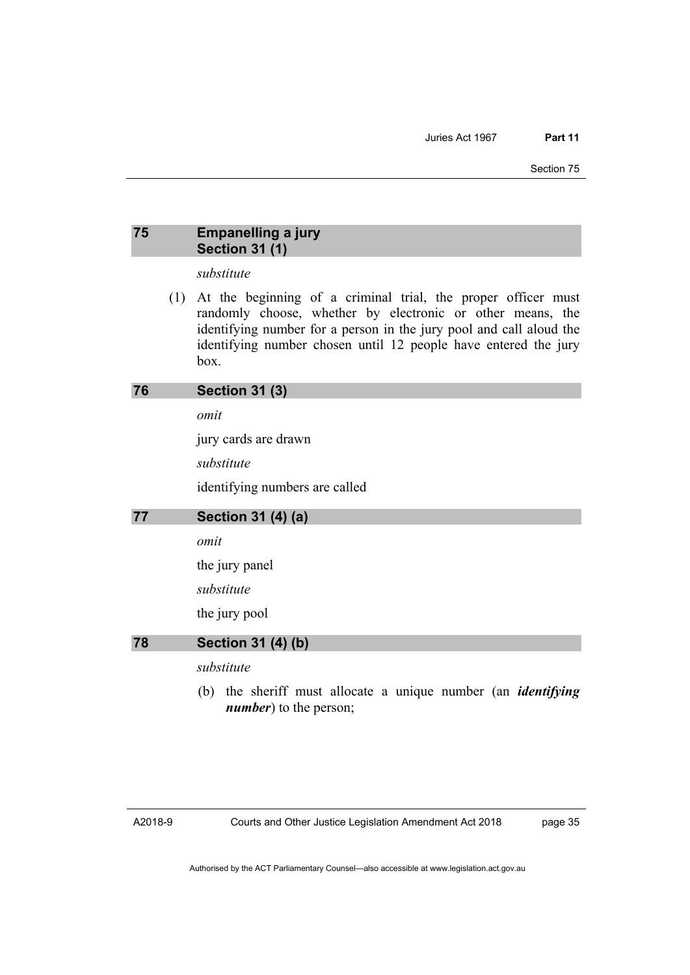## **75 Empanelling a jury Section 31 (1)**

### *substitute*

 (1) At the beginning of a criminal trial, the proper officer must randomly choose, whether by electronic or other means, the identifying number for a person in the jury pool and call aloud the identifying number chosen until 12 people have entered the jury box.

### **76 Section 31 (3)**

*omit* 

jury cards are drawn

*substitute* 

identifying numbers are called

#### **77 Section 31 (4) (a)**

#### *omit*

the jury panel

*substitute* 

the jury pool

**78 Section 31 (4) (b)** 

*substitute* 

 (b) the sheriff must allocate a unique number (an *identifying number*) to the person;

page 35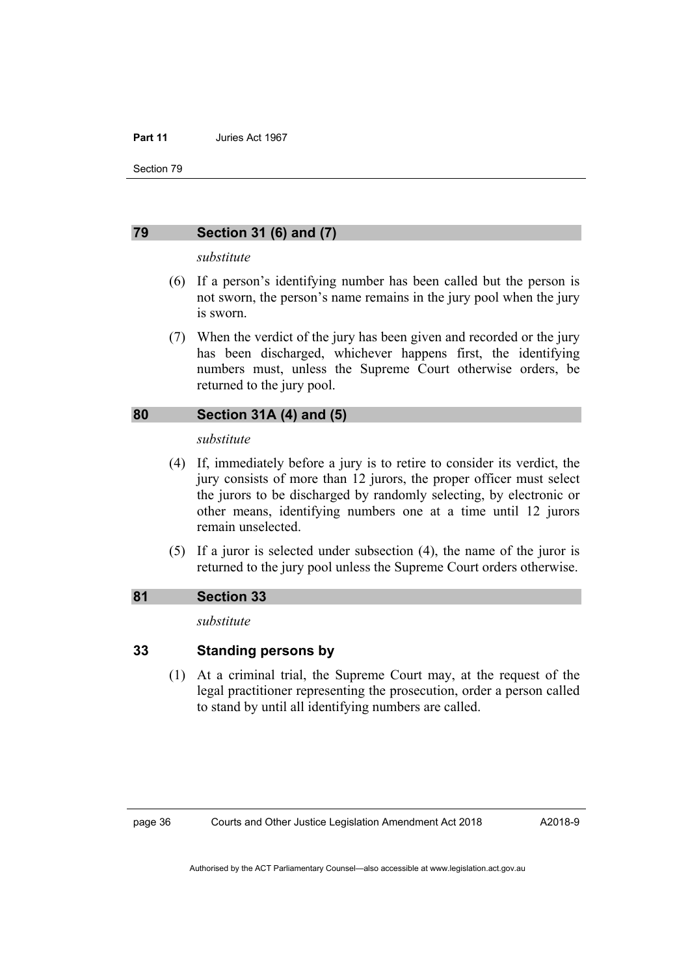Section 79

#### **79 Section 31 (6) and (7)**

#### *substitute*

- (6) If a person's identifying number has been called but the person is not sworn, the person's name remains in the jury pool when the jury is sworn.
- (7) When the verdict of the jury has been given and recorded or the jury has been discharged, whichever happens first, the identifying numbers must, unless the Supreme Court otherwise orders, be returned to the jury pool.

#### **80 Section 31A (4) and (5)**

#### *substitute*

- (4) If, immediately before a jury is to retire to consider its verdict, the jury consists of more than 12 jurors, the proper officer must select the jurors to be discharged by randomly selecting, by electronic or other means, identifying numbers one at a time until 12 jurors remain unselected.
- (5) If a juror is selected under subsection (4), the name of the juror is returned to the jury pool unless the Supreme Court orders otherwise.

#### **81 Section 33**

#### *substitute*

#### **33 Standing persons by**

 (1) At a criminal trial, the Supreme Court may, at the request of the legal practitioner representing the prosecution, order a person called to stand by until all identifying numbers are called.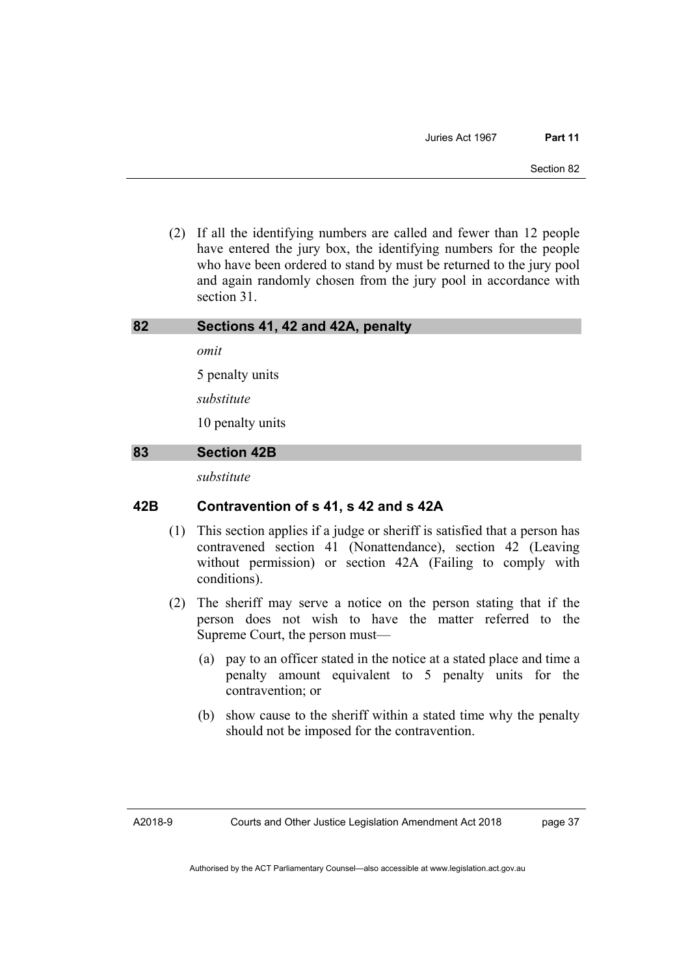(2) If all the identifying numbers are called and fewer than 12 people have entered the jury box, the identifying numbers for the people who have been ordered to stand by must be returned to the jury pool and again randomly chosen from the jury pool in accordance with section 31.

#### **82 Sections 41, 42 and 42A, penalty**

*omit* 

5 penalty units

*substitute* 

10 penalty units

#### **83 Section 42B**

*substitute* 

## **42B Contravention of s 41, s 42 and s 42A**

- (1) This section applies if a judge or sheriff is satisfied that a person has contravened section 41 (Nonattendance), section 42 (Leaving without permission) or section 42A (Failing to comply with conditions).
- (2) The sheriff may serve a notice on the person stating that if the person does not wish to have the matter referred to the Supreme Court, the person must—
	- (a) pay to an officer stated in the notice at a stated place and time a penalty amount equivalent to 5 penalty units for the contravention; or
	- (b) show cause to the sheriff within a stated time why the penalty should not be imposed for the contravention.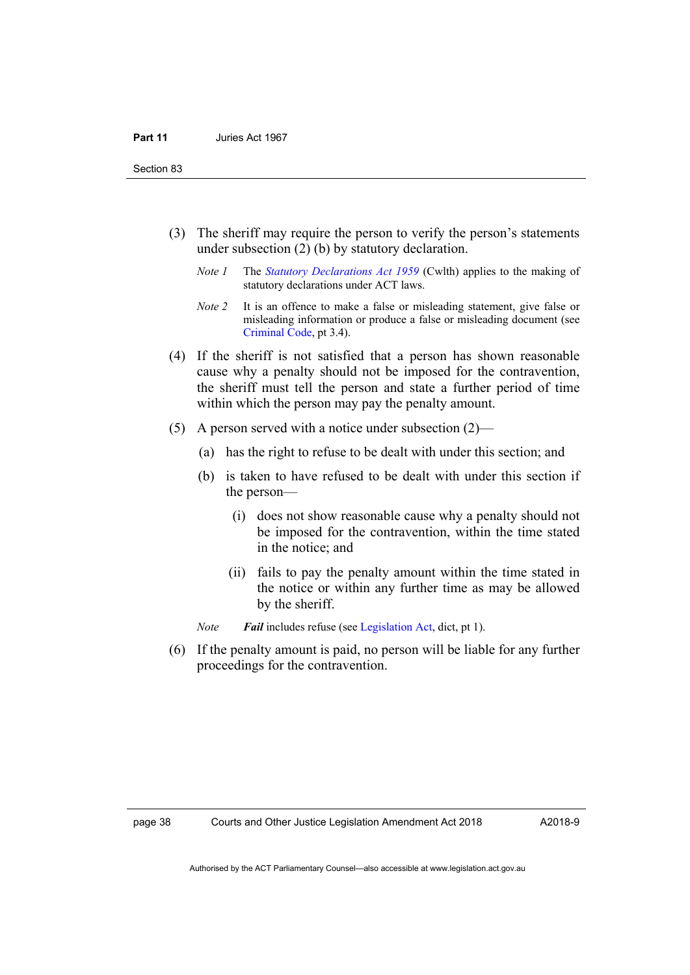Section 83

- (3) The sheriff may require the person to verify the person's statements under subsection (2) (b) by statutory declaration.
	- *Note 1* The *[Statutory Declarations Act 1959](http://www.comlaw.gov.au/Series/C2004A07365)* (Cwlth) applies to the making of statutory declarations under ACT laws.
	- *Note 2* It is an offence to make a false or misleading statement, give false or misleading information or produce a false or misleading document (see [Criminal Code](http://www.legislation.act.gov.au/a/2002-51), pt 3.4).
- (4) If the sheriff is not satisfied that a person has shown reasonable cause why a penalty should not be imposed for the contravention, the sheriff must tell the person and state a further period of time within which the person may pay the penalty amount.
- (5) A person served with a notice under subsection (2)—
	- (a) has the right to refuse to be dealt with under this section; and
	- (b) is taken to have refused to be dealt with under this section if the person—
		- (i) does not show reasonable cause why a penalty should not be imposed for the contravention, within the time stated in the notice; and
		- (ii) fails to pay the penalty amount within the time stated in the notice or within any further time as may be allowed by the sheriff.
	- *Note Fail* includes refuse (see [Legislation Act](http://www.legislation.act.gov.au/a/2001-14), dict, pt 1).
- (6) If the penalty amount is paid, no person will be liable for any further proceedings for the contravention.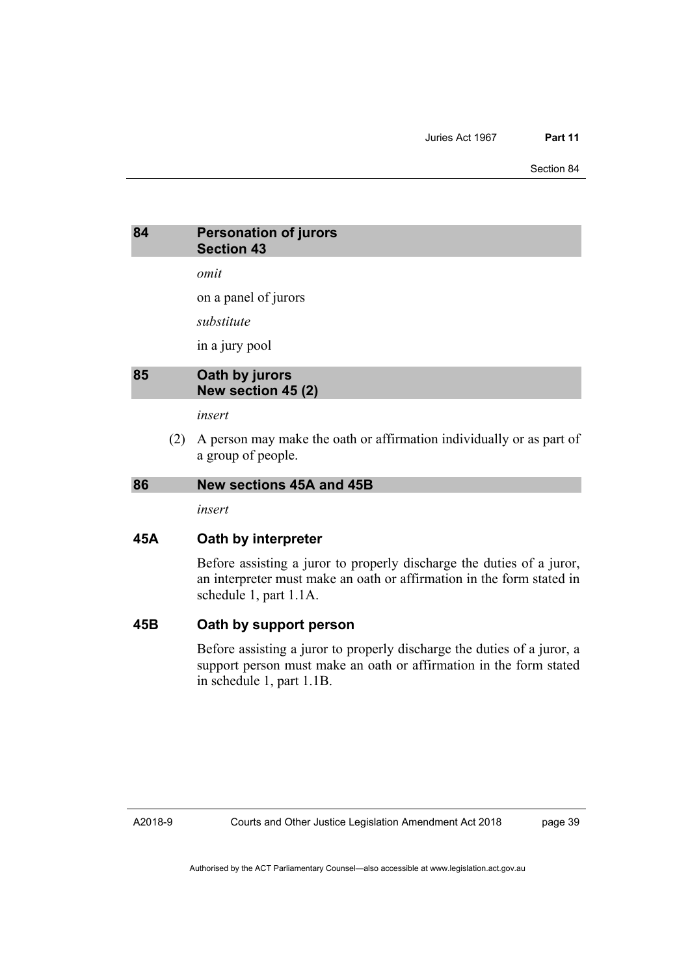Section 84

## **84 Personation of jurors Section 43**

*omit* 

on a panel of jurors

*substitute* 

in a jury pool

## **85 Oath by jurors New section 45 (2)**

*insert* 

 (2) A person may make the oath or affirmation individually or as part of a group of people.

#### **86 New sections 45A and 45B**

*insert* 

#### **45A Oath by interpreter**

Before assisting a juror to properly discharge the duties of a juror, an interpreter must make an oath or affirmation in the form stated in schedule 1, part 1.1A.

#### **45B Oath by support person**

Before assisting a juror to properly discharge the duties of a juror, a support person must make an oath or affirmation in the form stated in schedule 1, part 1.1B.

A2018-9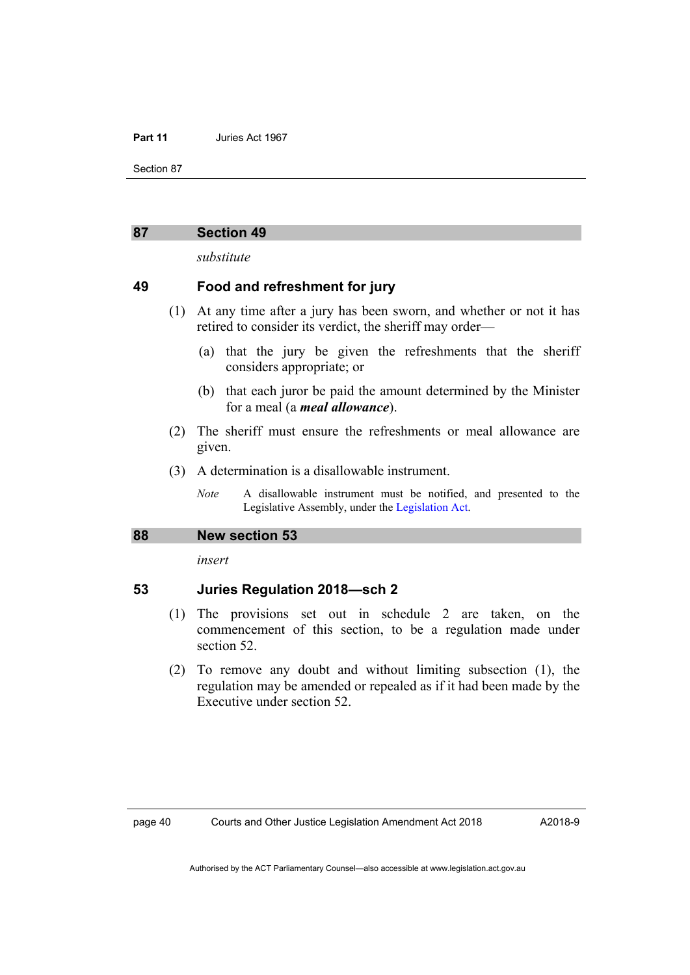Section 87

#### **87 Section 49**

*substitute* 

#### **49 Food and refreshment for jury**

- (1) At any time after a jury has been sworn, and whether or not it has retired to consider its verdict, the sheriff may order—
	- (a) that the jury be given the refreshments that the sheriff considers appropriate; or
	- (b) that each juror be paid the amount determined by the Minister for a meal (a *meal allowance*).
- (2) The sheriff must ensure the refreshments or meal allowance are given.
- (3) A determination is a disallowable instrument.
	- *Note* A disallowable instrument must be notified, and presented to the Legislative Assembly, under the [Legislation Act.](http://www.legislation.act.gov.au/a/2001-14)

#### **88 New section 53**

*insert* 

#### **53 Juries Regulation 2018—sch 2**

- (1) The provisions set out in schedule 2 are taken, on the commencement of this section, to be a regulation made under section 52.
- (2) To remove any doubt and without limiting subsection (1), the regulation may be amended or repealed as if it had been made by the Executive under section 52.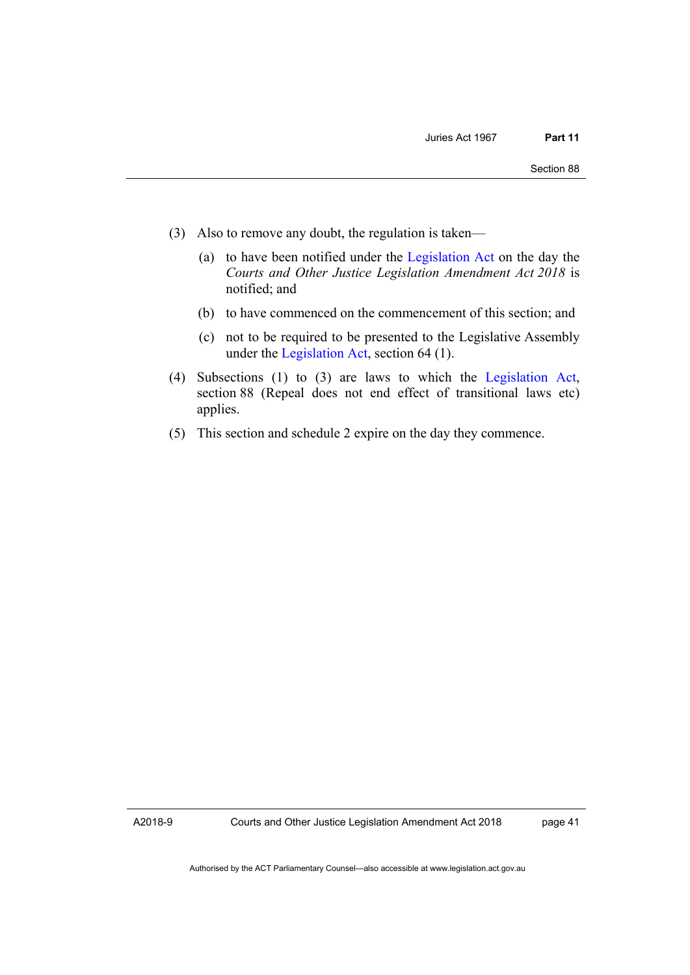- (3) Also to remove any doubt, the regulation is taken—
	- (a) to have been notified under the [Legislation Act](http://www.legislation.act.gov.au/a/2001-14) on the day the *Courts and Other Justice Legislation Amendment Act 2018* is notified; and
	- (b) to have commenced on the commencement of this section; and
	- (c) not to be required to be presented to the Legislative Assembly under the [Legislation Act](http://www.legislation.act.gov.au/a/2001-14), section 64 (1).
- (4) Subsections (1) to (3) are laws to which the [Legislation Act](http://www.legislation.act.gov.au/a/2001-14), section 88 (Repeal does not end effect of transitional laws etc) applies.
- (5) This section and schedule 2 expire on the day they commence.

A2018-9

Courts and Other Justice Legislation Amendment Act 2018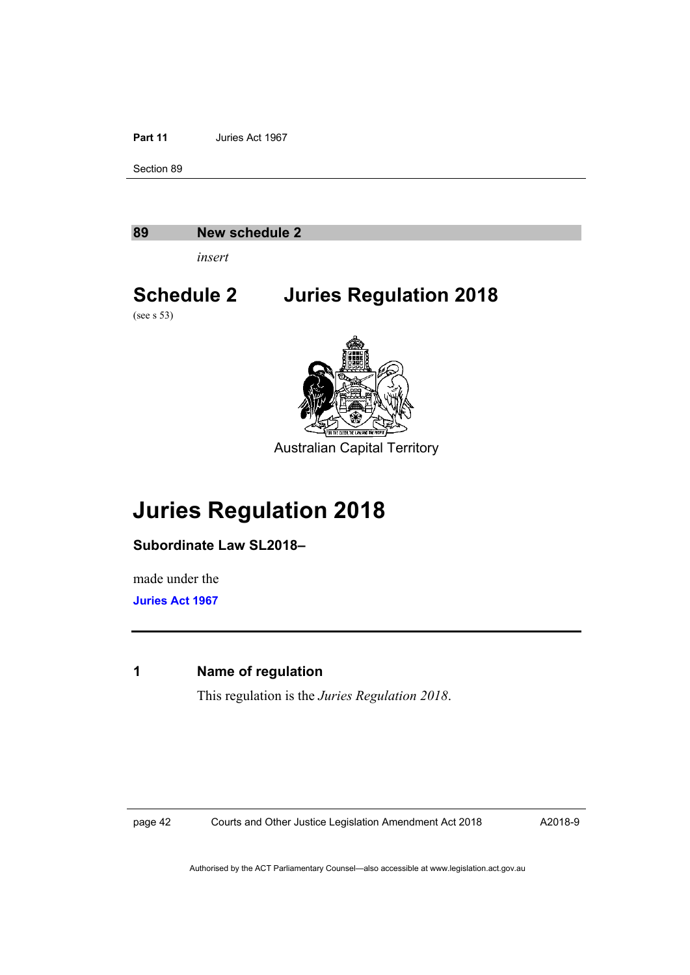Section 89

#### **89 New schedule 2**

*insert* 

# **Schedule 2 Juries Regulation 2018**

(see s 53)



Australian Capital Territory

# **Juries Regulation 2018**

**Subordinate Law SL2018–**

made under the **[Juries Act 1967](http://www.legislation.act.gov.au/a/1967-47)**

## **1 Name of regulation**

This regulation is the *Juries Regulation 2018*.

page 42 Courts and Other Justice Legislation Amendment Act 2018

A2018-9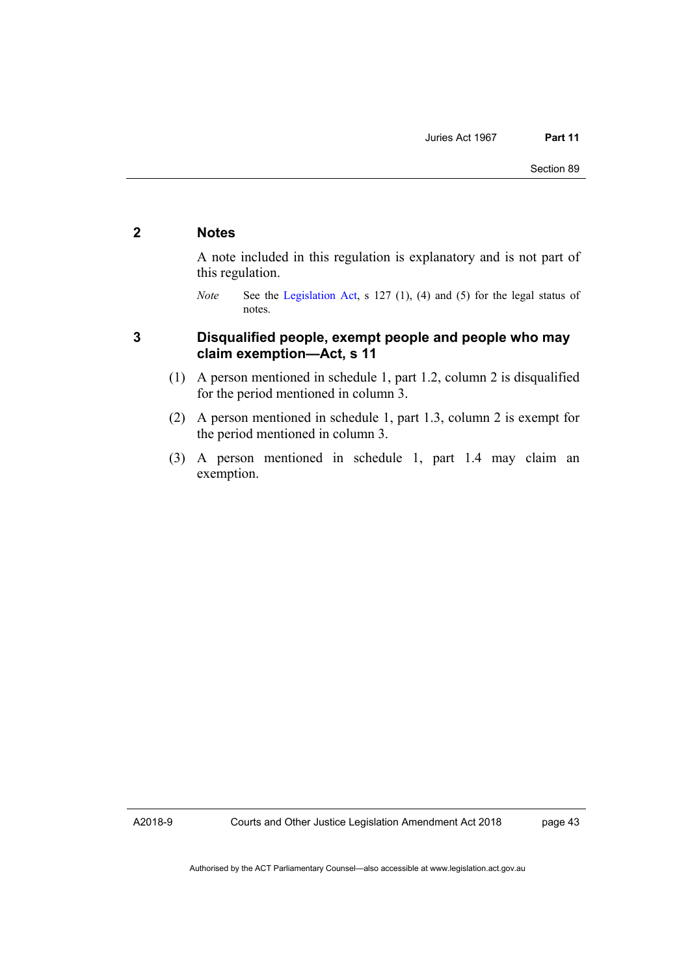## **2 Notes**

A note included in this regulation is explanatory and is not part of this regulation.

## **3 Disqualified people, exempt people and people who may claim exemption—Act, s 11**

- (1) A person mentioned in schedule 1, part 1.2, column 2 is disqualified for the period mentioned in column 3.
- (2) A person mentioned in schedule 1, part 1.3, column 2 is exempt for the period mentioned in column 3.
- (3) A person mentioned in schedule 1, part 1.4 may claim an exemption.

A2018-9

*Note* See the [Legislation Act](http://www.legislation.act.gov.au/a/2001-14), s 127 (1), (4) and (5) for the legal status of notes.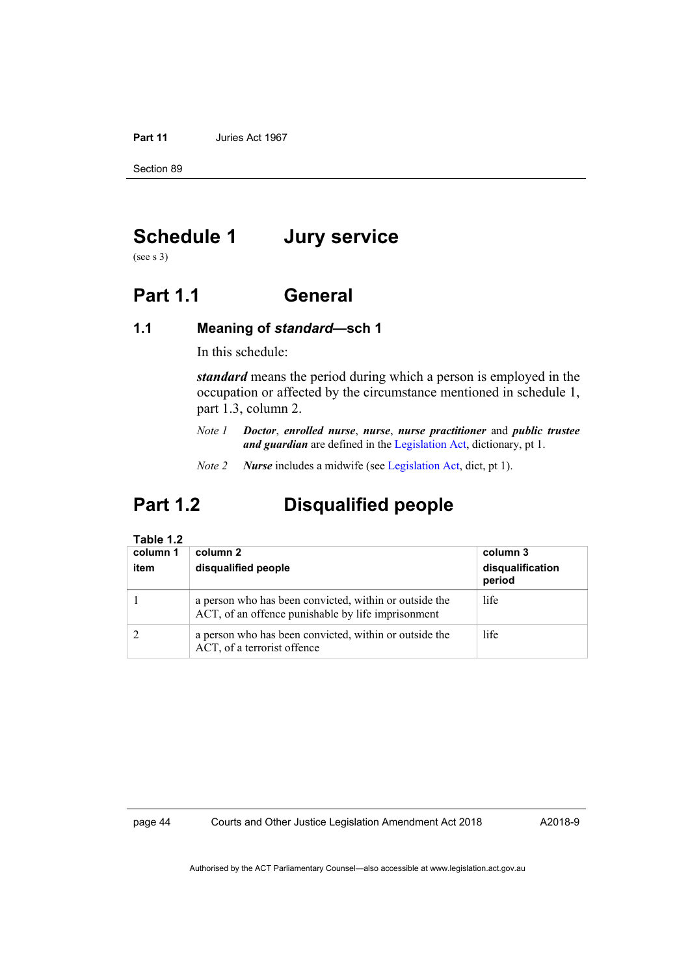Section 89

# **Schedule 1 Jury service**

(see s 3)

# **Part 1.1 General**

### **1.1 Meaning of** *standard***—sch 1**

In this schedule:

*standard* means the period during which a person is employed in the occupation or affected by the circumstance mentioned in schedule 1, part 1.3, column 2.

- *Note 1 Doctor*, *enrolled nurse*, *nurse*, *nurse practitioner* and *public trustee and guardian* are defined in the [Legislation Act](http://www.legislation.act.gov.au/a/2001-14), dictionary, pt 1.
- *Note 2 Nurse* includes a midwife (see [Legislation Act,](http://www.legislation.act.gov.au/a/2001-14) dict, pt 1).

# **Part 1.2 Disqualified people**

#### **Table 1.2**

| column 1<br>item | column 2<br>disqualified people                                                                              | column 3<br>disqualification<br>period |
|------------------|--------------------------------------------------------------------------------------------------------------|----------------------------------------|
|                  | a person who has been convicted, within or outside the<br>ACT, of an offence punishable by life imprisonment | life                                   |
|                  | a person who has been convicted, within or outside the<br>ACT, of a terrorist offence                        | life                                   |

page 44 Courts and Other Justice Legislation Amendment Act 2018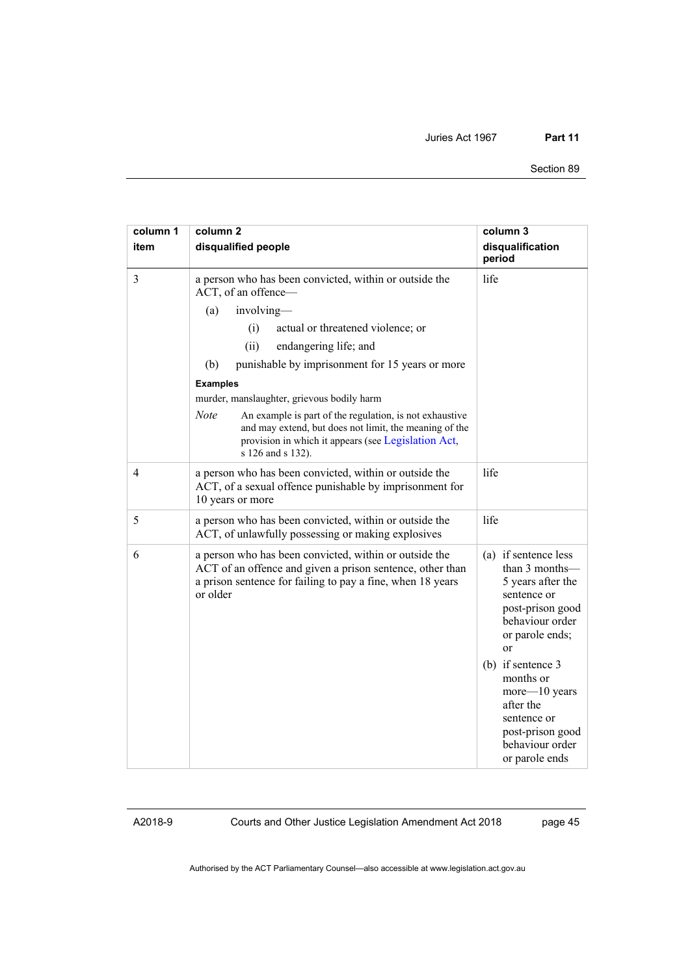#### Section 89

| column 1<br>item | column <sub>2</sub><br>disqualified people                                                                                                                                                                                                                                                                                                                                                                                                                                                                                 | column 3<br>disqualification<br>period                                                                                                                                                                                                                                                   |
|------------------|----------------------------------------------------------------------------------------------------------------------------------------------------------------------------------------------------------------------------------------------------------------------------------------------------------------------------------------------------------------------------------------------------------------------------------------------------------------------------------------------------------------------------|------------------------------------------------------------------------------------------------------------------------------------------------------------------------------------------------------------------------------------------------------------------------------------------|
| $\mathfrak{Z}$   | a person who has been convicted, within or outside the<br>ACT, of an offence-<br>involving-<br>(a)<br>(i)<br>actual or threatened violence; or<br>(ii)<br>endangering life; and<br>(b)<br>punishable by imprisonment for 15 years or more<br><b>Examples</b><br>murder, manslaughter, grievous bodily harm<br><b>Note</b><br>An example is part of the regulation, is not exhaustive<br>and may extend, but does not limit, the meaning of the<br>provision in which it appears (see Legislation Act,<br>s 126 and s 132). | life                                                                                                                                                                                                                                                                                     |
| 4                | a person who has been convicted, within or outside the<br>ACT, of a sexual offence punishable by imprisonment for<br>10 years or more                                                                                                                                                                                                                                                                                                                                                                                      | life                                                                                                                                                                                                                                                                                     |
| 5                | a person who has been convicted, within or outside the<br>ACT, of unlawfully possessing or making explosives                                                                                                                                                                                                                                                                                                                                                                                                               | life                                                                                                                                                                                                                                                                                     |
| 6                | a person who has been convicted, within or outside the<br>ACT of an offence and given a prison sentence, other than<br>a prison sentence for failing to pay a fine, when 18 years<br>or older                                                                                                                                                                                                                                                                                                                              | (a) if sentence less<br>than 3 months-<br>5 years after the<br>sentence or<br>post-prison good<br>behaviour order<br>or parole ends;<br>$\alpha$<br>(b) if sentence 3<br>months or<br>more-10 years<br>after the<br>sentence or<br>post-prison good<br>behaviour order<br>or parole ends |

Courts and Other Justice Legislation Amendment Act 2018

page 45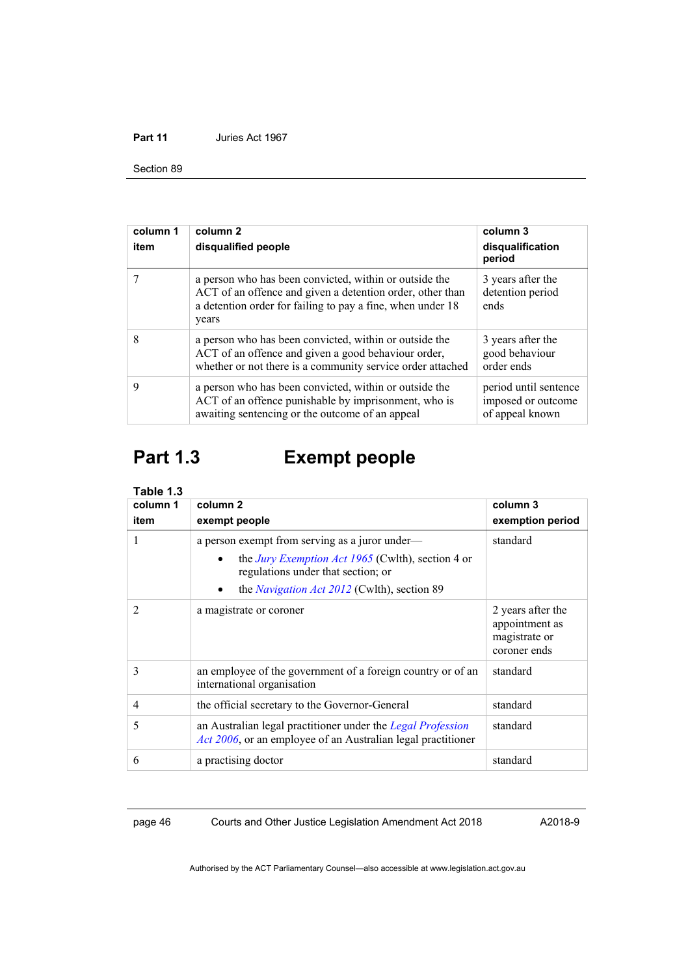Section 89

| column 1<br>item | column <sub>2</sub><br>disqualified people                                                                                                                                                 | column 3<br>disqualification<br>period                         |
|------------------|--------------------------------------------------------------------------------------------------------------------------------------------------------------------------------------------|----------------------------------------------------------------|
|                  | a person who has been convicted, within or outside the<br>ACT of an offence and given a detention order, other than<br>a detention order for failing to pay a fine, when under 18<br>years | 3 years after the<br>detention period<br>ends                  |
| 8                | a person who has been convicted, within or outside the<br>ACT of an offence and given a good behaviour order,<br>whether or not there is a community service order attached                | 3 years after the<br>good behaviour<br>order ends              |
| 9                | a person who has been convicted, within or outside the<br>ACT of an offence punishable by imprisonment, who is<br>awaiting sentencing or the outcome of an appeal                          | period until sentence<br>imposed or outcome<br>of appeal known |

# **Part 1.3 Exempt people**

| Table 1.3      |                                                                                                                                                                                                                                  |                                                                      |
|----------------|----------------------------------------------------------------------------------------------------------------------------------------------------------------------------------------------------------------------------------|----------------------------------------------------------------------|
| column 1       | column <sub>2</sub>                                                                                                                                                                                                              | column 3                                                             |
| item           | exempt people                                                                                                                                                                                                                    | exemption period                                                     |
| 1              | a person exempt from serving as a juror under—<br>the <i>Jury Exemption Act 1965</i> (Cwlth), section 4 or<br>$\bullet$<br>regulations under that section; or<br>the <i>Navigation Act 2012</i> (Cwlth), section 89<br>$\bullet$ | standard                                                             |
| $\overline{2}$ | a magistrate or coroner                                                                                                                                                                                                          | 2 years after the<br>appointment as<br>magistrate or<br>coroner ends |
| 3              | an employee of the government of a foreign country or of an<br>international organisation                                                                                                                                        | standard                                                             |
| $\overline{4}$ | the official secretary to the Governor-General                                                                                                                                                                                   | standard                                                             |
| 5              | an Australian legal practitioner under the Legal Profession<br><i>Act 2006</i> , or an employee of an Australian legal practitioner                                                                                              | standard                                                             |
| 6              | a practising doctor                                                                                                                                                                                                              | standard                                                             |

page 46 Courts and Other Justice Legislation Amendment Act 2018

A2018-9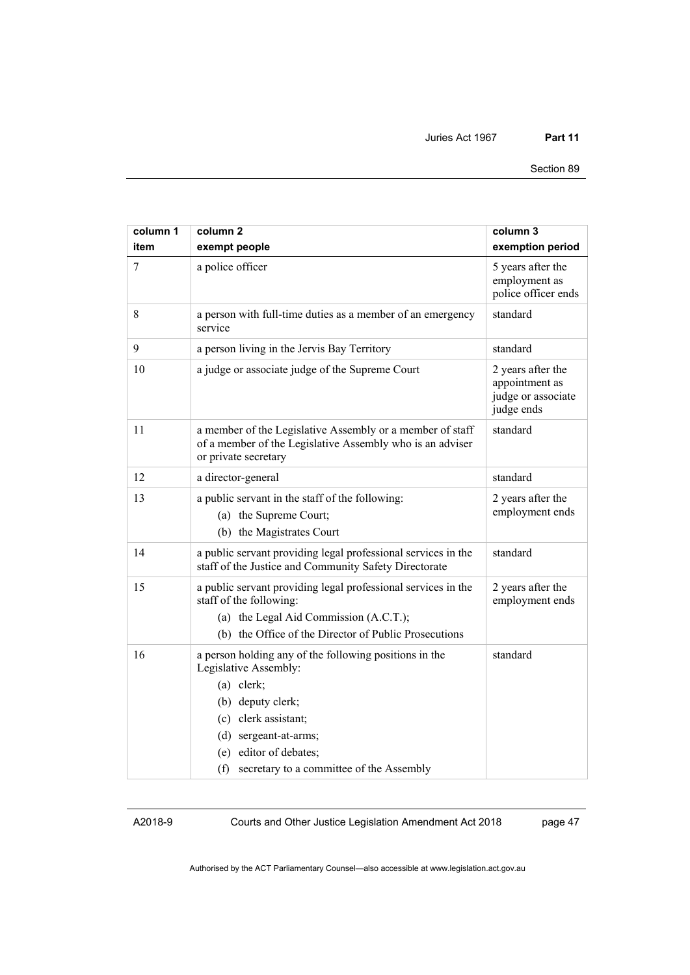| column 1<br>item | column <sub>2</sub><br>exempt people                                                                                                                                                                                                            | column 3<br>exemption period                                            |
|------------------|-------------------------------------------------------------------------------------------------------------------------------------------------------------------------------------------------------------------------------------------------|-------------------------------------------------------------------------|
| 7                | a police officer                                                                                                                                                                                                                                | 5 years after the<br>employment as<br>police officer ends               |
| 8                | a person with full-time duties as a member of an emergency<br>service                                                                                                                                                                           | standard                                                                |
| 9                | a person living in the Jervis Bay Territory                                                                                                                                                                                                     | standard                                                                |
| 10               | a judge or associate judge of the Supreme Court                                                                                                                                                                                                 | 2 years after the<br>appointment as<br>judge or associate<br>judge ends |
| 11               | a member of the Legislative Assembly or a member of staff<br>of a member of the Legislative Assembly who is an adviser<br>or private secretary                                                                                                  | standard                                                                |
| 12               | a director-general                                                                                                                                                                                                                              | standard                                                                |
| 13               | a public servant in the staff of the following:<br>(a) the Supreme Court;<br>(b) the Magistrates Court                                                                                                                                          | 2 years after the<br>employment ends                                    |
| 14               | a public servant providing legal professional services in the<br>staff of the Justice and Community Safety Directorate                                                                                                                          | standard                                                                |
| 15               | a public servant providing legal professional services in the<br>staff of the following:<br>(a) the Legal Aid Commission (A.C.T.);<br>(b) the Office of the Director of Public Prosecutions                                                     | 2 years after the<br>employment ends                                    |
| 16               | a person holding any of the following positions in the<br>Legislative Assembly:<br>$(a)$ clerk;<br>(b) deputy clerk;<br>(c) clerk assistant;<br>(d) sergeant-at-arms;<br>(e) editor of debates;<br>(f) secretary to a committee of the Assembly | standard                                                                |

Courts and Other Justice Legislation Amendment Act 2018

page 47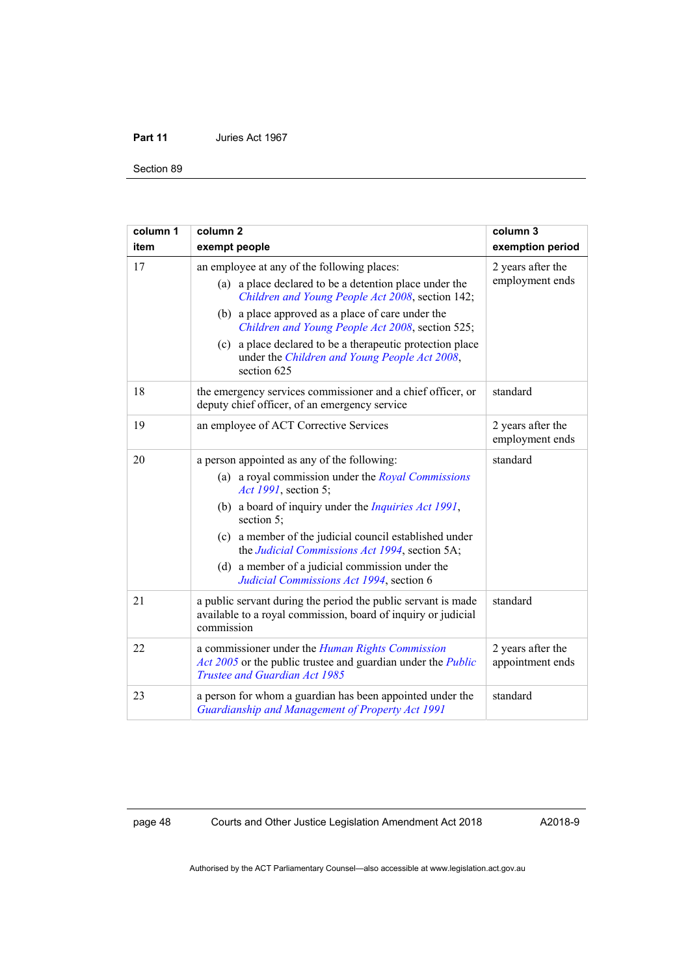Section 89

| column 1 | column <sub>2</sub>                                                                                                                                                    | column 3                              |
|----------|------------------------------------------------------------------------------------------------------------------------------------------------------------------------|---------------------------------------|
| item     | exempt people                                                                                                                                                          | exemption period                      |
| 17       | an employee at any of the following places:                                                                                                                            | 2 years after the<br>employment ends  |
|          | (a) a place declared to be a detention place under the<br>Children and Young People Act 2008, section 142;                                                             |                                       |
|          | (b) a place approved as a place of care under the<br>Children and Young People Act 2008, section 525;                                                                  |                                       |
|          | (c) a place declared to be a therapeutic protection place<br>under the Children and Young People Act 2008,<br>section 625                                              |                                       |
| 18       | the emergency services commissioner and a chief officer, or<br>deputy chief officer, of an emergency service                                                           | standard                              |
| 19       | an employee of ACT Corrective Services                                                                                                                                 | 2 years after the<br>employment ends  |
| 20       | a person appointed as any of the following:                                                                                                                            | standard                              |
|          | (a) a royal commission under the <i>Royal Commissions</i><br>Act 1991, section 5;                                                                                      |                                       |
|          | (b) a board of inquiry under the <i>Inquiries Act 1991</i> ,<br>section $5$ ;                                                                                          |                                       |
|          | (c) a member of the judicial council established under<br>the Judicial Commissions Act 1994, section 5A;                                                               |                                       |
|          | (d) a member of a judicial commission under the<br>Judicial Commissions Act 1994, section 6                                                                            |                                       |
| 21       | a public servant during the period the public servant is made<br>available to a royal commission, board of inquiry or judicial<br>commission                           | standard                              |
| 22       | a commissioner under the <i>Human Rights Commission</i><br>Act 2005 or the public trustee and guardian under the <i>Public</i><br><b>Trustee and Guardian Act 1985</b> | 2 years after the<br>appointment ends |
| 23       | a person for whom a guardian has been appointed under the<br>Guardianship and Management of Property Act 1991                                                          | standard                              |

page 48 Courts and Other Justice Legislation Amendment Act 2018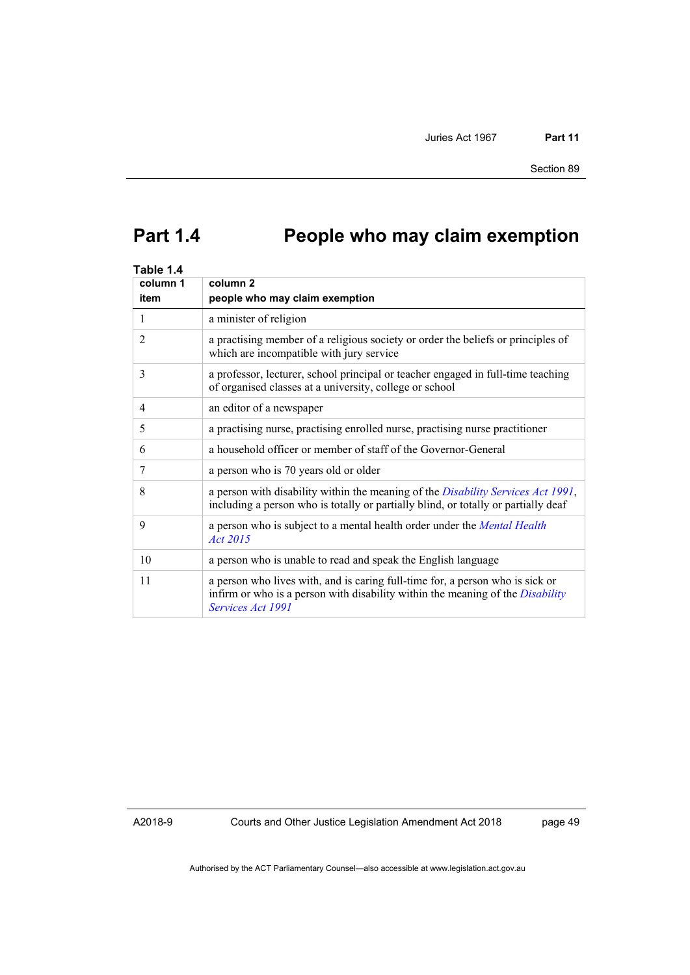# **Part 1.4 People who may claim exemption**

| Table 1.4      |                                                                                                                                                                                             |
|----------------|---------------------------------------------------------------------------------------------------------------------------------------------------------------------------------------------|
| column 1       | column <sub>2</sub>                                                                                                                                                                         |
| item           | people who may claim exemption                                                                                                                                                              |
| 1              | a minister of religion                                                                                                                                                                      |
| $\overline{2}$ | a practising member of a religious society or order the beliefs or principles of<br>which are incompatible with jury service                                                                |
| 3              | a professor, lecturer, school principal or teacher engaged in full-time teaching<br>of organised classes at a university, college or school                                                 |
| 4              | an editor of a newspaper                                                                                                                                                                    |
| 5              | a practising nurse, practising enrolled nurse, practising nurse practitioner                                                                                                                |
| 6              | a household officer or member of staff of the Governor-General                                                                                                                              |
| 7              | a person who is 70 years old or older                                                                                                                                                       |
| 8              | a person with disability within the meaning of the Disability Services Act 1991,<br>including a person who is totally or partially blind, or totally or partially deaf                      |
| 9              | a person who is subject to a mental health order under the Mental Health<br>Act 2015                                                                                                        |
| 10             | a person who is unable to read and speak the English language                                                                                                                               |
| 11             | a person who lives with, and is caring full-time for, a person who is sick or<br>infirm or who is a person with disability within the meaning of the <i>Disability</i><br>Services Act 1991 |

A2018-9

Courts and Other Justice Legislation Amendment Act 2018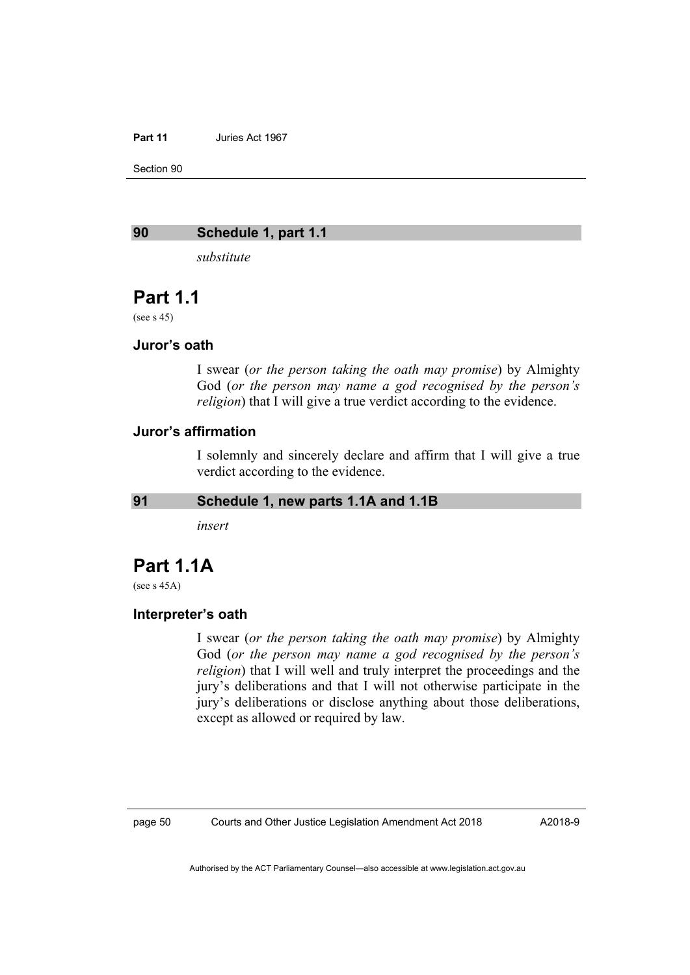Section 90

#### **90 Schedule 1, part 1.1**

*substitute* 

## **Part 1.1**

(see s 45)

#### **Juror's oath**

I swear (*or the person taking the oath may promise*) by Almighty God (*or the person may name a god recognised by the person's religion*) that I will give a true verdict according to the evidence.

#### **Juror's affirmation**

I solemnly and sincerely declare and affirm that I will give a true verdict according to the evidence.

#### **91 Schedule 1, new parts 1.1A and 1.1B**

*insert* 

## **Part 1.1A**

(see s 45A)

#### **Interpreter's oath**

I swear (*or the person taking the oath may promise*) by Almighty God (*or the person may name a god recognised by the person's religion*) that I will well and truly interpret the proceedings and the jury's deliberations and that I will not otherwise participate in the jury's deliberations or disclose anything about those deliberations, except as allowed or required by law.

A2018-9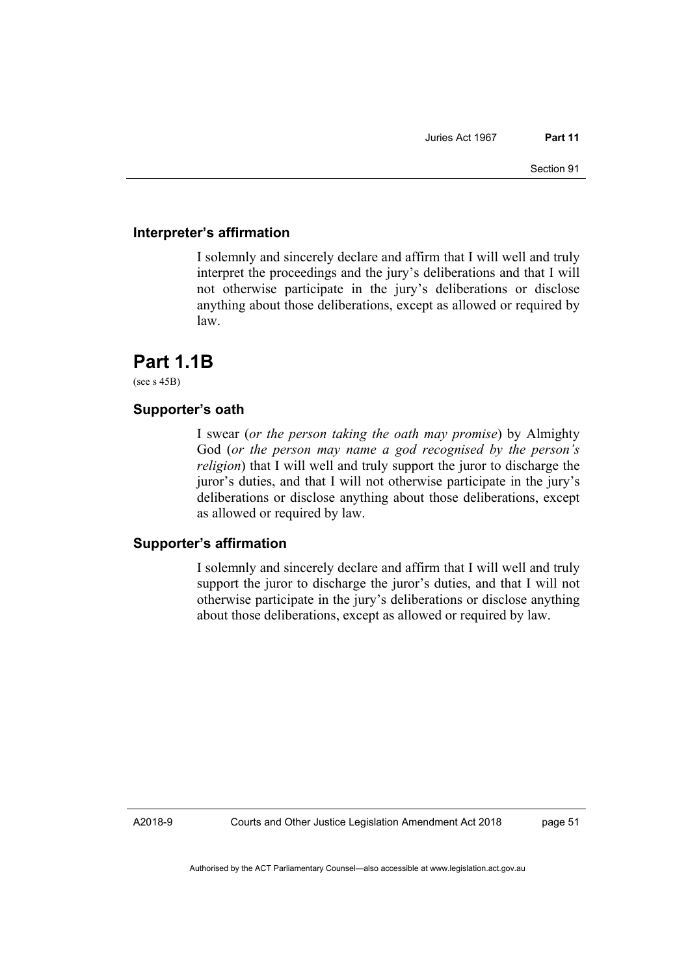#### **Interpreter's affirmation**

I solemnly and sincerely declare and affirm that I will well and truly interpret the proceedings and the jury's deliberations and that I will not otherwise participate in the jury's deliberations or disclose anything about those deliberations, except as allowed or required by law.

# **Part 1.1B**

(see s 45B)

### **Supporter's oath**

I swear (*or the person taking the oath may promise*) by Almighty God (*or the person may name a god recognised by the person's religion*) that I will well and truly support the juror to discharge the juror's duties, and that I will not otherwise participate in the jury's deliberations or disclose anything about those deliberations, except as allowed or required by law.

#### **Supporter's affirmation**

I solemnly and sincerely declare and affirm that I will well and truly support the juror to discharge the juror's duties, and that I will not otherwise participate in the jury's deliberations or disclose anything about those deliberations, except as allowed or required by law.

A2018-9

Courts and Other Justice Legislation Amendment Act 2018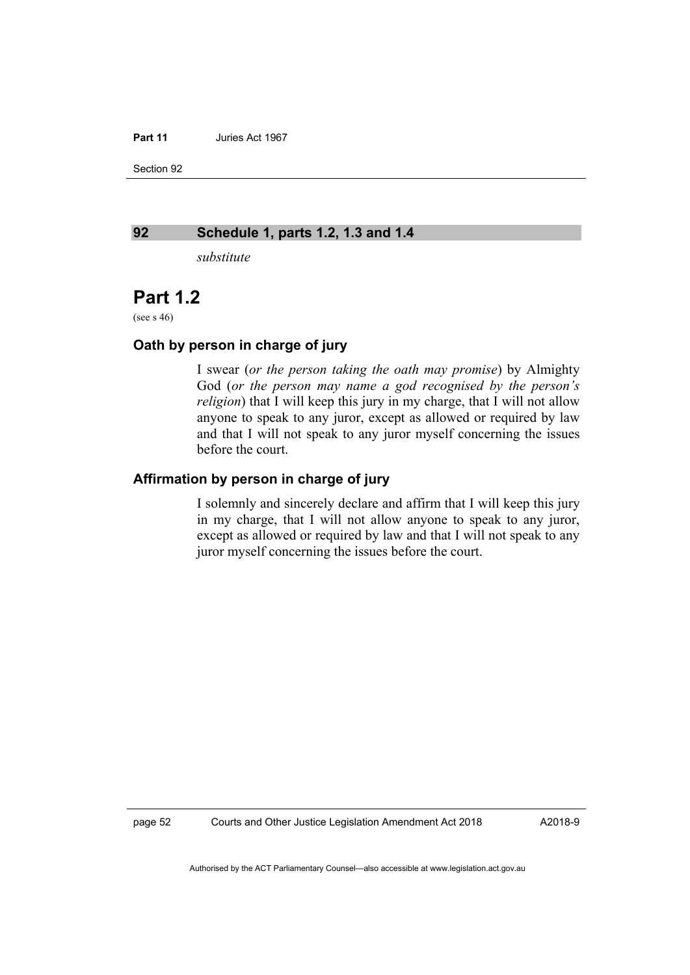Section 92

#### **92 Schedule 1, parts 1.2, 1.3 and 1.4**

*substitute* 

# **Part 1.2**

(see s 46)

#### **Oath by person in charge of jury**

I swear (*or the person taking the oath may promise*) by Almighty God (*or the person may name a god recognised by the person's religion*) that I will keep this jury in my charge, that I will not allow anyone to speak to any juror, except as allowed or required by law and that I will not speak to any juror myself concerning the issues before the court.

### **Affirmation by person in charge of jury**

I solemnly and sincerely declare and affirm that I will keep this jury in my charge, that I will not allow anyone to speak to any juror, except as allowed or required by law and that I will not speak to any juror myself concerning the issues before the court.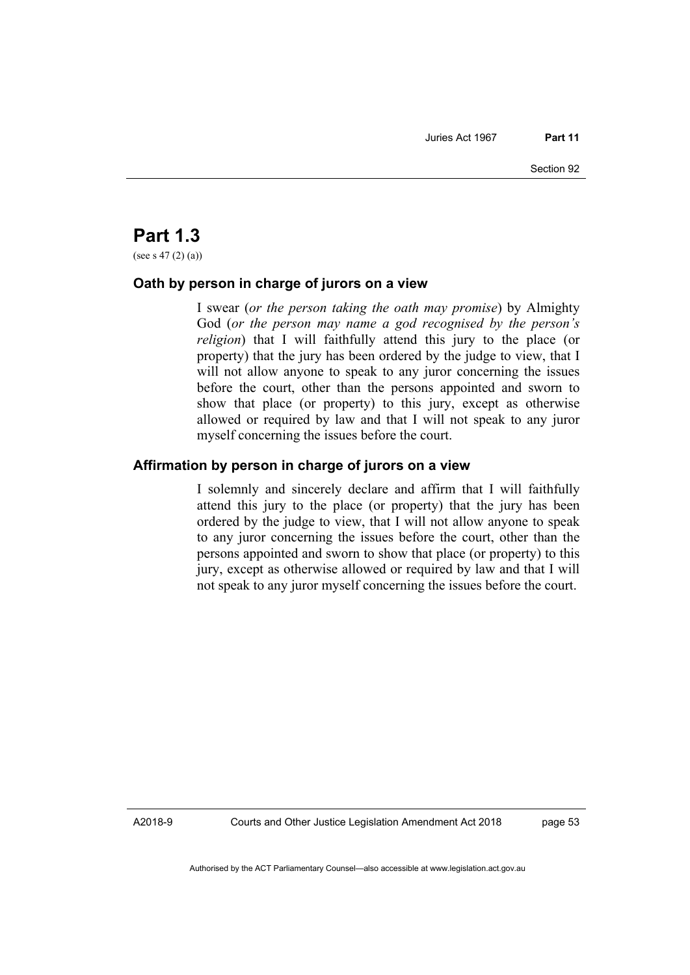# **Part 1.3**

(see s 47 (2) (a))

#### **Oath by person in charge of jurors on a view**

I swear (*or the person taking the oath may promise*) by Almighty God (*or the person may name a god recognised by the person's religion*) that I will faithfully attend this jury to the place (or property) that the jury has been ordered by the judge to view, that I will not allow anyone to speak to any juror concerning the issues before the court, other than the persons appointed and sworn to show that place (or property) to this jury, except as otherwise allowed or required by law and that I will not speak to any juror myself concerning the issues before the court.

#### **Affirmation by person in charge of jurors on a view**

I solemnly and sincerely declare and affirm that I will faithfully attend this jury to the place (or property) that the jury has been ordered by the judge to view, that I will not allow anyone to speak to any juror concerning the issues before the court, other than the persons appointed and sworn to show that place (or property) to this jury, except as otherwise allowed or required by law and that I will not speak to any juror myself concerning the issues before the court.

A2018-9

Courts and Other Justice Legislation Amendment Act 2018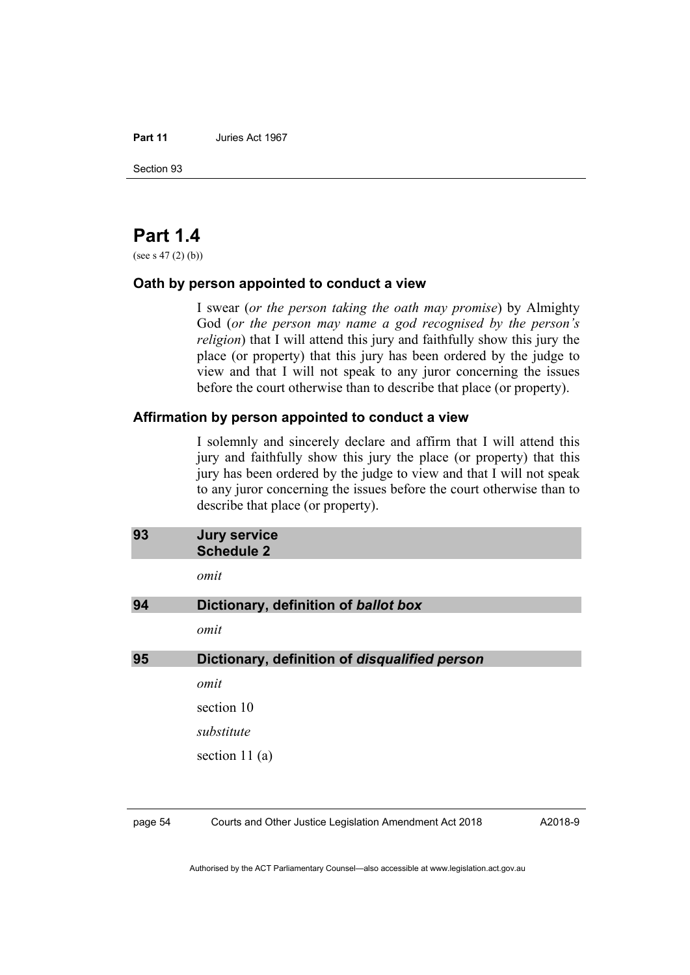Section 93

# **Part 1.4**

(see s  $47(2)(b)$ )

#### **Oath by person appointed to conduct a view**

I swear (*or the person taking the oath may promise*) by Almighty God (*or the person may name a god recognised by the person's religion*) that I will attend this jury and faithfully show this jury the place (or property) that this jury has been ordered by the judge to view and that I will not speak to any juror concerning the issues before the court otherwise than to describe that place (or property).

#### **Affirmation by person appointed to conduct a view**

I solemnly and sincerely declare and affirm that I will attend this jury and faithfully show this jury the place (or property) that this jury has been ordered by the judge to view and that I will not speak to any juror concerning the issues before the court otherwise than to describe that place (or property).

| 93 | <b>Jury service</b><br><b>Schedule 2</b>      |
|----|-----------------------------------------------|
|    | omit                                          |
| 94 | Dictionary, definition of ballot box          |
|    | omit                                          |
| 95 | Dictionary, definition of disqualified person |
|    | omit                                          |
|    | section 10                                    |
|    | substitute                                    |
|    | section 11 $(a)$                              |
|    |                                               |

page 54 Courts and Other Justice Legislation Amendment Act 2018

A2018-9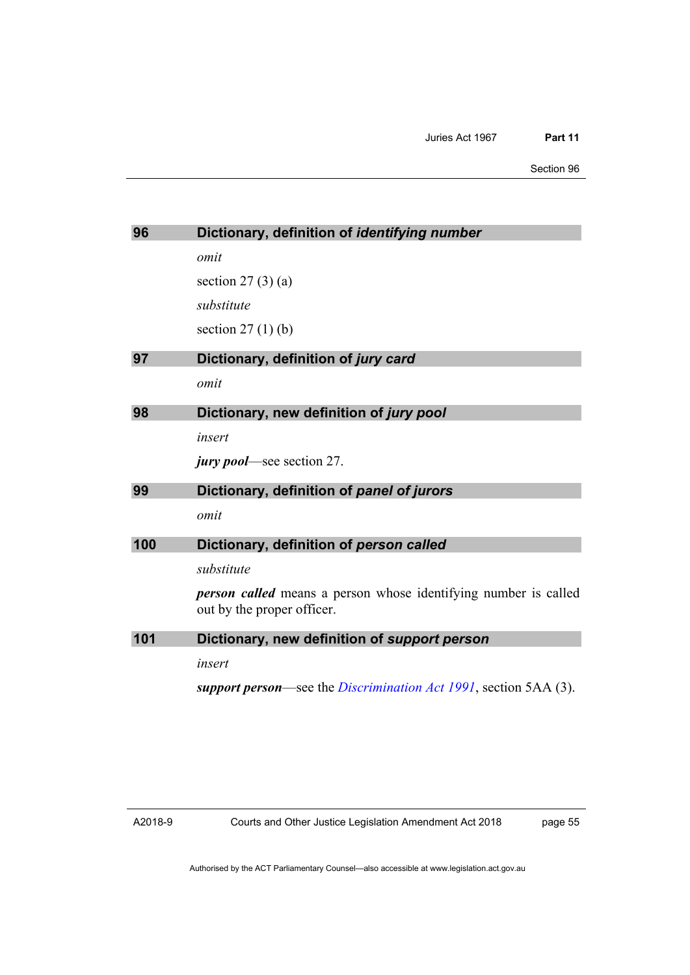Section 96

| 96  | Dictionary, definition of identifying number                           |
|-----|------------------------------------------------------------------------|
|     | omit                                                                   |
|     | section $27(3)(a)$                                                     |
|     | substitute                                                             |
|     | section $27(1)$ (b)                                                    |
| 97  | Dictionary, definition of jury card                                    |
|     | omit                                                                   |
| 98  | Dictionary, new definition of jury pool                                |
|     | insert                                                                 |
|     | <i>jury pool</i> —see section 27.                                      |
| 99  | Dictionary, definition of panel of jurors                              |
|     | omit                                                                   |
| 100 | Dictionary, definition of person called                                |
|     | substitute                                                             |
|     | <b>person called</b> means a person whose identifying number is called |
|     | out by the proper officer.                                             |
| 101 | Dictionary, new definition of support person                           |
|     | insert                                                                 |
|     | support person—see the Discrimination Act 1991, section 5AA (3).       |
|     |                                                                        |

page 55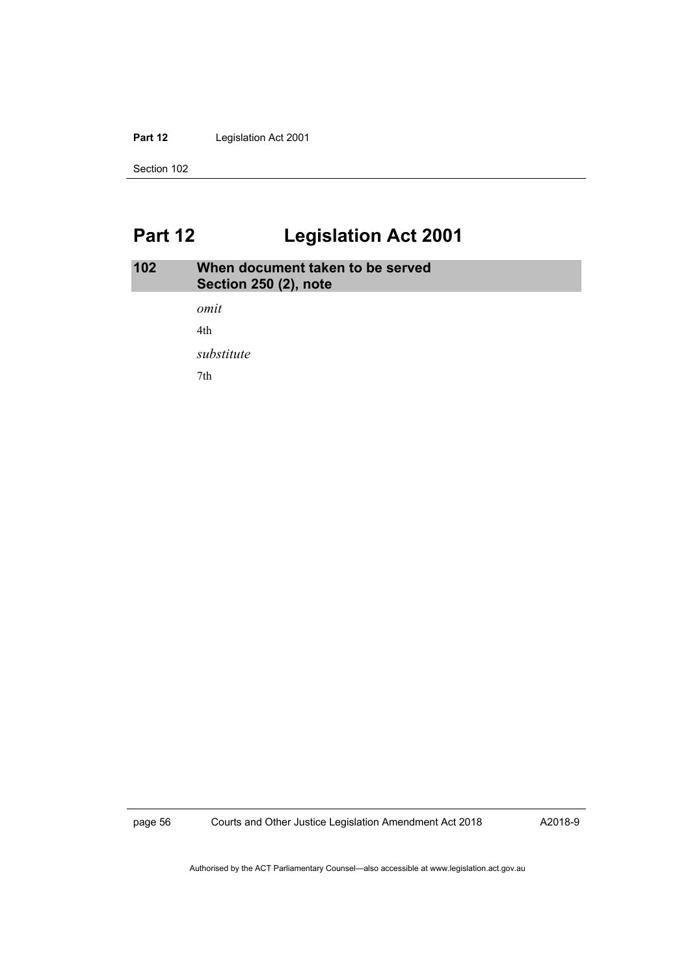#### Part 12 **Legislation Act 2001**

Section 102

# **Part 12 Legislation Act 2001**

# **102 When document taken to be served Section 250 (2), note**

*omit*  4th

*substitute* 

7th

page 56 Courts and Other Justice Legislation Amendment Act 2018

A2018-9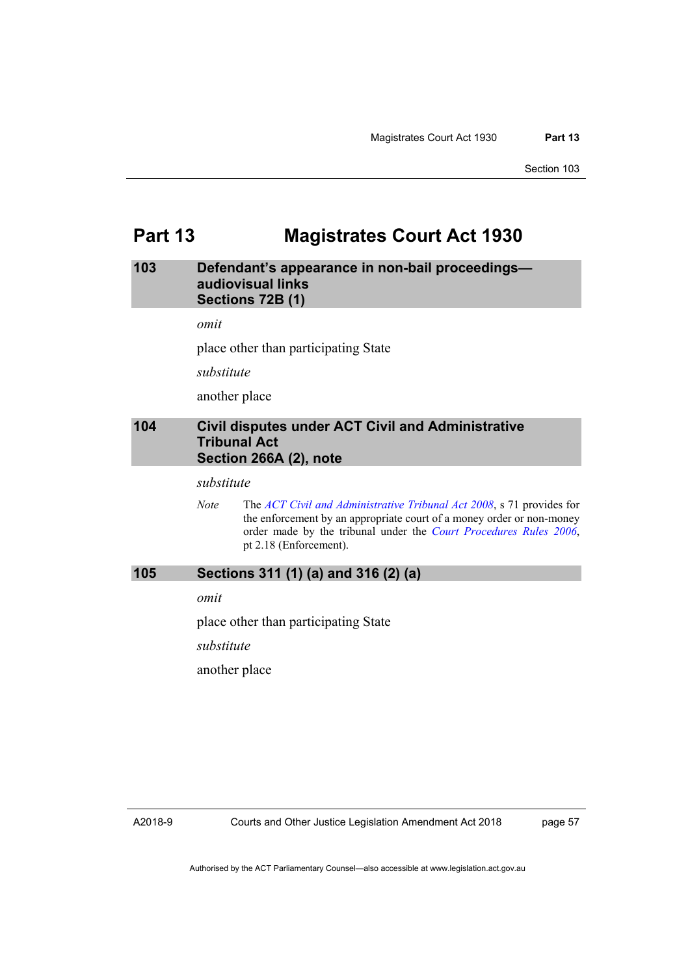# **Part 13 Magistrates Court Act 1930**

#### **103 Defendant's appearance in non-bail proceedings audiovisual links Sections 72B (1)**

*omit* 

place other than participating State

*substitute* 

another place

#### **104 Civil disputes under ACT Civil and Administrative Tribunal Act Section 266A (2), note**

*substitute* 

*Note* The *[ACT Civil and Administrative Tribunal Act 2008](http://www.legislation.act.gov.au/a/2008-35)*, s 71 provides for the enforcement by an appropriate court of a money order or non-money order made by the tribunal under the *[Court Procedures Rules 2006](http://www.legislation.act.gov.au/sl/2006-29)*, pt 2.18 (Enforcement).

#### **105 Sections 311 (1) (a) and 316 (2) (a)**

*omit* 

place other than participating State

*substitute* 

another place

A2018-9

page 57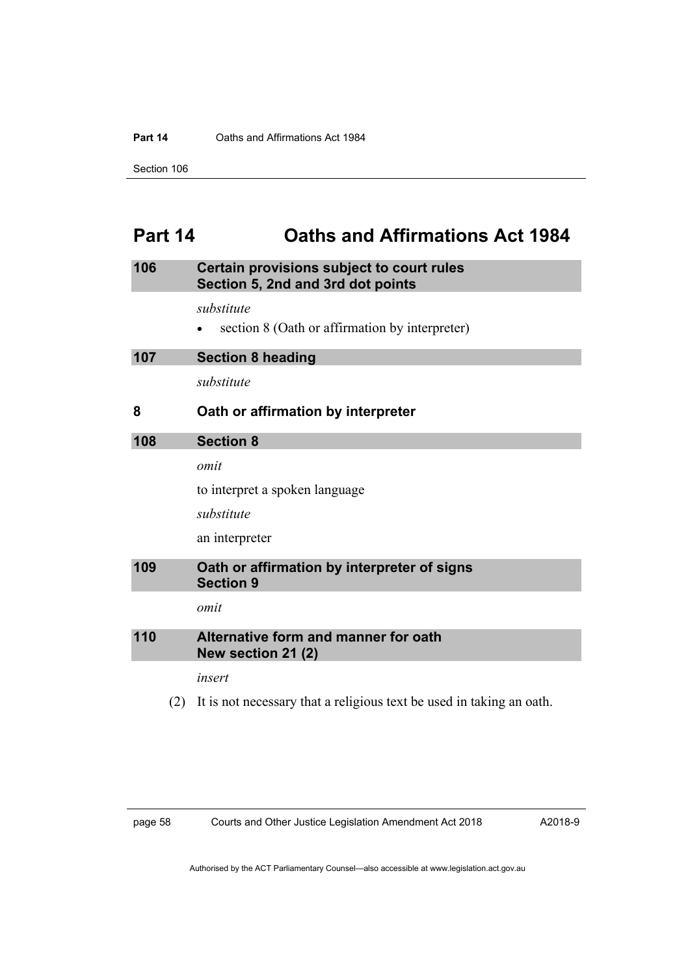#### **Part 14 Caths and Affirmations Act 1984**

Section 106

# **Part 14 Oaths and Affirmations Act 1984**

## **106 Certain provisions subject to court rules Section 5, 2nd and 3rd dot points**

*substitute* 

section 8 (Oath or affirmation by interpreter)

| 107 | <b>Section 8 heading</b>           |
|-----|------------------------------------|
|     | substitute                         |
| 8   | Oath or affirmation by interpreter |
|     |                                    |
| 108 | <b>Section 8</b>                   |
|     | omit                               |
|     | to interpret a spoken language     |

an interpreter

### **109 Oath or affirmation by interpreter of signs Section 9**

*omit* 

## **110 Alternative form and manner for oath New section 21 (2)**

*insert* 

(2) It is not necessary that a religious text be used in taking an oath.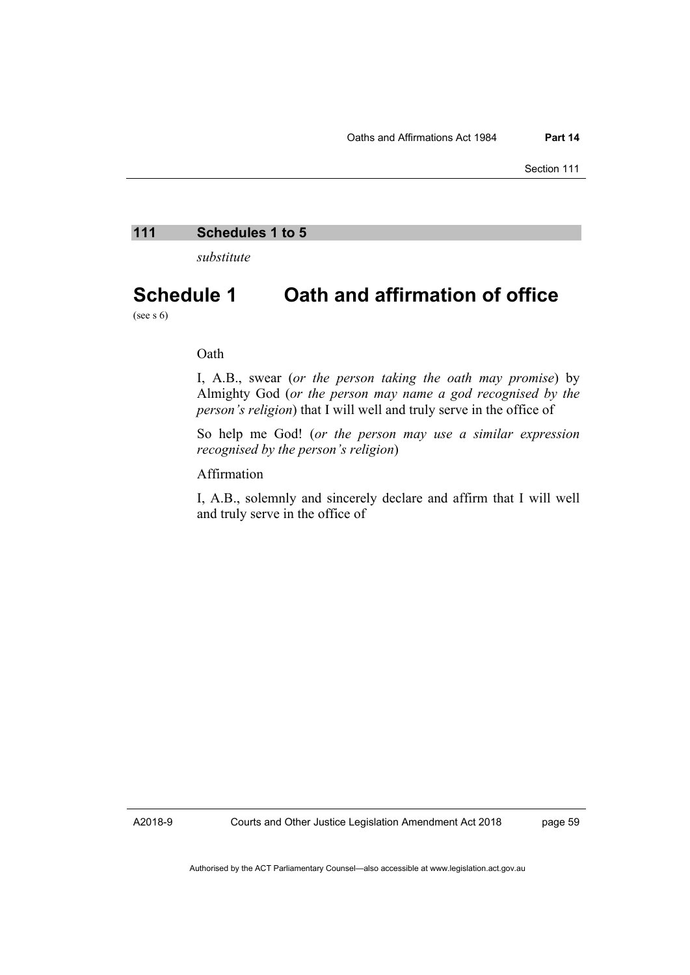#### **111 Schedules 1 to 5**

*substitute* 

# **Schedule 1 Oath and affirmation of office**

(see s  $6$ )

#### Oath

I, A.B., swear (*or the person taking the oath may promise*) by Almighty God (*or the person may name a god recognised by the person's religion*) that I will well and truly serve in the office of

So help me God! (*or the person may use a similar expression recognised by the person's religion*)

#### Affirmation

I, A.B., solemnly and sincerely declare and affirm that I will well and truly serve in the office of

A2018-9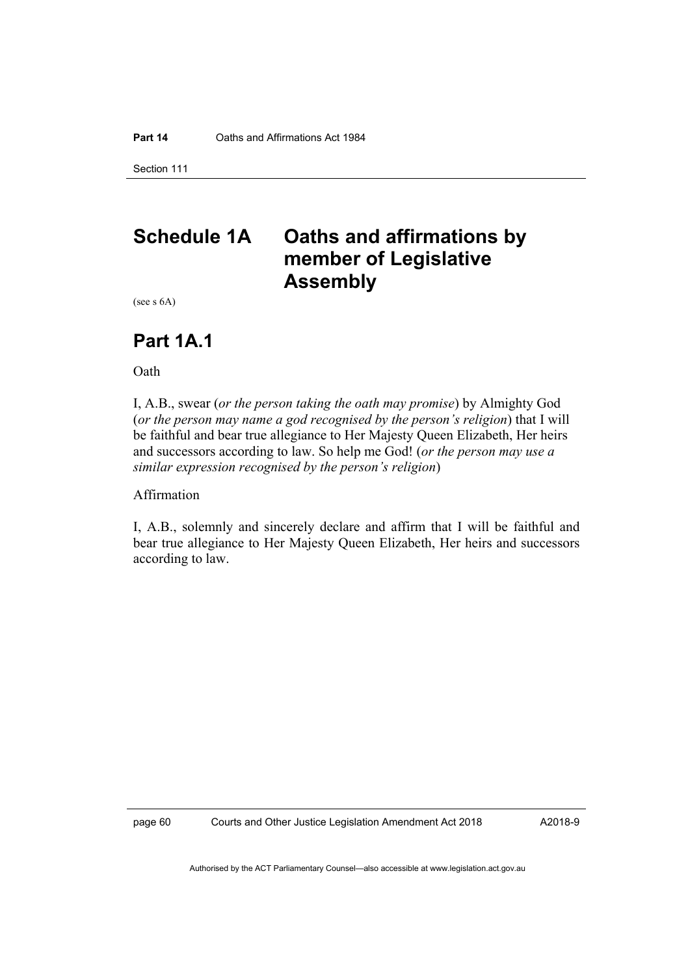Section 111

# **Schedule 1A Oaths and affirmations by member of Legislative Assembly**

(see s 6A)

# **Part 1A.1**

Oath

I, A.B., swear (*or the person taking the oath may promise*) by Almighty God (*or the person may name a god recognised by the person's religion*) that I will be faithful and bear true allegiance to Her Majesty Queen Elizabeth, Her heirs and successors according to law. So help me God! (*or the person may use a similar expression recognised by the person's religion*)

Affirmation

I, A.B., solemnly and sincerely declare and affirm that I will be faithful and bear true allegiance to Her Majesty Queen Elizabeth, Her heirs and successors according to law.

page 60 Courts and Other Justice Legislation Amendment Act 2018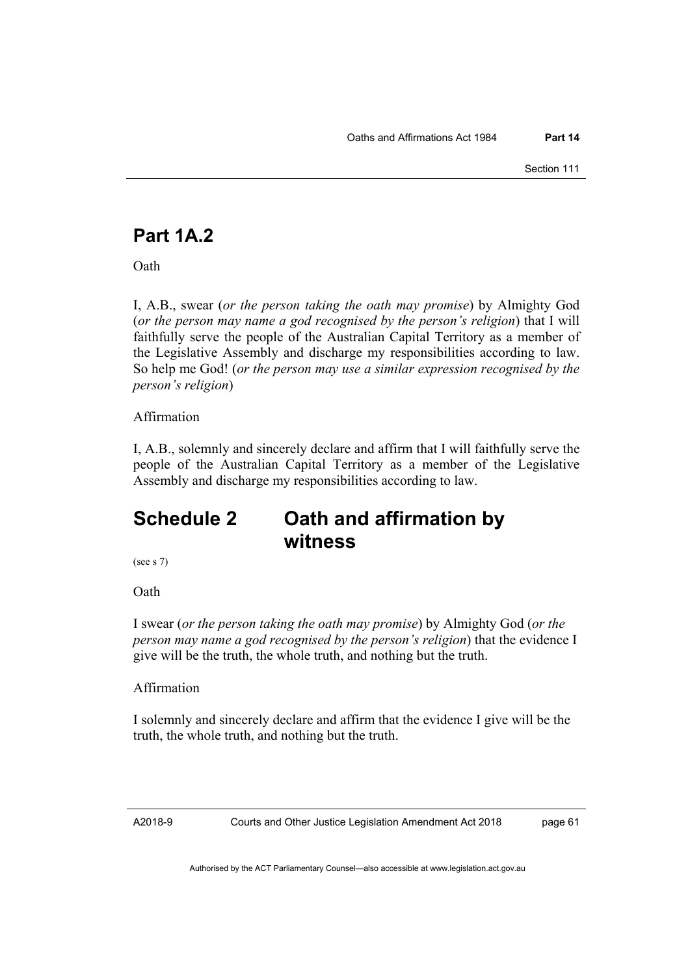# **Part 1A.2**

**Oath** 

I, A.B., swear (*or the person taking the oath may promise*) by Almighty God (*or the person may name a god recognised by the person's religion*) that I will faithfully serve the people of the Australian Capital Territory as a member of the Legislative Assembly and discharge my responsibilities according to law. So help me God! (*or the person may use a similar expression recognised by the person's religion*)

## Affirmation

I, A.B., solemnly and sincerely declare and affirm that I will faithfully serve the people of the Australian Capital Territory as a member of the Legislative Assembly and discharge my responsibilities according to law.

# **Schedule 2 Oath and affirmation by witness**

(see s 7)

**Oath** 

I swear (*or the person taking the oath may promise*) by Almighty God (*or the person may name a god recognised by the person's religion*) that the evidence I give will be the truth, the whole truth, and nothing but the truth.

## Affirmation

I solemnly and sincerely declare and affirm that the evidence I give will be the truth, the whole truth, and nothing but the truth.

A2018-9

Courts and Other Justice Legislation Amendment Act 2018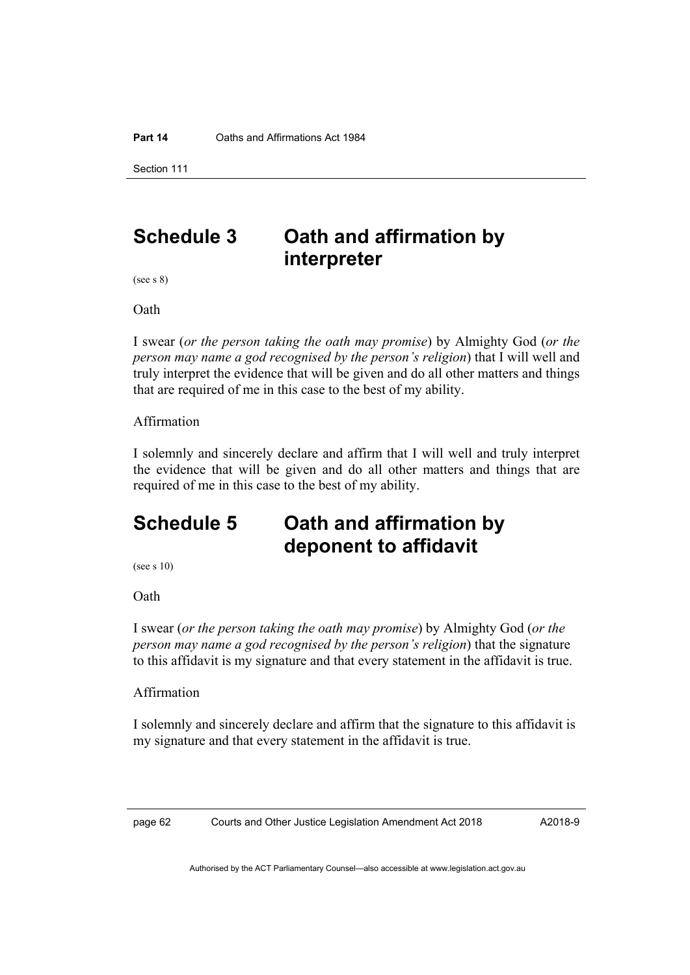Section 111

# **Schedule 3 Oath and affirmation by interpreter**

(see s 8)

**Oath** 

I swear (*or the person taking the oath may promise*) by Almighty God (*or the person may name a god recognised by the person's religion*) that I will well and truly interpret the evidence that will be given and do all other matters and things that are required of me in this case to the best of my ability.

#### Affirmation

I solemnly and sincerely declare and affirm that I will well and truly interpret the evidence that will be given and do all other matters and things that are required of me in this case to the best of my ability.

# **Schedule 5 Oath and affirmation by deponent to affidavit**

(see s 10)

Oath

I swear (*or the person taking the oath may promise*) by Almighty God (*or the person may name a god recognised by the person's religion*) that the signature to this affidavit is my signature and that every statement in the affidavit is true.

#### Affirmation

I solemnly and sincerely declare and affirm that the signature to this affidavit is my signature and that every statement in the affidavit is true.

page 62 Courts and Other Justice Legislation Amendment Act 2018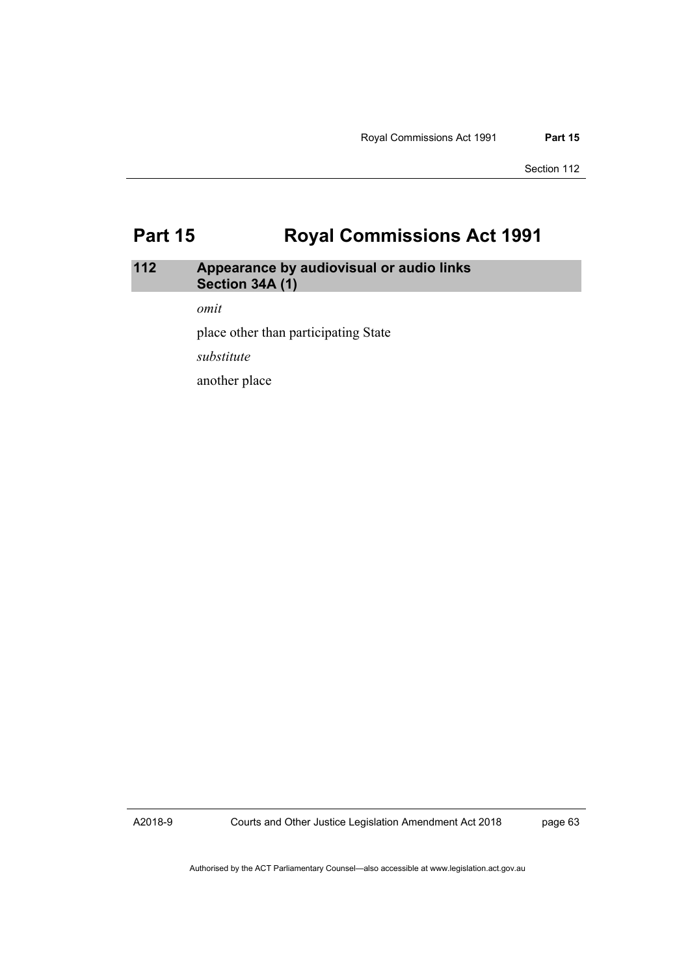# **Part 15 Royal Commissions Act 1991**

## **112 Appearance by audiovisual or audio links Section 34A (1)**

*omit* 

place other than participating State

*substitute* 

another place

A2018-9

Courts and Other Justice Legislation Amendment Act 2018

page 63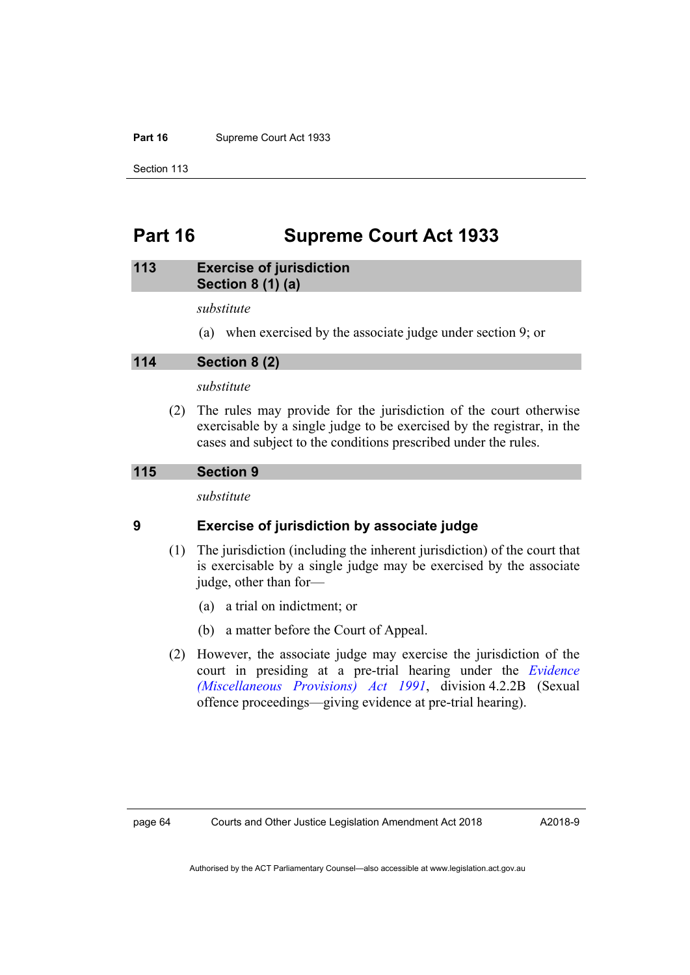#### Part 16 **Supreme Court Act 1933**

Section 113

# **Part 16 Supreme Court Act 1933**

#### **113 Exercise of jurisdiction Section 8 (1) (a)**

*substitute* 

(a) when exercised by the associate judge under section 9; or

**114 Section 8 (2)** 

*substitute* 

 (2) The rules may provide for the jurisdiction of the court otherwise exercisable by a single judge to be exercised by the registrar, in the cases and subject to the conditions prescribed under the rules.

#### **115 Section 9**

*substitute* 

#### **9 Exercise of jurisdiction by associate judge**

- (1) The jurisdiction (including the inherent jurisdiction) of the court that is exercisable by a single judge may be exercised by the associate judge, other than for—
	- (a) a trial on indictment; or
	- (b) a matter before the Court of Appeal.
- (2) However, the associate judge may exercise the jurisdiction of the court in presiding at a pre-trial hearing under the *[Evidence](http://www.legislation.act.gov.au/a/1991-34)  [\(Miscellaneous Provisions\) Act 1991](http://www.legislation.act.gov.au/a/1991-34)*, division 4.2.2B (Sexual offence proceedings—giving evidence at pre-trial hearing).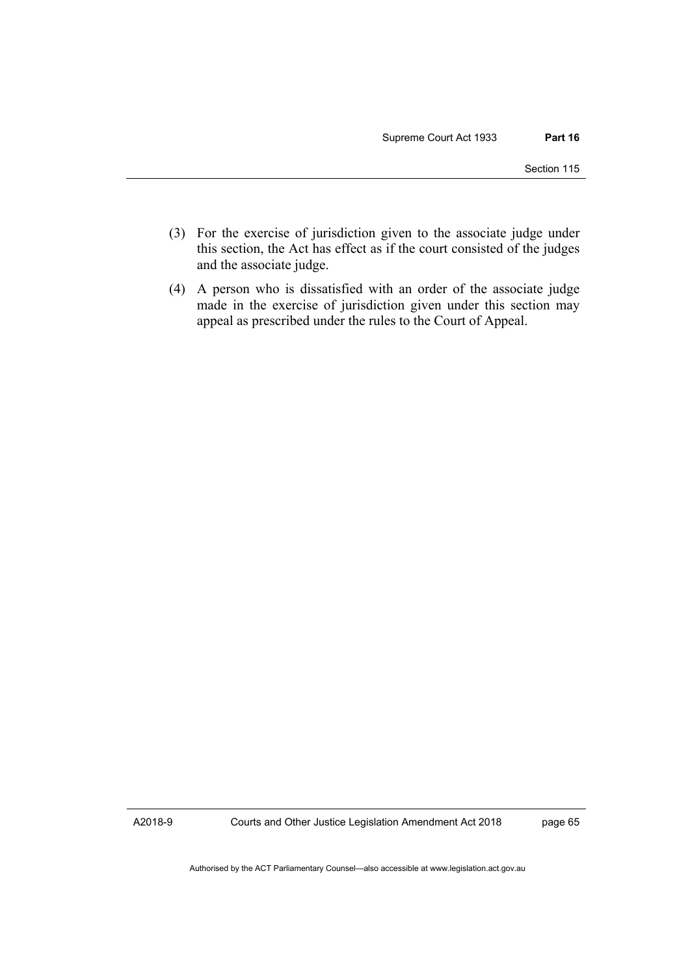- (3) For the exercise of jurisdiction given to the associate judge under this section, the Act has effect as if the court consisted of the judges and the associate judge.
- (4) A person who is dissatisfied with an order of the associate judge made in the exercise of jurisdiction given under this section may appeal as prescribed under the rules to the Court of Appeal.

A2018-9

Courts and Other Justice Legislation Amendment Act 2018

page 65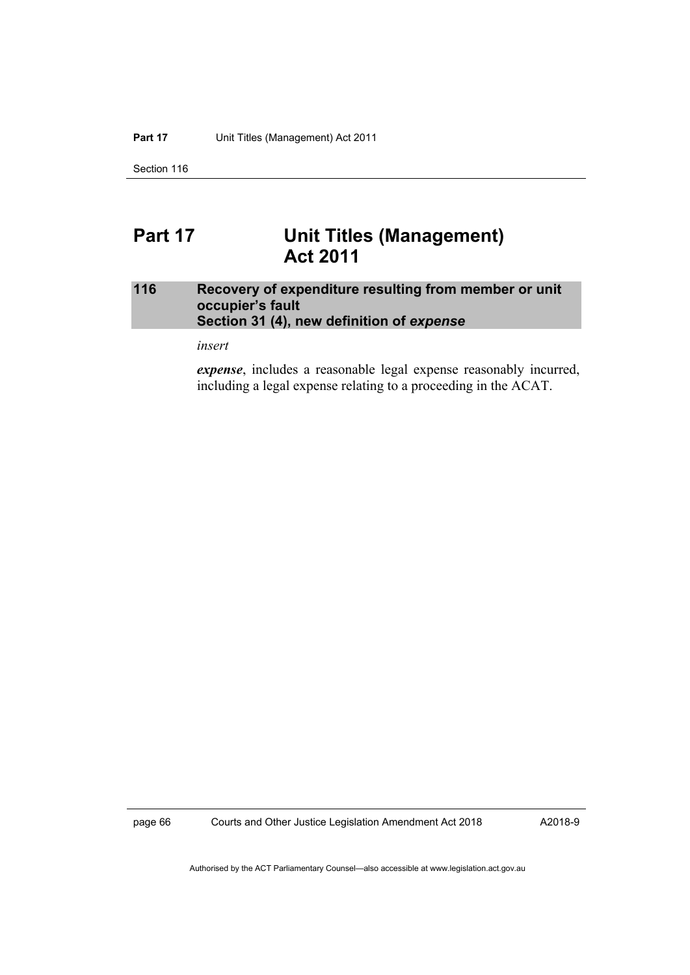Section 116

## **Part 17 Unit Titles (Management) Act 2011**

#### **116 Recovery of expenditure resulting from member or unit occupier's fault Section 31 (4), new definition of** *expense*

*insert* 

*expense*, includes a reasonable legal expense reasonably incurred, including a legal expense relating to a proceeding in the ACAT.

page 66 Courts and Other Justice Legislation Amendment Act 2018

A2018-9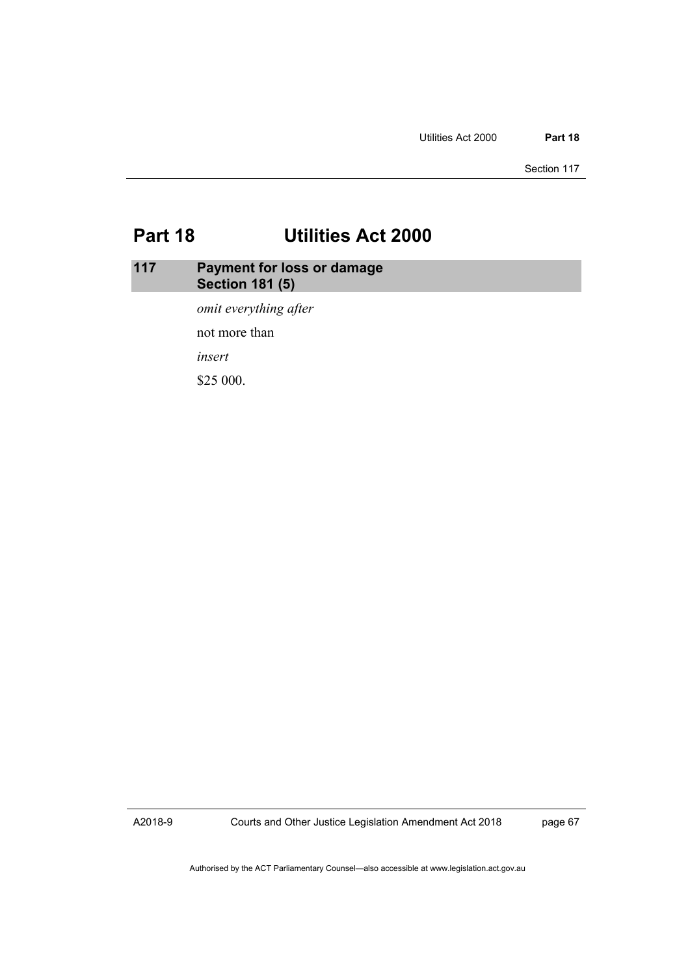Section 117

# **Part 18 Utilities Act 2000**

### **117 Payment for loss or damage Section 181 (5)**

*omit everything after* 

not more than

*insert* 

\$25 000.

A2018-9

Courts and Other Justice Legislation Amendment Act 2018

page 67